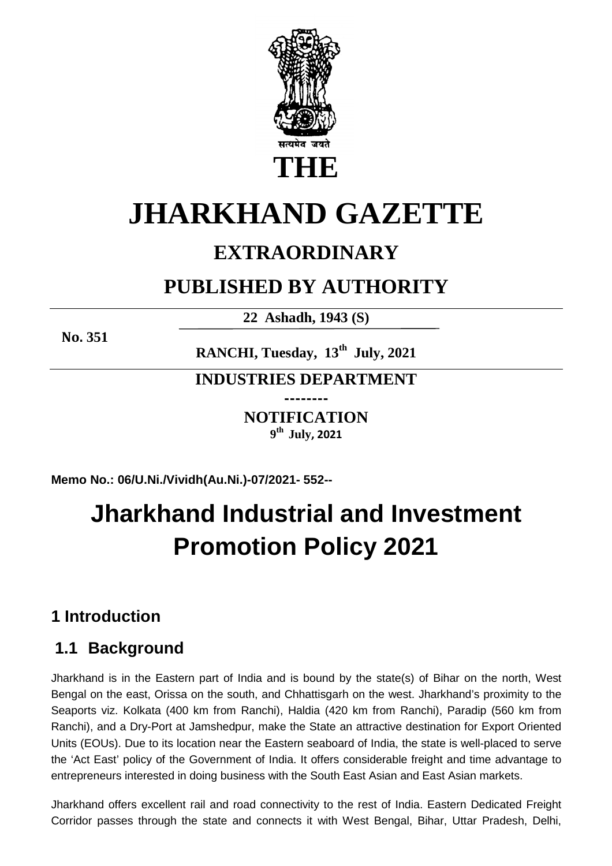

# **JHARKHAND GAZETTE**

# **EXTRAORDINARY**

# **PUBLISHED BY AUTHORITY**

**22 Ashadh, 1943 (S)**

**No. 351**

**RANCHI, Tuesday, 13th July, 2021** 

**INDUSTRIES DEPARTMENT --------** 

> **NOTIFICATION 9 th July, 2021**

**Memo No.: 06/U.Ni./Vividh(Au.Ni.)-07/2021- 552--**

# **Jharkhand Industrial and Investment Promotion Policy 2021**

# **1 Introduction**

# **1.1 Background**

Jharkhand is in the Eastern part of India and is bound by the state(s) of Bihar on the north, West Bengal on the east, Orissa on the south, and Chhattisgarh on the west. Jharkhand's proximity to the Seaports viz. Kolkata (400 km from Ranchi), Haldia (420 km from Ranchi), Paradip (560 km from Ranchi), and a Dry-Port at Jamshedpur, make the State an attractive destination for Export Oriented Units (EOUs). Due to its location near the Eastern seaboard of India, the state is well-placed to serve the 'Act East' policy of the Government of India. It offers considerable freight and time advantage to entrepreneurs interested in doing business with the South East Asian and East Asian markets.

Jharkhand offers excellent rail and road connectivity to the rest of India. Eastern Dedicated Freight Corridor passes through the state and connects it with West Bengal, Bihar, Uttar Pradesh, Delhi,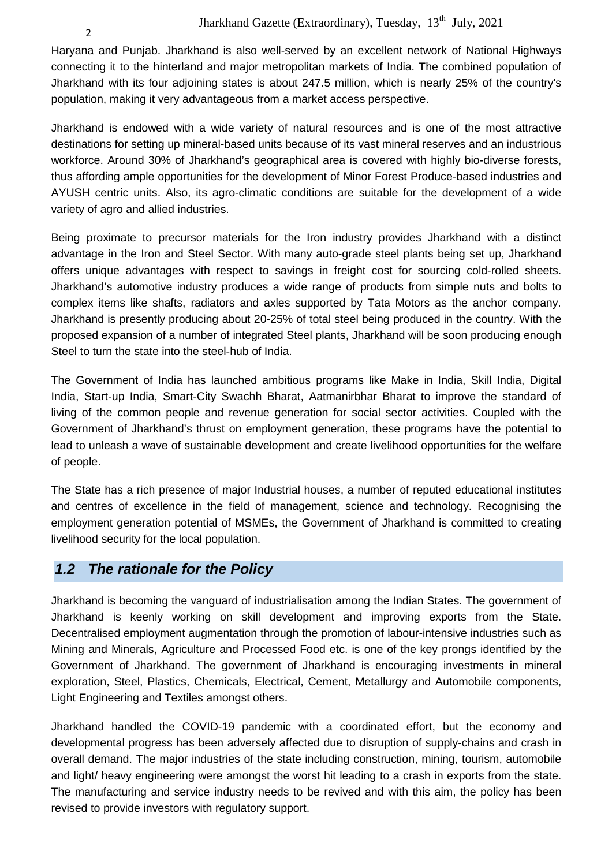Haryana and Punjab. Jharkhand is also well-served by an excellent network of National Highways connecting it to the hinterland and major metropolitan markets of India. The combined population of Jharkhand with its four adjoining states is about 247.5 million, which is nearly 25% of the country's population, making it very advantageous from a market access perspective.

Jharkhand is endowed with a wide variety of natural resources and is one of the most attractive destinations for setting up mineral-based units because of its vast mineral reserves and an industrious workforce. Around 30% of Jharkhand's geographical area is covered with highly bio-diverse forests, thus affording ample opportunities for the development of Minor Forest Produce-based industries and AYUSH centric units. Also, its agro-climatic conditions are suitable for the development of a wide variety of agro and allied industries.

Being proximate to precursor materials for the Iron industry provides Jharkhand with a distinct advantage in the Iron and Steel Sector. With many auto-grade steel plants being set up, Jharkhand offers unique advantages with respect to savings in freight cost for sourcing cold-rolled sheets. Jharkhand's automotive industry produces a wide range of products from simple nuts and bolts to complex items like shafts, radiators and axles supported by Tata Motors as the anchor company. Jharkhand is presently producing about 20-25% of total steel being produced in the country. With the proposed expansion of a number of integrated Steel plants, Jharkhand will be soon producing enough Steel to turn the state into the steel-hub of India.

The Government of India has launched ambitious programs like Make in India, Skill India, Digital India, Start-up India, Smart-City Swachh Bharat, Aatmanirbhar Bharat to improve the standard of living of the common people and revenue generation for social sector activities. Coupled with the Government of Jharkhand's thrust on employment generation, these programs have the potential to lead to unleash a wave of sustainable development and create livelihood opportunities for the welfare of people.

The State has a rich presence of major Industrial houses, a number of reputed educational institutes and centres of excellence in the field of management, science and technology. Recognising the employment generation potential of MSMEs, the Government of Jharkhand is committed to creating livelihood security for the local population.

# **1.2 The rationale for the Policy**

Jharkhand is becoming the vanguard of industrialisation among the Indian States. The government of Jharkhand is keenly working on skill development and improving exports from the State. Decentralised employment augmentation through the promotion of labour-intensive industries such as Mining and Minerals, Agriculture and Processed Food etc. is one of the key prongs identified by the Government of Jharkhand. The government of Jharkhand is encouraging investments in mineral exploration, Steel, Plastics, Chemicals, Electrical, Cement, Metallurgy and Automobile components, Light Engineering and Textiles amongst others.

Jharkhand handled the COVID-19 pandemic with a coordinated effort, but the economy and developmental progress has been adversely affected due to disruption of supply-chains and crash in overall demand. The major industries of the state including construction, mining, tourism, automobile and light/ heavy engineering were amongst the worst hit leading to a crash in exports from the state. The manufacturing and service industry needs to be revived and with this aim, the policy has been revised to provide investors with regulatory support.

2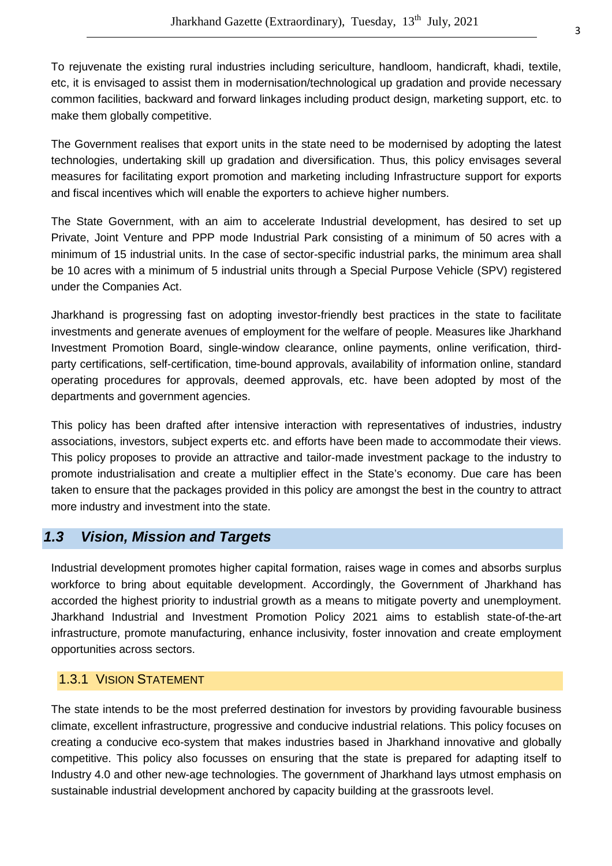To rejuvenate the existing rural industries including sericulture, handloom, handicraft, khadi, textile, etc, it is envisaged to assist them in modernisation/technological up gradation and provide necessary common facilities, backward and forward linkages including product design, marketing support, etc. to make them globally competitive.

The Government realises that export units in the state need to be modernised by adopting the latest technologies, undertaking skill up gradation and diversification. Thus, this policy envisages several measures for facilitating export promotion and marketing including Infrastructure support for exports and fiscal incentives which will enable the exporters to achieve higher numbers.

The State Government, with an aim to accelerate Industrial development, has desired to set up Private, Joint Venture and PPP mode Industrial Park consisting of a minimum of 50 acres with a minimum of 15 industrial units. In the case of sector-specific industrial parks, the minimum area shall be 10 acres with a minimum of 5 industrial units through a Special Purpose Vehicle (SPV) registered under the Companies Act.

Jharkhand is progressing fast on adopting investor-friendly best practices in the state to facilitate investments and generate avenues of employment for the welfare of people. Measures like Jharkhand Investment Promotion Board, single-window clearance, online payments, online verification, thirdparty certifications, self-certification, time-bound approvals, availability of information online, standard operating procedures for approvals, deemed approvals, etc. have been adopted by most of the departments and government agencies.

This policy has been drafted after intensive interaction with representatives of industries, industry associations, investors, subject experts etc. and efforts have been made to accommodate their views. This policy proposes to provide an attractive and tailor-made investment package to the industry to promote industrialisation and create a multiplier effect in the State's economy. Due care has been taken to ensure that the packages provided in this policy are amongst the best in the country to attract more industry and investment into the state.

# **1.3 Vision, Mission and Targets**

Industrial development promotes higher capital formation, raises wage in comes and absorbs surplus workforce to bring about equitable development. Accordingly, the Government of Jharkhand has accorded the highest priority to industrial growth as a means to mitigate poverty and unemployment. Jharkhand Industrial and Investment Promotion Policy 2021 aims to establish state-of-the-art infrastructure, promote manufacturing, enhance inclusivity, foster innovation and create employment opportunities across sectors.

# 1.3.1 VISION STATEMENT

The state intends to be the most preferred destination for investors by providing favourable business climate, excellent infrastructure, progressive and conducive industrial relations. This policy focuses on creating a conducive eco-system that makes industries based in Jharkhand innovative and globally competitive. This policy also focusses on ensuring that the state is prepared for adapting itself to Industry 4.0 and other new-age technologies. The government of Jharkhand lays utmost emphasis on sustainable industrial development anchored by capacity building at the grassroots level.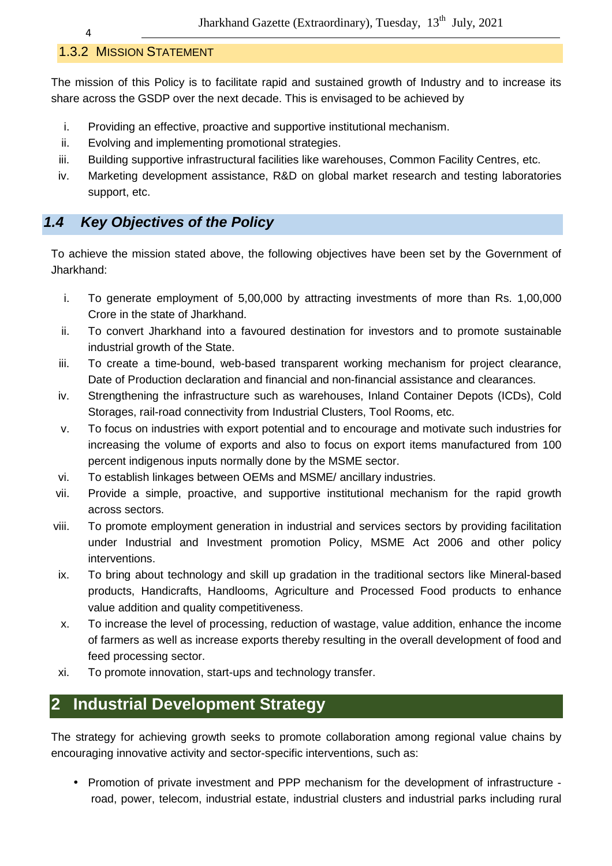# 1.3.2 MISSION STATEMENT

The mission of this Policy is to facilitate rapid and sustained growth of Industry and to increase its share across the GSDP over the next decade. This is envisaged to be achieved by

- i. Providing an effective, proactive and supportive institutional mechanism.
- ii. Evolving and implementing promotional strategies.
- iii. Building supportive infrastructural facilities like warehouses, Common Facility Centres, etc.
- iv. Marketing development assistance, R&D on global market research and testing laboratories support, etc.

# **1.4 Key Objectives of the Policy**

To achieve the mission stated above, the following objectives have been set by the Government of Jharkhand:

- i. To generate employment of 5,00,000 by attracting investments of more than Rs. 1,00,000 Crore in the state of Jharkhand.
- ii. To convert Jharkhand into a favoured destination for investors and to promote sustainable industrial growth of the State.
- iii. To create a time-bound, web-based transparent working mechanism for project clearance, Date of Production declaration and financial and non-financial assistance and clearances.
- iv. Strengthening the infrastructure such as warehouses, Inland Container Depots (ICDs), Cold Storages, rail-road connectivity from Industrial Clusters, Tool Rooms, etc.
- v. To focus on industries with export potential and to encourage and motivate such industries for increasing the volume of exports and also to focus on export items manufactured from 100 percent indigenous inputs normally done by the MSME sector.
- vi. To establish linkages between OEMs and MSME/ ancillary industries.
- vii. Provide a simple, proactive, and supportive institutional mechanism for the rapid growth across sectors.
- viii. To promote employment generation in industrial and services sectors by providing facilitation under Industrial and Investment promotion Policy, MSME Act 2006 and other policy interventions.
- ix. To bring about technology and skill up gradation in the traditional sectors like Mineral-based products, Handicrafts, Handlooms, Agriculture and Processed Food products to enhance value addition and quality competitiveness.
- x. To increase the level of processing, reduction of wastage, value addition, enhance the income of farmers as well as increase exports thereby resulting in the overall development of food and feed processing sector.
- xi. To promote innovation, start-ups and technology transfer.

# **2 Industrial Development Strategy**

The strategy for achieving growth seeks to promote collaboration among regional value chains by encouraging innovative activity and sector-specific interventions, such as:

• Promotion of private investment and PPP mechanism for the development of infrastructure road, power, telecom, industrial estate, industrial clusters and industrial parks including rural

4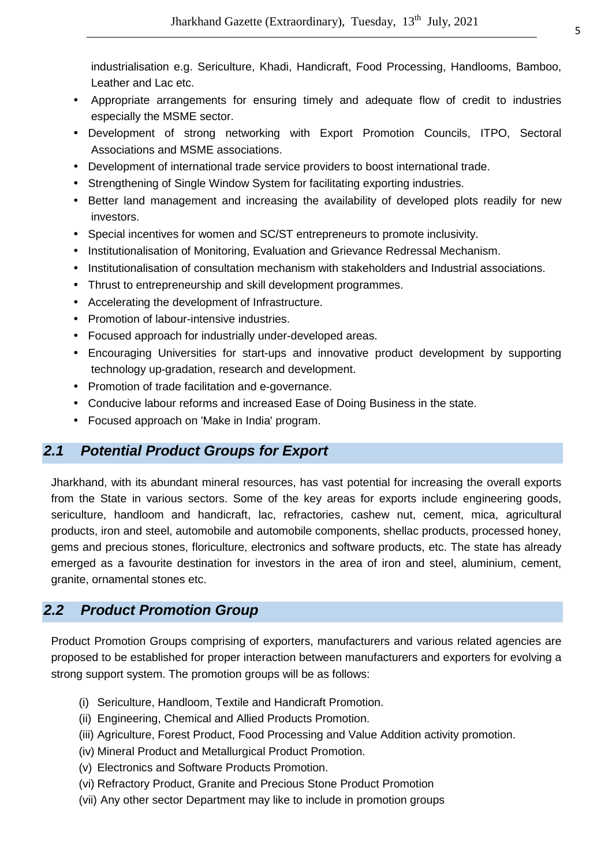industrialisation e.g. Sericulture, Khadi, Handicraft, Food Processing, Handlooms, Bamboo, Leather and Lac etc.

- Appropriate arrangements for ensuring timely and adequate flow of credit to industries especially the MSME sector.
- Development of strong networking with Export Promotion Councils, ITPO, Sectoral Associations and MSME associations.
- Development of international trade service providers to boost international trade.
- Strengthening of Single Window System for facilitating exporting industries.
- Better land management and increasing the availability of developed plots readily for new investors.
- Special incentives for women and SC/ST entrepreneurs to promote inclusivity.
- Institutionalisation of Monitoring, Evaluation and Grievance Redressal Mechanism.
- Institutionalisation of consultation mechanism with stakeholders and Industrial associations.
- Thrust to entrepreneurship and skill development programmes.
- Accelerating the development of Infrastructure.
- Promotion of labour-intensive industries.
- Focused approach for industrially under-developed areas.
- Encouraging Universities for start-ups and innovative product development by supporting technology up-gradation, research and development.
- Promotion of trade facilitation and e-governance.
- Conducive labour reforms and increased Ease of Doing Business in the state.
- Focused approach on 'Make in India' program.

# **2.1 Potential Product Groups for Export**

Jharkhand, with its abundant mineral resources, has vast potential for increasing the overall exports from the State in various sectors. Some of the key areas for exports include engineering goods, sericulture, handloom and handicraft, lac, refractories, cashew nut, cement, mica, agricultural products, iron and steel, automobile and automobile components, shellac products, processed honey, gems and precious stones, floriculture, electronics and software products, etc. The state has already emerged as a favourite destination for investors in the area of iron and steel, aluminium, cement, granite, ornamental stones etc.

# **2.2 Product Promotion Group**

Product Promotion Groups comprising of exporters, manufacturers and various related agencies are proposed to be established for proper interaction between manufacturers and exporters for evolving a strong support system. The promotion groups will be as follows:

- (i) Sericulture, Handloom, Textile and Handicraft Promotion.
- (ii) Engineering, Chemical and Allied Products Promotion.
- (iii) Agriculture, Forest Product, Food Processing and Value Addition activity promotion.
- (iv) Mineral Product and Metallurgical Product Promotion.
- (v) Electronics and Software Products Promotion.
- (vi) Refractory Product, Granite and Precious Stone Product Promotion
- (vii) Any other sector Department may like to include in promotion groups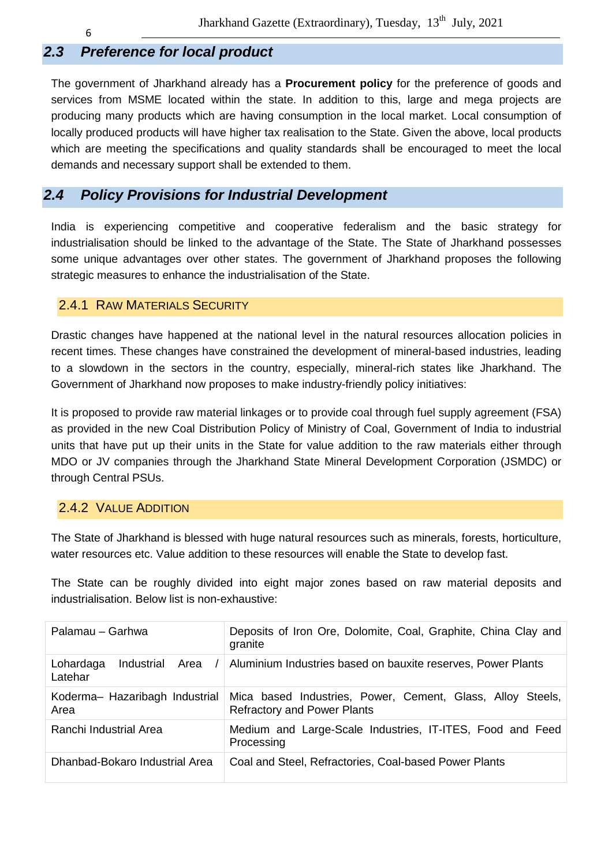# **2.3 Preference for local product**

The government of Jharkhand already has a **Procurement policy** for the preference of goods and services from MSME located within the state. In addition to this, large and mega projects are producing many products which are having consumption in the local market. Local consumption of locally produced products will have higher tax realisation to the State. Given the above, local products which are meeting the specifications and quality standards shall be encouraged to meet the local demands and necessary support shall be extended to them.

# **2.4 Policy Provisions for Industrial Development**

India is experiencing competitive and cooperative federalism and the basic strategy for industrialisation should be linked to the advantage of the State. The State of Jharkhand possesses some unique advantages over other states. The government of Jharkhand proposes the following strategic measures to enhance the industrialisation of the State.

#### 2.4.1 RAW MATERIALS SECURITY

Drastic changes have happened at the national level in the natural resources allocation policies in recent times. These changes have constrained the development of mineral-based industries, leading to a slowdown in the sectors in the country, especially, mineral-rich states like Jharkhand. The Government of Jharkhand now proposes to make industry-friendly policy initiatives:

It is proposed to provide raw material linkages or to provide coal through fuel supply agreement (FSA) as provided in the new Coal Distribution Policy of Ministry of Coal, Government of India to industrial units that have put up their units in the State for value addition to the raw materials either through MDO or JV companies through the Jharkhand State Mineral Development Corporation (JSMDC) or through Central PSUs.

#### 2.4.2 VALUE ADDITION

The State of Jharkhand is blessed with huge natural resources such as minerals, forests, horticulture, water resources etc. Value addition to these resources will enable the State to develop fast.

The State can be roughly divided into eight major zones based on raw material deposits and industrialisation. Below list is non-exhaustive:

| Palamau - Garhwa                           | Deposits of Iron Ore, Dolomite, Coal, Graphite, China Clay and<br>granite                        |
|--------------------------------------------|--------------------------------------------------------------------------------------------------|
| Lohardaga<br>Industrial<br>Area<br>Latehar | Aluminium Industries based on bauxite reserves, Power Plants                                     |
| Koderma- Hazaribagh Industrial<br>Area     | Mica based Industries, Power, Cement, Glass, Alloy Steels,<br><b>Refractory and Power Plants</b> |
| Ranchi Industrial Area                     | Medium and Large-Scale Industries, IT-ITES, Food and Feed<br>Processing                          |
| Dhanbad-Bokaro Industrial Area             | Coal and Steel, Refractories, Coal-based Power Plants                                            |

6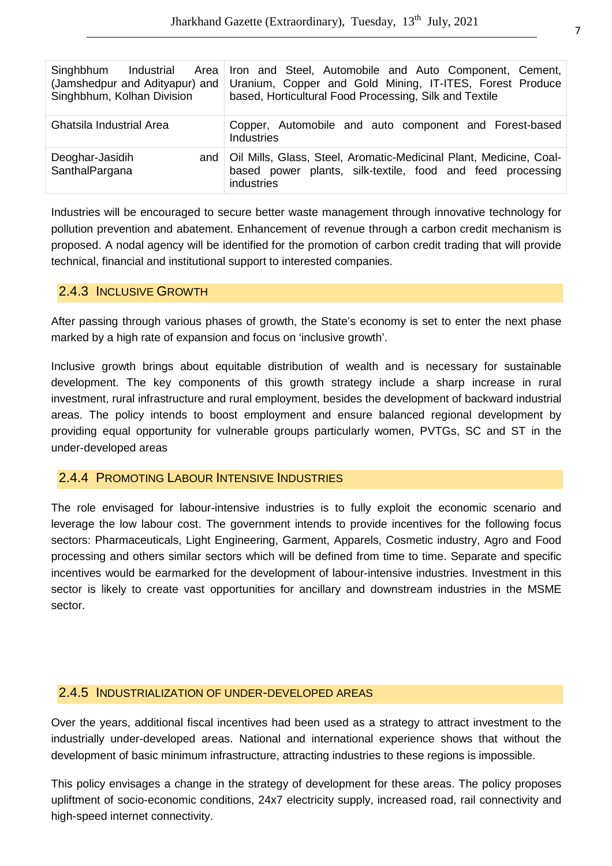| Singhbhum<br>Industrial<br>Area  <br>(Jamshedpur and Adityapur) and<br>Singhbhum, Kolhan Division | Iron and Steel, Automobile and Auto Component, Cement,<br>Uranium, Copper and Gold Mining, IT-ITES, Forest Produce<br>based, Horticultural Food Processing, Silk and Textile |
|---------------------------------------------------------------------------------------------------|------------------------------------------------------------------------------------------------------------------------------------------------------------------------------|
| <b>Ghatsila Industrial Area</b>                                                                   | Copper, Automobile and auto component and Forest-based<br>Industries                                                                                                         |
| Deoghar-Jasidih<br>and $\vdash$<br>SanthalPargana                                                 | Oil Mills, Glass, Steel, Aromatic-Medicinal Plant, Medicine, Coal-<br>based power plants, silk-textile, food and feed processing<br>industries                               |

Industries will be encouraged to secure better waste management through innovative technology for pollution prevention and abatement. Enhancement of revenue through a carbon credit mechanism is proposed. A nodal agency will be identified for the promotion of carbon credit trading that will provide technical, financial and institutional support to interested companies.

#### 2.4.3 INCLUSIVE GROWTH

After passing through various phases of growth, the State's economy is set to enter the next phase marked by a high rate of expansion and focus on 'inclusive growth'.

Inclusive growth brings about equitable distribution of wealth and is necessary for sustainable development. The key components of this growth strategy include a sharp increase in rural investment, rural infrastructure and rural employment, besides the development of backward industrial areas. The policy intends to boost employment and ensure balanced regional development by providing equal opportunity for vulnerable groups particularly women, PVTGs, SC and ST in the under-developed areas

#### 2.4.4 PROMOTING LABOUR INTENSIVE INDUSTRIES

The role envisaged for labour-intensive industries is to fully exploit the economic scenario and leverage the low labour cost. The government intends to provide incentives for the following focus sectors: Pharmaceuticals, Light Engineering, Garment, Apparels, Cosmetic industry, Agro and Food processing and others similar sectors which will be defined from time to time. Separate and specific incentives would be earmarked for the development of labour-intensive industries. Investment in this sector is likely to create vast opportunities for ancillary and downstream industries in the MSME sector.

#### 2.4.5 INDUSTRIALIZATION OF UNDER-DEVELOPED AREAS

Over the years, additional fiscal incentives had been used as a strategy to attract investment to the industrially under-developed areas. National and international experience shows that without the development of basic minimum infrastructure, attracting industries to these regions is impossible.

This policy envisages a change in the strategy of development for these areas. The policy proposes upliftment of socio-economic conditions, 24x7 electricity supply, increased road, rail connectivity and high-speed internet connectivity.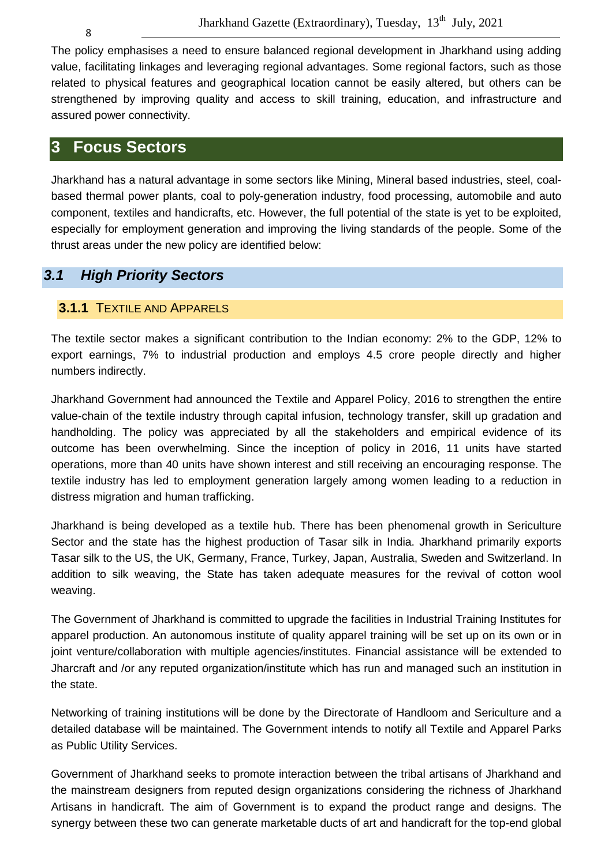The policy emphasises a need to ensure balanced regional development in Jharkhand using adding value, facilitating linkages and leveraging regional advantages. Some regional factors, such as those related to physical features and geographical location cannot be easily altered, but others can be strengthened by improving quality and access to skill training, education, and infrastructure and assured power connectivity.

# **3 Focus Sectors**

Jharkhand has a natural advantage in some sectors like Mining, Mineral based industries, steel, coalbased thermal power plants, coal to poly-generation industry, food processing, automobile and auto component, textiles and handicrafts, etc. However, the full potential of the state is yet to be exploited, especially for employment generation and improving the living standards of the people. Some of the thrust areas under the new policy are identified below:

# **3.1 High Priority Sectors**

#### **3.1.1** TEXTILE AND APPARELS

The textile sector makes a significant contribution to the Indian economy: 2% to the GDP, 12% to export earnings, 7% to industrial production and employs 4.5 crore people directly and higher numbers indirectly.

Jharkhand Government had announced the Textile and Apparel Policy, 2016 to strengthen the entire value-chain of the textile industry through capital infusion, technology transfer, skill up gradation and handholding. The policy was appreciated by all the stakeholders and empirical evidence of its outcome has been overwhelming. Since the inception of policy in 2016, 11 units have started operations, more than 40 units have shown interest and still receiving an encouraging response. The textile industry has led to employment generation largely among women leading to a reduction in distress migration and human trafficking.

Jharkhand is being developed as a textile hub. There has been phenomenal growth in Sericulture Sector and the state has the highest production of Tasar silk in India. Jharkhand primarily exports Tasar silk to the US, the UK, Germany, France, Turkey, Japan, Australia, Sweden and Switzerland. In addition to silk weaving, the State has taken adequate measures for the revival of cotton wool weaving.

The Government of Jharkhand is committed to upgrade the facilities in Industrial Training Institutes for apparel production. An autonomous institute of quality apparel training will be set up on its own or in joint venture/collaboration with multiple agencies/institutes. Financial assistance will be extended to Jharcraft and /or any reputed organization/institute which has run and managed such an institution in the state.

Networking of training institutions will be done by the Directorate of Handloom and Sericulture and a detailed database will be maintained. The Government intends to notify all Textile and Apparel Parks as Public Utility Services.

Government of Jharkhand seeks to promote interaction between the tribal artisans of Jharkhand and the mainstream designers from reputed design organizations considering the richness of Jharkhand Artisans in handicraft. The aim of Government is to expand the product range and designs. The synergy between these two can generate marketable ducts of art and handicraft for the top-end global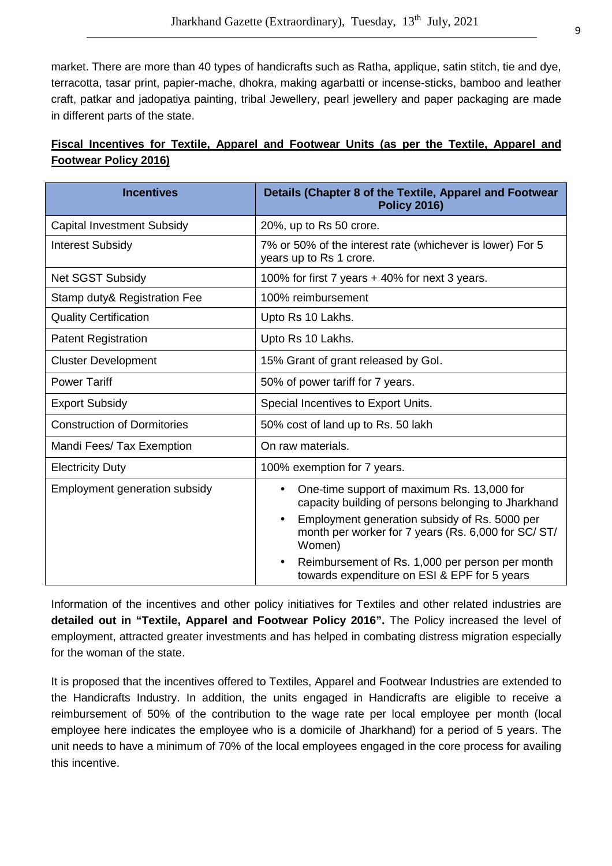market. There are more than 40 types of handicrafts such as Ratha, applique, satin stitch, tie and dye, terracotta, tasar print, papier-mache, dhokra, making agarbatti or incense-sticks, bamboo and leather craft, patkar and jadopatiya painting, tribal Jewellery, pearl jewellery and paper packaging are made in different parts of the state.

| <b>Incentives</b>                  | Details (Chapter 8 of the Textile, Apparel and Footwear                                                                     |  |
|------------------------------------|-----------------------------------------------------------------------------------------------------------------------------|--|
|                                    | <b>Policy 2016)</b>                                                                                                         |  |
| <b>Capital Investment Subsidy</b>  | 20%, up to Rs 50 crore.                                                                                                     |  |
| <b>Interest Subsidy</b>            | 7% or 50% of the interest rate (whichever is lower) For 5<br>years up to Rs 1 crore.                                        |  |
| <b>Net SGST Subsidy</b>            | 100% for first 7 years + 40% for next 3 years.                                                                              |  |
| Stamp duty & Registration Fee      | 100% reimbursement                                                                                                          |  |
| <b>Quality Certification</b>       | Upto Rs 10 Lakhs.                                                                                                           |  |
| <b>Patent Registration</b>         | Upto Rs 10 Lakhs.                                                                                                           |  |
| <b>Cluster Development</b>         | 15% Grant of grant released by Gol.                                                                                         |  |
| <b>Power Tariff</b>                | 50% of power tariff for 7 years.                                                                                            |  |
| <b>Export Subsidy</b>              | Special Incentives to Export Units.                                                                                         |  |
| <b>Construction of Dormitories</b> | 50% cost of land up to Rs. 50 lakh                                                                                          |  |
| Mandi Fees/ Tax Exemption          | On raw materials.                                                                                                           |  |
| <b>Electricity Duty</b>            | 100% exemption for 7 years.                                                                                                 |  |
| Employment generation subsidy      | One-time support of maximum Rs. 13,000 for<br>$\bullet$<br>capacity building of persons belonging to Jharkhand              |  |
|                                    | Employment generation subsidy of Rs. 5000 per<br>$\bullet$<br>month per worker for 7 years (Rs. 6,000 for SC/ ST/<br>Women) |  |
|                                    | Reimbursement of Rs. 1,000 per person per month<br>towards expenditure on ESI & EPF for 5 years                             |  |

# **Fiscal Incentives for Textile, Apparel and Footwear Units (as per the Textile, Apparel and Footwear Policy 2016)**

Information of the incentives and other policy initiatives for Textiles and other related industries are **detailed out in "Textile, Apparel and Footwear Policy 2016".** The Policy increased the level of employment, attracted greater investments and has helped in combating distress migration especially for the woman of the state.

It is proposed that the incentives offered to Textiles, Apparel and Footwear Industries are extended to the Handicrafts Industry. In addition, the units engaged in Handicrafts are eligible to receive a reimbursement of 50% of the contribution to the wage rate per local employee per month (local employee here indicates the employee who is a domicile of Jharkhand) for a period of 5 years. The unit needs to have a minimum of 70% of the local employees engaged in the core process for availing this incentive.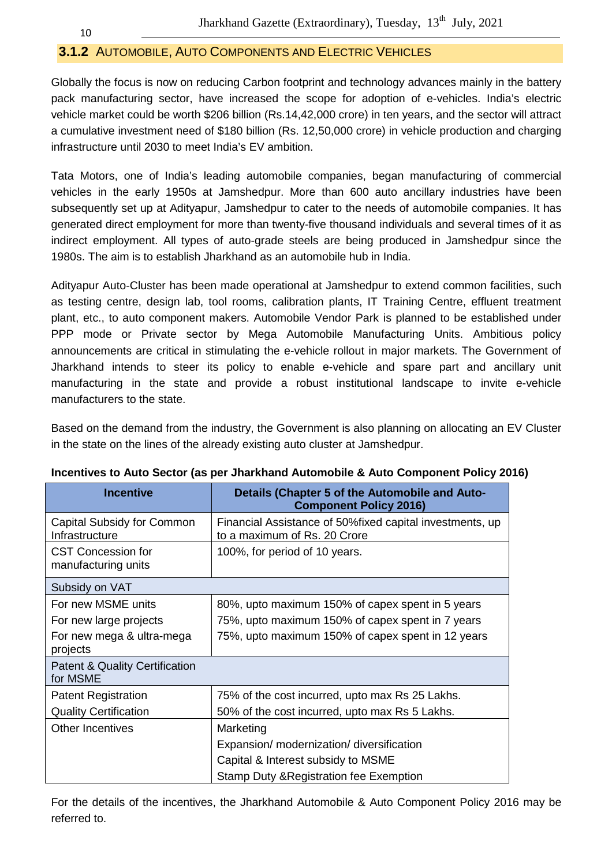### **3.1.2** AUTOMOBILE, AUTO COMPONENTS AND ELECTRIC VEHICLES

Globally the focus is now on reducing Carbon footprint and technology advances mainly in the battery pack manufacturing sector, have increased the scope for adoption of e-vehicles. India's electric vehicle market could be worth \$206 billion (Rs.14,42,000 crore) in ten years, and the sector will attract a cumulative investment need of \$180 billion (Rs. 12,50,000 crore) in vehicle production and charging infrastructure until 2030 to meet India's EV ambition.

Tata Motors, one of India's leading automobile companies, began manufacturing of commercial vehicles in the early 1950s at Jamshedpur. More than 600 auto ancillary industries have been subsequently set up at Adityapur, Jamshedpur to cater to the needs of automobile companies. It has generated direct employment for more than twenty-five thousand individuals and several times of it as indirect employment. All types of auto-grade steels are being produced in Jamshedpur since the 1980s. The aim is to establish Jharkhand as an automobile hub in India.

Adityapur Auto-Cluster has been made operational at Jamshedpur to extend common facilities, such as testing centre, design lab, tool rooms, calibration plants, IT Training Centre, effluent treatment plant, etc., to auto component makers. Automobile Vendor Park is planned to be established under PPP mode or Private sector by Mega Automobile Manufacturing Units. Ambitious policy announcements are critical in stimulating the e-vehicle rollout in major markets. The Government of Jharkhand intends to steer its policy to enable e-vehicle and spare part and ancillary unit manufacturing in the state and provide a robust institutional landscape to invite e-vehicle manufacturers to the state.

Based on the demand from the industry, the Government is also planning on allocating an EV Cluster in the state on the lines of the already existing auto cluster at Jamshedpur.

| <b>Incentive</b>                                      | Details (Chapter 5 of the Automobile and Auto-<br><b>Component Policy 2016)</b>           |
|-------------------------------------------------------|-------------------------------------------------------------------------------------------|
| Capital Subsidy for Common<br>Infrastructure          | Financial Assistance of 50% fixed capital investments, up<br>to a maximum of Rs. 20 Crore |
| <b>CST Concession for</b><br>manufacturing units      | 100%, for period of 10 years.                                                             |
| Subsidy on VAT                                        |                                                                                           |
| For new MSME units                                    | 80%, upto maximum 150% of capex spent in 5 years                                          |
| For new large projects                                | 75%, upto maximum 150% of capex spent in 7 years                                          |
| For new mega & ultra-mega<br>projects                 | 75%, upto maximum 150% of capex spent in 12 years                                         |
| <b>Patent &amp; Quality Certification</b><br>for MSME |                                                                                           |
| <b>Patent Registration</b>                            | 75% of the cost incurred, upto max Rs 25 Lakhs.                                           |
| <b>Quality Certification</b>                          | 50% of the cost incurred, upto max Rs 5 Lakhs.                                            |
| <b>Other Incentives</b>                               | Marketing                                                                                 |
|                                                       | Expansion/ modernization/ diversification                                                 |
|                                                       | Capital & Interest subsidy to MSME                                                        |
|                                                       | Stamp Duty & Registration fee Exemption                                                   |

#### **Incentives to Auto Sector (as per Jharkhand Automobile & Auto Component Policy 2016)**

For the details of the incentives, the Jharkhand Automobile & Auto Component Policy 2016 may be referred to.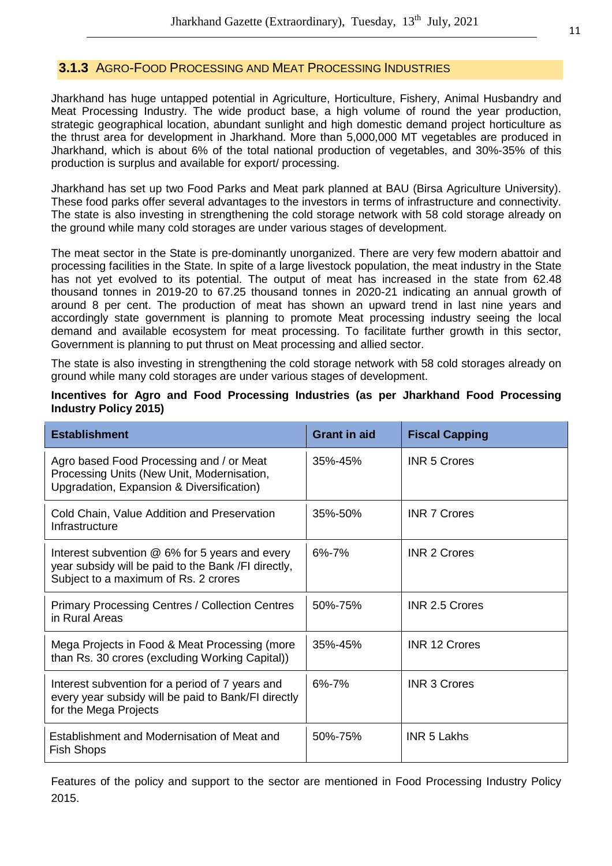#### **3.1.3** AGRO-FOOD PROCESSING AND MEAT PROCESSING INDUSTRIES

Jharkhand has huge untapped potential in Agriculture, Horticulture, Fishery, Animal Husbandry and Meat Processing Industry. The wide product base, a high volume of round the year production, strategic geographical location, abundant sunlight and high domestic demand project horticulture as the thrust area for development in Jharkhand. More than 5,000,000 MT vegetables are produced in Jharkhand, which is about 6% of the total national production of vegetables, and 30%-35% of this production is surplus and available for export/ processing.

Jharkhand has set up two Food Parks and Meat park planned at BAU (Birsa Agriculture University). These food parks offer several advantages to the investors in terms of infrastructure and connectivity. The state is also investing in strengthening the cold storage network with 58 cold storage already on the ground while many cold storages are under various stages of development.

The meat sector in the State is pre-dominantly unorganized. There are very few modern abattoir and processing facilities in the State. In spite of a large livestock population, the meat industry in the State has not yet evolved to its potential. The output of meat has increased in the state from 62.48 thousand tonnes in 2019-20 to 67.25 thousand tonnes in 2020-21 indicating an annual growth of around 8 per cent. The production of meat has shown an upward trend in last nine years and accordingly state government is planning to promote Meat processing industry seeing the local demand and available ecosystem for meat processing. To facilitate further growth in this sector, Government is planning to put thrust on Meat processing and allied sector.

The state is also investing in strengthening the cold storage network with 58 cold storages already on ground while many cold storages are under various stages of development.

| Incentives for Agro and Food Processing Industries (as per Jharkhand Food Processing |  |  |  |  |  |
|--------------------------------------------------------------------------------------|--|--|--|--|--|
| <b>Industry Policy 2015)</b>                                                         |  |  |  |  |  |
|                                                                                      |  |  |  |  |  |

| <b>Establishment</b>                                                                                                                          | <b>Grant in aid</b> | <b>Fiscal Capping</b> |
|-----------------------------------------------------------------------------------------------------------------------------------------------|---------------------|-----------------------|
| Agro based Food Processing and / or Meat<br>Processing Units (New Unit, Modernisation,<br>Upgradation, Expansion & Diversification)           | $35% - 45%$         | <b>INR 5 Crores</b>   |
| Cold Chain, Value Addition and Preservation<br>Infrastructure                                                                                 | 35%-50%             | <b>INR 7 Crores</b>   |
| Interest subvention @ 6% for 5 years and every<br>year subsidy will be paid to the Bank /FI directly,<br>Subject to a maximum of Rs. 2 crores | $6\% - 7\%$         | <b>INR 2 Crores</b>   |
| <b>Primary Processing Centres / Collection Centres</b><br>in Rural Areas                                                                      | 50%-75%             | <b>INR 2.5 Crores</b> |
| Mega Projects in Food & Meat Processing (more<br>than Rs. 30 crores (excluding Working Capital))                                              | 35%-45%             | <b>INR 12 Crores</b>  |
| Interest subvention for a period of 7 years and<br>every year subsidy will be paid to Bank/FI directly<br>for the Mega Projects               | $6\% - 7\%$         | <b>INR 3 Crores</b>   |
| Establishment and Modernisation of Meat and<br>Fish Shops                                                                                     | 50%-75%             | <b>INR 5 Lakhs</b>    |

Features of the policy and support to the sector are mentioned in Food Processing Industry Policy 2015.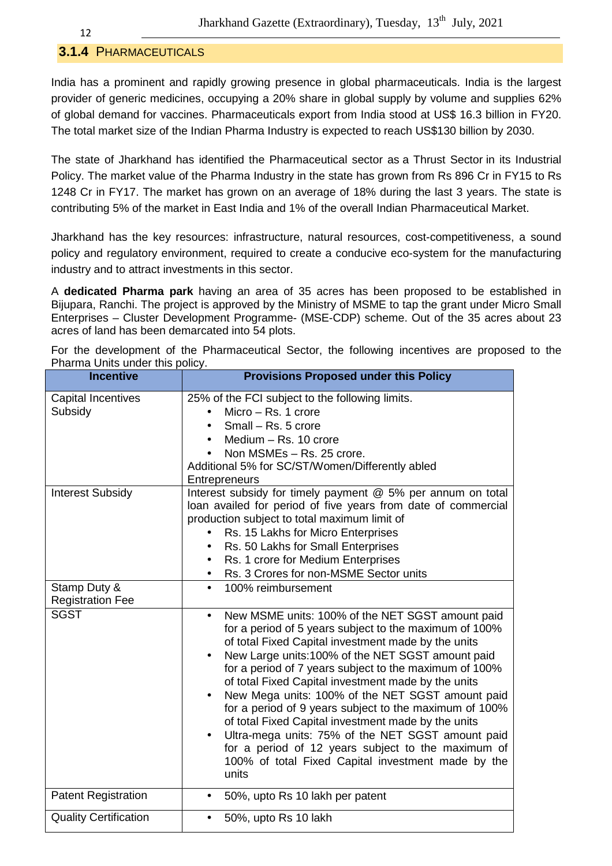#### **3.1.4** PHARMACEUTICALS

India has a prominent and rapidly growing presence in global pharmaceuticals. India is the largest provider of generic medicines, occupying a 20% share in global supply by volume and supplies 62% of global demand for vaccines. Pharmaceuticals export from India stood at US\$ 16.3 billion in FY20. The total market size of the Indian Pharma Industry is expected to reach US\$130 billion by 2030.

The state of Jharkhand has identified the Pharmaceutical sector as a Thrust Sector in its Industrial Policy. The market value of the Pharma Industry in the state has grown from Rs 896 Cr in FY15 to Rs 1248 Cr in FY17. The market has grown on an average of 18% during the last 3 years. The state is contributing 5% of the market in East India and 1% of the overall Indian Pharmaceutical Market.

Jharkhand has the key resources: infrastructure, natural resources, cost-competitiveness, a sound policy and regulatory environment, required to create a conducive eco-system for the manufacturing industry and to attract investments in this sector.

A **dedicated Pharma park** having an area of 35 acres has been proposed to be established in Bijupara, Ranchi. The project is approved by the Ministry of MSME to tap the grant under Micro Small Enterprises – Cluster Development Programme- (MSE-CDP) scheme. Out of the 35 acres about 23 acres of land has been demarcated into 54 plots.

For the development of the Pharmaceutical Sector, the following incentives are proposed to the Pharma Units under this policy.

| <b>Incentive</b>                        | <b>Provisions Proposed under this Policy</b>                                                                                                                                                                                                                                                                                                                                                                                                                                                                                                                                                                                                                                          |
|-----------------------------------------|---------------------------------------------------------------------------------------------------------------------------------------------------------------------------------------------------------------------------------------------------------------------------------------------------------------------------------------------------------------------------------------------------------------------------------------------------------------------------------------------------------------------------------------------------------------------------------------------------------------------------------------------------------------------------------------|
| <b>Capital Incentives</b><br>Subsidy    | 25% of the FCI subject to the following limits.<br>Micro $-$ Rs. 1 crore<br>Small - Rs. 5 crore<br>Medium - Rs. 10 crore<br>Non MSMEs - Rs. 25 crore.<br>Additional 5% for SC/ST/Women/Differently abled<br>Entrepreneurs                                                                                                                                                                                                                                                                                                                                                                                                                                                             |
| <b>Interest Subsidy</b>                 | Interest subsidy for timely payment @ 5% per annum on total<br>loan availed for period of five years from date of commercial<br>production subject to total maximum limit of<br>Rs. 15 Lakhs for Micro Enterprises<br>Rs. 50 Lakhs for Small Enterprises<br>٠<br>Rs. 1 crore for Medium Enterprises<br>Rs. 3 Crores for non-MSME Sector units<br>$\bullet$                                                                                                                                                                                                                                                                                                                            |
| Stamp Duty &<br><b>Registration Fee</b> | 100% reimbursement<br>$\bullet$                                                                                                                                                                                                                                                                                                                                                                                                                                                                                                                                                                                                                                                       |
| <b>SGST</b>                             | New MSME units: 100% of the NET SGST amount paid<br>for a period of 5 years subject to the maximum of 100%<br>of total Fixed Capital investment made by the units<br>New Large units:100% of the NET SGST amount paid<br>for a period of 7 years subject to the maximum of 100%<br>of total Fixed Capital investment made by the units<br>New Mega units: 100% of the NET SGST amount paid<br>for a period of 9 years subject to the maximum of 100%<br>of total Fixed Capital investment made by the units<br>Ultra-mega units: 75% of the NET SGST amount paid<br>for a period of 12 years subject to the maximum of<br>100% of total Fixed Capital investment made by the<br>units |
| <b>Patent Registration</b>              | 50%, upto Rs 10 lakh per patent                                                                                                                                                                                                                                                                                                                                                                                                                                                                                                                                                                                                                                                       |
| <b>Quality Certification</b>            | 50%, upto Rs 10 lakh                                                                                                                                                                                                                                                                                                                                                                                                                                                                                                                                                                                                                                                                  |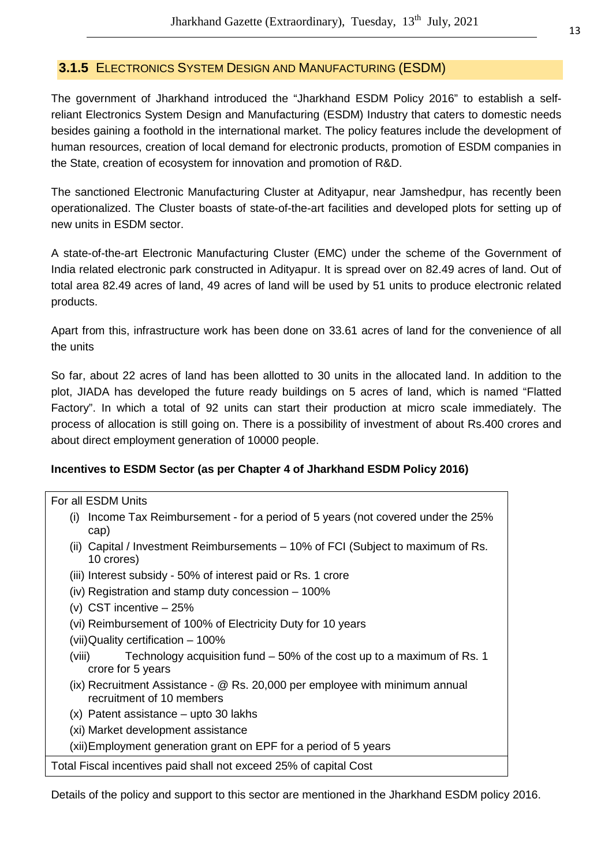#### **3.1.5** ELECTRONICS SYSTEM DESIGN AND MANUFACTURING (ESDM)

The government of Jharkhand introduced the "Jharkhand ESDM Policy 2016" to establish a selfreliant Electronics System Design and Manufacturing (ESDM) Industry that caters to domestic needs besides gaining a foothold in the international market. The policy features include the development of human resources, creation of local demand for electronic products, promotion of ESDM companies in the State, creation of ecosystem for innovation and promotion of R&D.

The sanctioned Electronic Manufacturing Cluster at Adityapur, near Jamshedpur, has recently been operationalized. The Cluster boasts of state-of-the-art facilities and developed plots for setting up of new units in ESDM sector.

A state-of-the-art Electronic Manufacturing Cluster (EMC) under the scheme of the Government of India related electronic park constructed in Adityapur. It is spread over on 82.49 acres of land. Out of total area 82.49 acres of land, 49 acres of land will be used by 51 units to produce electronic related products.

Apart from this, infrastructure work has been done on 33.61 acres of land for the convenience of all the units

So far, about 22 acres of land has been allotted to 30 units in the allocated land. In addition to the plot, JIADA has developed the future ready buildings on 5 acres of land, which is named "Flatted Factory". In which a total of 92 units can start their production at micro scale immediately. The process of allocation is still going on. There is a possibility of investment of about Rs.400 crores and about direct employment generation of 10000 people.

#### **Incentives to ESDM Sector (as per Chapter 4 of Jharkhand ESDM Policy 2016)**

#### For all ESDM Units

- (i) Income Tax Reimbursement for a period of 5 years (not covered under the 25% cap)
- (ii) Capital / Investment Reimbursements 10% of FCI (Subject to maximum of Rs. 10 crores)
- (iii) Interest subsidy 50% of interest paid or Rs. 1 crore
- (iv) Registration and stamp duty concession 100%
- (v) CST incentive 25%
- (vi) Reimbursement of 100% of Electricity Duty for 10 years
- (vii) Quality certification 100%
- (viii) Technology acquisition fund 50% of the cost up to a maximum of Rs. 1 crore for 5 years
- (ix) Recruitment Assistance @ Rs. 20,000 per employee with minimum annual recruitment of 10 members
- (x) Patent assistance upto 30 lakhs
- (xi) Market development assistance

(xii) Employment generation grant on EPF for a period of 5 years

Total Fiscal incentives paid shall not exceed 25% of capital Cost

Details of the policy and support to this sector are mentioned in the Jharkhand ESDM policy 2016.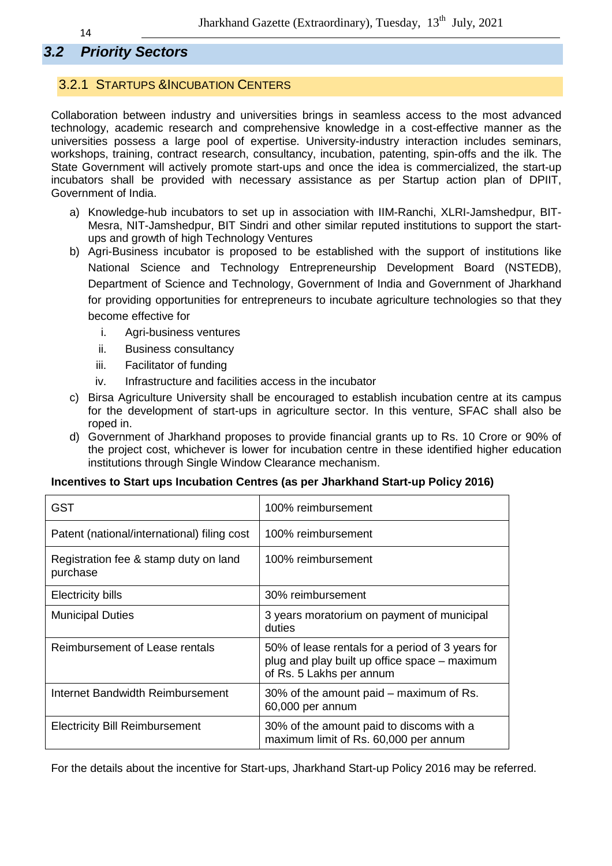# **3.2 Priority Sectors**

#### 3.2.1 STARTUPS &INCUBATION CENTERS

Collaboration between industry and universities brings in seamless access to the most advanced technology, academic research and comprehensive knowledge in a cost-effective manner as the universities possess a large pool of expertise. University-industry interaction includes seminars, workshops, training, contract research, consultancy, incubation, patenting, spin-offs and the ilk. The State Government will actively promote start-ups and once the idea is commercialized, the start-up incubators shall be provided with necessary assistance as per Startup action plan of DPIIT, Government of India.

- a) Knowledge-hub incubators to set up in association with IIM-Ranchi, XLRI-Jamshedpur, BIT-Mesra, NIT-Jamshedpur, BIT Sindri and other similar reputed institutions to support the startups and growth of high Technology Ventures
- b) Agri-Business incubator is proposed to be established with the support of institutions like National Science and Technology Entrepreneurship Development Board (NSTEDB), Department of Science and Technology, Government of India and Government of Jharkhand for providing opportunities for entrepreneurs to incubate agriculture technologies so that they become effective for
	- i. Agri-business ventures
	- ii. Business consultancy
	- iii. Facilitator of funding
	- iv. Infrastructure and facilities access in the incubator
- c) Birsa Agriculture University shall be encouraged to establish incubation centre at its campus for the development of start-ups in agriculture sector. In this venture, SFAC shall also be roped in.
- d) Government of Jharkhand proposes to provide financial grants up to Rs. 10 Crore or 90% of the project cost, whichever is lower for incubation centre in these identified higher education institutions through Single Window Clearance mechanism.

#### **Incentives to Start ups Incubation Centres (as per Jharkhand Start-up Policy 2016)**

| <b>GST</b>                                        | 100% reimbursement                                                                                                            |
|---------------------------------------------------|-------------------------------------------------------------------------------------------------------------------------------|
| Patent (national/international) filing cost       | 100% reimbursement                                                                                                            |
| Registration fee & stamp duty on land<br>purchase | 100% reimbursement                                                                                                            |
| <b>Electricity bills</b>                          | 30% reimbursement                                                                                                             |
| <b>Municipal Duties</b>                           | 3 years moratorium on payment of municipal<br>duties                                                                          |
| Reimbursement of Lease rentals                    | 50% of lease rentals for a period of 3 years for<br>plug and play built up office space – maximum<br>of Rs. 5 Lakhs per annum |
| Internet Bandwidth Reimbursement                  | 30% of the amount paid – maximum of Rs.<br>60,000 per annum                                                                   |
| <b>Electricity Bill Reimbursement</b>             | 30% of the amount paid to discoms with a<br>maximum limit of Rs. 60,000 per annum                                             |

For the details about the incentive for Start-ups, Jharkhand Start-up Policy 2016 may be referred.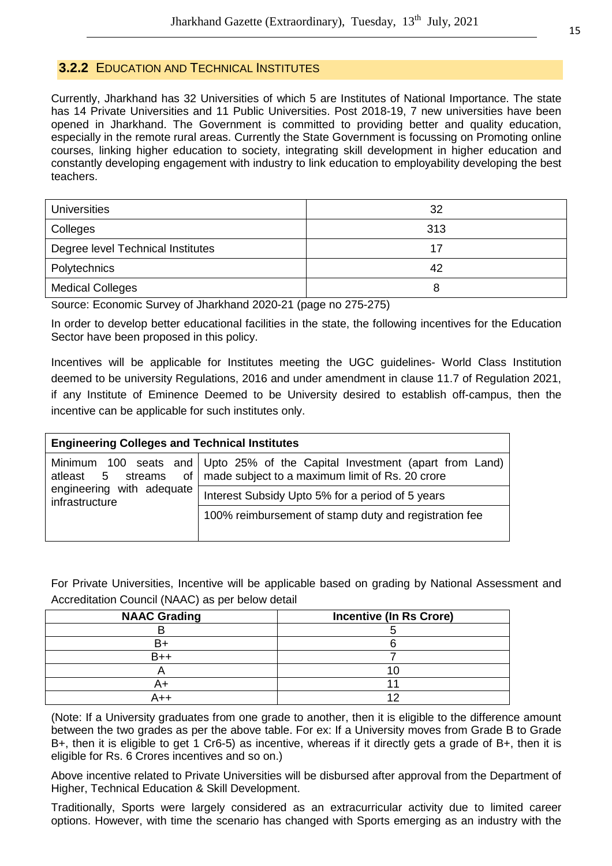#### **3.2.2** EDUCATION AND TECHNICAL INSTITUTES

Currently, Jharkhand has 32 Universities of which 5 are Institutes of National Importance. The state has 14 Private Universities and 11 Public Universities. Post 2018-19, 7 new universities have been opened in Jharkhand. The Government is committed to providing better and quality education, especially in the remote rural areas. Currently the State Government is focussing on Promoting online courses, linking higher education to society, integrating skill development in higher education and constantly developing engagement with industry to link education to employability developing the best teachers.

| <b>Universities</b>               | 32  |
|-----------------------------------|-----|
| Colleges                          | 313 |
| Degree level Technical Institutes | 17  |
| Polytechnics                      | 42  |
| <b>Medical Colleges</b>           | 8   |

Source: Economic Survey of Jharkhand 2020-21 (page no 275-275)

In order to develop better educational facilities in the state, the following incentives for the Education Sector have been proposed in this policy.

Incentives will be applicable for Institutes meeting the UGC guidelines- World Class Institution deemed to be university Regulations, 2016 and under amendment in clause 11.7 of Regulation 2021, if any Institute of Eminence Deemed to be University desired to establish off-campus, then the incentive can be applicable for such institutes only.

| <b>Engineering Colleges and Technical Institutes</b> |                                                                                                                                            |  |
|------------------------------------------------------|--------------------------------------------------------------------------------------------------------------------------------------------|--|
| atleast 5                                            | Minimum 100 seats and Upto 25% of the Capital Investment (apart from Land)<br>streams of   made subject to a maximum limit of Rs. 20 crore |  |
| engineering with adequate<br>infrastructure          | Interest Subsidy Upto 5% for a period of 5 years                                                                                           |  |
|                                                      | 100% reimbursement of stamp duty and registration fee                                                                                      |  |

For Private Universities, Incentive will be applicable based on grading by National Assessment and Accreditation Council (NAAC) as per below detail

| <b>NAAC Grading</b> | <b>Incentive (In Rs Crore)</b> |
|---------------------|--------------------------------|
|                     |                                |
|                     |                                |
| B++                 |                                |
|                     |                                |
|                     |                                |
|                     |                                |

(Note: If a University graduates from one grade to another, then it is eligible to the difference amount between the two grades as per the above table. For ex: If a University moves from Grade B to Grade B+, then it is eligible to get 1 Cr6-5) as incentive, whereas if it directly gets a grade of B+, then it is eligible for Rs. 6 Crores incentives and so on.)

Above incentive related to Private Universities will be disbursed after approval from the Department of Higher, Technical Education & Skill Development.

Traditionally, Sports were largely considered as an extracurricular activity due to limited career options. However, with time the scenario has changed with Sports emerging as an industry with the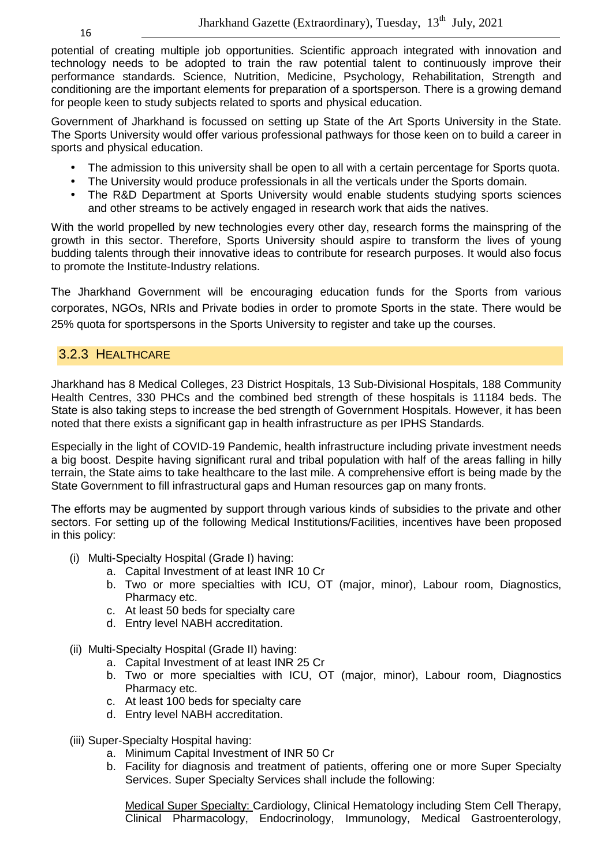potential of creating multiple job opportunities. Scientific approach integrated with innovation and technology needs to be adopted to train the raw potential talent to continuously improve their performance standards. Science, Nutrition, Medicine, Psychology, Rehabilitation, Strength and conditioning are the important elements for preparation of a sportsperson. There is a growing demand for people keen to study subjects related to sports and physical education.

Government of Jharkhand is focussed on setting up State of the Art Sports University in the State. The Sports University would offer various professional pathways for those keen on to build a career in sports and physical education.

- The admission to this university shall be open to all with a certain percentage for Sports quota.
- The University would produce professionals in all the verticals under the Sports domain.
- The R&D Department at Sports University would enable students studying sports sciences and other streams to be actively engaged in research work that aids the natives.

With the world propelled by new technologies every other day, research forms the mainspring of the growth in this sector. Therefore, Sports University should aspire to transform the lives of young budding talents through their innovative ideas to contribute for research purposes. It would also focus to promote the Institute-Industry relations.

The Jharkhand Government will be encouraging education funds for the Sports from various corporates, NGOs, NRIs and Private bodies in order to promote Sports in the state. There would be 25% quota for sportspersons in the Sports University to register and take up the courses.

#### 3.2.3 HEALTHCARE

Jharkhand has 8 Medical Colleges, 23 District Hospitals, 13 Sub-Divisional Hospitals, 188 Community Health Centres, 330 PHCs and the combined bed strength of these hospitals is 11184 beds. The State is also taking steps to increase the bed strength of Government Hospitals. However, it has been noted that there exists a significant gap in health infrastructure as per IPHS Standards.

Especially in the light of COVID-19 Pandemic, health infrastructure including private investment needs a big boost. Despite having significant rural and tribal population with half of the areas falling in hilly terrain, the State aims to take healthcare to the last mile. A comprehensive effort is being made by the State Government to fill infrastructural gaps and Human resources gap on many fronts.

The efforts may be augmented by support through various kinds of subsidies to the private and other sectors. For setting up of the following Medical Institutions/Facilities, incentives have been proposed in this policy:

- (i) Multi-Specialty Hospital (Grade I) having:
	- a. Capital Investment of at least INR 10 Cr
	- b. Two or more specialties with ICU, OT (major, minor), Labour room, Diagnostics, Pharmacy etc.
	- c. At least 50 beds for specialty care
	- d. Entry level NABH accreditation.
- (ii) Multi-Specialty Hospital (Grade II) having:
	- a. Capital Investment of at least INR 25 Cr
	- b. Two or more specialties with ICU, OT (major, minor), Labour room, Diagnostics Pharmacy etc.
	- c. At least 100 beds for specialty care
	- d. Entry level NABH accreditation.
- (iii) Super-Specialty Hospital having:
	- a. Minimum Capital Investment of INR 50 Cr
	- b. Facility for diagnosis and treatment of patients, offering one or more Super Specialty Services. Super Specialty Services shall include the following:

Medical Super Specialty: Cardiology, Clinical Hematology including Stem Cell Therapy, Clinical Pharmacology, Endocrinology, Immunology, Medical Gastroenterology,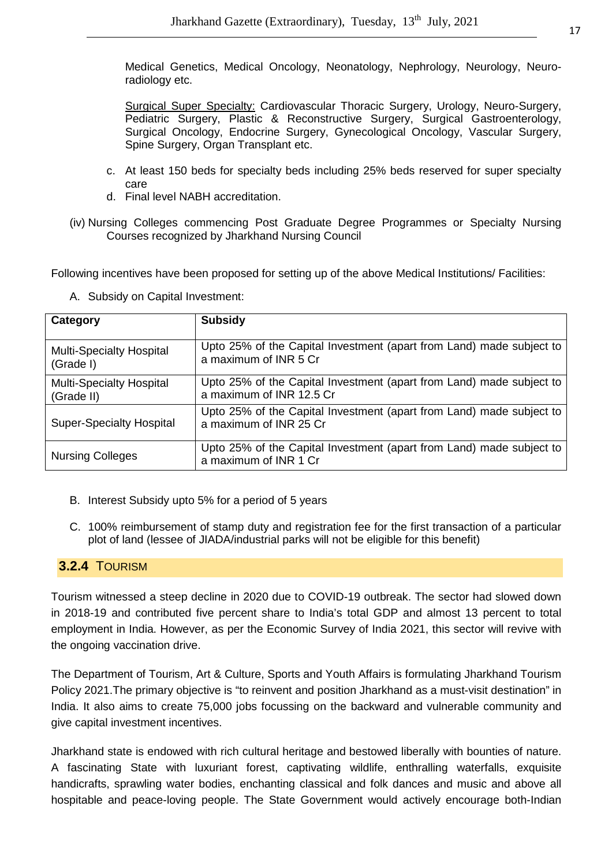Medical Genetics, Medical Oncology, Neonatology, Nephrology, Neurology, Neuroradiology etc.

Surgical Super Specialty: Cardiovascular Thoracic Surgery, Urology, Neuro-Surgery, Pediatric Surgery, Plastic & Reconstructive Surgery, Surgical Gastroenterology, Surgical Oncology, Endocrine Surgery, Gynecological Oncology, Vascular Surgery, Spine Surgery, Organ Transplant etc.

- c. At least 150 beds for specialty beds including 25% beds reserved for super specialty care
- d. Final level NABH accreditation.
- (iv) Nursing Colleges commencing Post Graduate Degree Programmes or Specialty Nursing Courses recognized by Jharkhand Nursing Council

Following incentives have been proposed for setting up of the above Medical Institutions/ Facilities:

| Category                                      | <b>Subsidy</b>                                                                                   |
|-----------------------------------------------|--------------------------------------------------------------------------------------------------|
| <b>Multi-Specialty Hospital</b><br>(Grade I)  | Upto 25% of the Capital Investment (apart from Land) made subject to<br>a maximum of INR 5 Cr    |
| <b>Multi-Specialty Hospital</b><br>(Grade II) | Upto 25% of the Capital Investment (apart from Land) made subject to<br>a maximum of INR 12.5 Cr |
| <b>Super-Specialty Hospital</b>               | Upto 25% of the Capital Investment (apart from Land) made subject to<br>a maximum of INR 25 Cr   |
| <b>Nursing Colleges</b>                       | Upto 25% of the Capital Investment (apart from Land) made subject to<br>a maximum of INR 1 Cr    |

A. Subsidy on Capital Investment:

- B. Interest Subsidy upto 5% for a period of 5 years
- C. 100% reimbursement of stamp duty and registration fee for the first transaction of a particular plot of land (lessee of JIADA/industrial parks will not be eligible for this benefit)

#### **3.2.4** TOURISM

Tourism witnessed a steep decline in 2020 due to COVID-19 outbreak. The sector had slowed down in 2018-19 and contributed five percent share to India's total GDP and almost 13 percent to total employment in India. However, as per the Economic Survey of India 2021, this sector will revive with the ongoing vaccination drive.

The Department of Tourism, Art & Culture, Sports and Youth Affairs is formulating Jharkhand Tourism Policy 2021.The primary objective is "to reinvent and position Jharkhand as a must-visit destination" in India. It also aims to create 75,000 jobs focussing on the backward and vulnerable community and give capital investment incentives.

Jharkhand state is endowed with rich cultural heritage and bestowed liberally with bounties of nature. A fascinating State with luxuriant forest, captivating wildlife, enthralling waterfalls, exquisite handicrafts, sprawling water bodies, enchanting classical and folk dances and music and above all hospitable and peace-loving people. The State Government would actively encourage both-Indian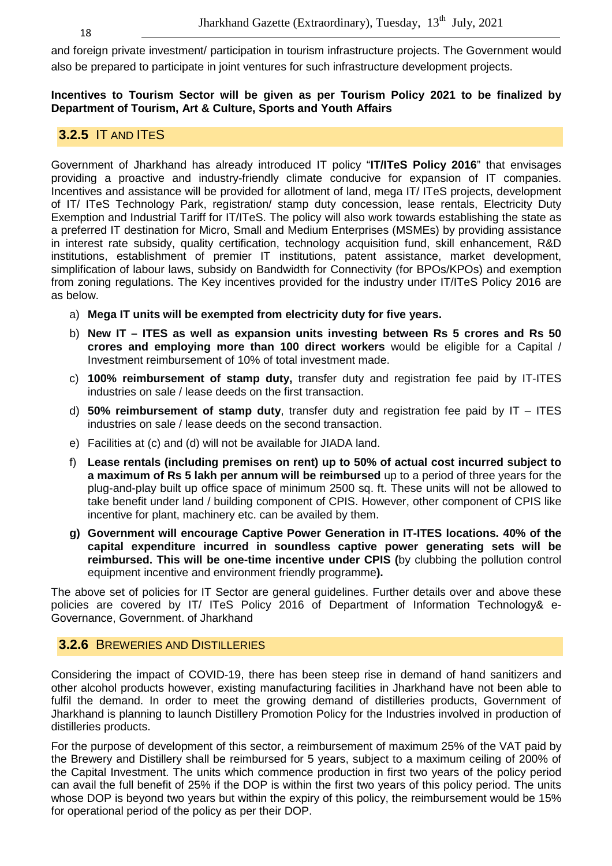and foreign private investment/ participation in tourism infrastructure projects. The Government would also be prepared to participate in joint ventures for such infrastructure development projects.

**Incentives to Tourism Sector will be given as per Tourism Policy 2021 to be finalized by Department of Tourism, Art & Culture, Sports and Youth Affairs** 

#### **3.2.5** IT AND ITES

Government of Jharkhand has already introduced IT policy "**IT/ITeS Policy 2016**" that envisages providing a proactive and industry-friendly climate conducive for expansion of IT companies. Incentives and assistance will be provided for allotment of land, mega IT/ ITeS projects, development of IT/ ITeS Technology Park, registration/ stamp duty concession, lease rentals, Electricity Duty Exemption and Industrial Tariff for IT/ITeS. The policy will also work towards establishing the state as a preferred IT destination for Micro, Small and Medium Enterprises (MSMEs) by providing assistance in interest rate subsidy, quality certification, technology acquisition fund, skill enhancement, R&D institutions, establishment of premier IT institutions, patent assistance, market development, simplification of labour laws, subsidy on Bandwidth for Connectivity (for BPOs/KPOs) and exemption from zoning regulations. The Key incentives provided for the industry under IT/ITeS Policy 2016 are as below.

- a) **Mega IT units will be exempted from electricity duty for five years.**
- b) **New IT ITES as well as expansion units investing between Rs 5 crores and Rs 50 crores and employing more than 100 direct workers** would be eligible for a Capital / Investment reimbursement of 10% of total investment made.
- c) **100% reimbursement of stamp duty,** transfer duty and registration fee paid by IT-ITES industries on sale / lease deeds on the first transaction.
- d) **50% reimbursement of stamp duty**, transfer duty and registration fee paid by IT ITES industries on sale / lease deeds on the second transaction.
- e) Facilities at (c) and (d) will not be available for JIADA land.
- f) **Lease rentals (including premises on rent) up to 50% of actual cost incurred subject to a maximum of Rs 5 lakh per annum will be reimbursed** up to a period of three years for the plug-and-play built up office space of minimum 2500 sq. ft. These units will not be allowed to take benefit under land / building component of CPIS. However, other component of CPIS like incentive for plant, machinery etc. can be availed by them.
- **g) Government will encourage Captive Power Generation in IT-ITES locations. 40% of the capital expenditure incurred in soundless captive power generating sets will be reimbursed. This will be one-time incentive under CPIS (**by clubbing the pollution control equipment incentive and environment friendly programme**).**

The above set of policies for IT Sector are general guidelines. Further details over and above these policies are covered by IT/ ITeS Policy 2016 of Department of Information Technology& e-Governance, Government. of Jharkhand

#### **3.2.6** BREWERIES AND DISTILLERIES

Considering the impact of COVID-19, there has been steep rise in demand of hand sanitizers and other alcohol products however, existing manufacturing facilities in Jharkhand have not been able to fulfil the demand. In order to meet the growing demand of distilleries products, Government of Jharkhand is planning to launch Distillery Promotion Policy for the Industries involved in production of distilleries products.

For the purpose of development of this sector, a reimbursement of maximum 25% of the VAT paid by the Brewery and Distillery shall be reimbursed for 5 years, subject to a maximum ceiling of 200% of the Capital Investment. The units which commence production in first two years of the policy period can avail the full benefit of 25% if the DOP is within the first two years of this policy period. The units whose DOP is beyond two years but within the expiry of this policy, the reimbursement would be 15% for operational period of the policy as per their DOP.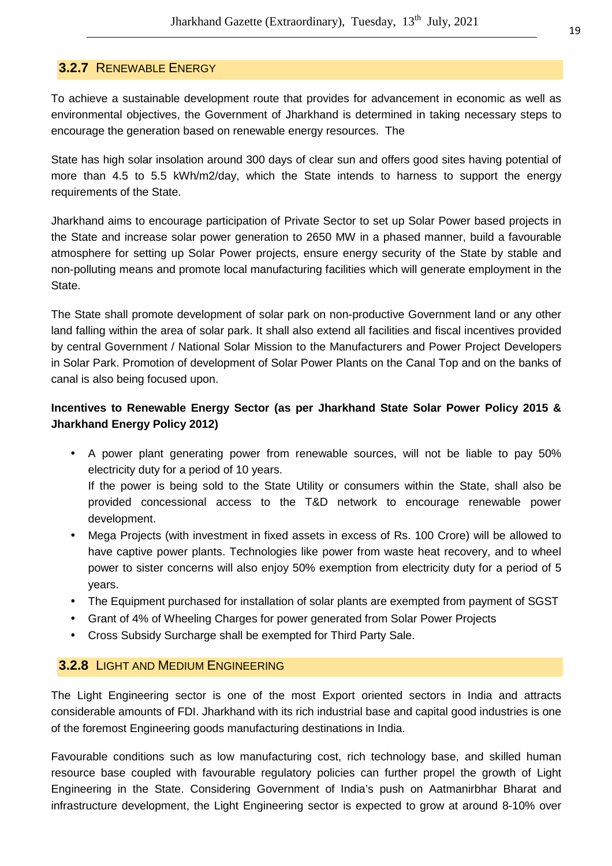#### **3.2.7** RENEWABLE ENERGY

To achieve a sustainable development route that provides for advancement in economic as well as environmental objectives, the Government of Jharkhand is determined in taking necessary steps to encourage the generation based on renewable energy resources. The

State has high solar insolation around 300 days of clear sun and offers good sites having potential of more than 4.5 to 5.5 kWh/m2/day, which the State intends to harness to support the energy requirements of the State.

Jharkhand aims to encourage participation of Private Sector to set up Solar Power based projects in the State and increase solar power generation to 2650 MW in a phased manner, build a favourable atmosphere for setting up Solar Power projects, ensure energy security of the State by stable and non-polluting means and promote local manufacturing facilities which will generate employment in the State.

The State shall promote development of solar park on non-productive Government land or any other land falling within the area of solar park. It shall also extend all facilities and fiscal incentives provided by central Government / National Solar Mission to the Manufacturers and Power Project Developers in Solar Park. Promotion of development of Solar Power Plants on the Canal Top and on the banks of canal is also being focused upon.

# **Incentives to Renewable Energy Sector (as per Jharkhand State Solar Power Policy 2015 & Jharkhand Energy Policy 2012)**

- A power plant generating power from renewable sources, will not be liable to pay 50% electricity duty for a period of 10 years. If the power is being sold to the State Utility or consumers within the State, shall also be provided concessional access to the T&D network to encourage renewable power development.
- Mega Projects (with investment in fixed assets in excess of Rs. 100 Crore) will be allowed to have captive power plants. Technologies like power from waste heat recovery, and to wheel power to sister concerns will also enjoy 50% exemption from electricity duty for a period of 5 years.
- The Equipment purchased for installation of solar plants are exempted from payment of SGST
- Grant of 4% of Wheeling Charges for power generated from Solar Power Projects
- Cross Subsidy Surcharge shall be exempted for Third Party Sale.

#### **3.2.8** LIGHT AND MEDIUM ENGINEERING

The Light Engineering sector is one of the most Export oriented sectors in India and attracts considerable amounts of FDI. Jharkhand with its rich industrial base and capital good industries is one of the foremost Engineering goods manufacturing destinations in India.

Favourable conditions such as low manufacturing cost, rich technology base, and skilled human resource base coupled with favourable regulatory policies can further propel the growth of Light Engineering in the State. Considering Government of India's push on Aatmanirbhar Bharat and infrastructure development, the Light Engineering sector is expected to grow at around 8-10% over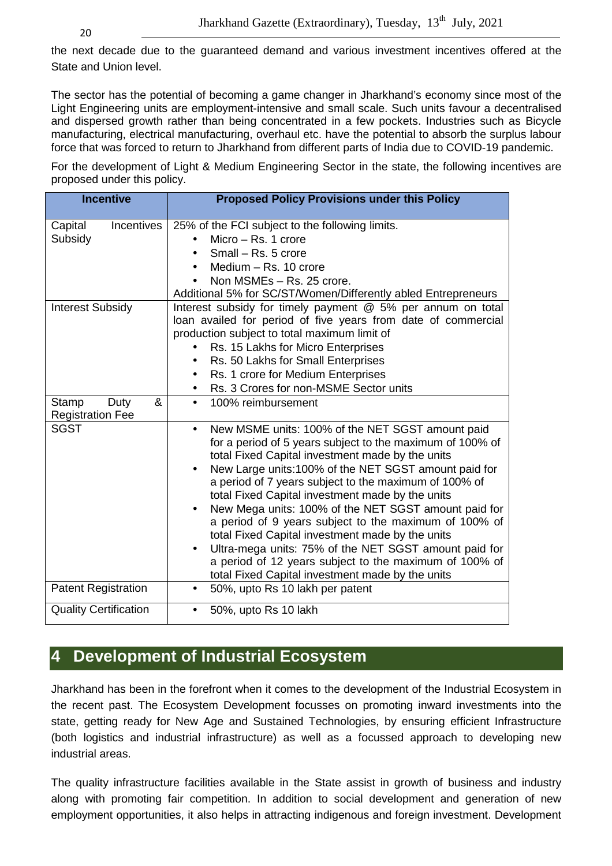the next decade due to the guaranteed demand and various investment incentives offered at the State and Union level.

The sector has the potential of becoming a game changer in Jharkhand's economy since most of the Light Engineering units are employment-intensive and small scale. Such units favour a decentralised and dispersed growth rather than being concentrated in a few pockets. Industries such as Bicycle manufacturing, electrical manufacturing, overhaul etc. have the potential to absorb the surplus labour force that was forced to return to Jharkhand from different parts of India due to COVID-19 pandemic.

For the development of Light & Medium Engineering Sector in the state, the following incentives are proposed under this policy.

| <b>Incentive</b>                              | <b>Proposed Policy Provisions under this Policy</b>                                                                                                                                                                                                                                                                                                                                                                                                                                                                                                                                                                                                                                             |
|-----------------------------------------------|-------------------------------------------------------------------------------------------------------------------------------------------------------------------------------------------------------------------------------------------------------------------------------------------------------------------------------------------------------------------------------------------------------------------------------------------------------------------------------------------------------------------------------------------------------------------------------------------------------------------------------------------------------------------------------------------------|
| <b>Incentives</b><br>Capital<br>Subsidy       | 25% of the FCI subject to the following limits.<br>Micro $-$ Rs. 1 crore<br>Small - Rs. 5 crore<br>Medium - Rs. 10 crore<br>Non MSMEs - Rs. 25 crore.<br>Additional 5% for SC/ST/Women/Differently abled Entrepreneurs                                                                                                                                                                                                                                                                                                                                                                                                                                                                          |
| <b>Interest Subsidy</b>                       | Interest subsidy for timely payment @ 5% per annum on total<br>loan availed for period of five years from date of commercial<br>production subject to total maximum limit of<br>Rs. 15 Lakhs for Micro Enterprises<br>Rs. 50 Lakhs for Small Enterprises<br>$\bullet$<br>Rs. 1 crore for Medium Enterprises<br>$\bullet$<br>Rs. 3 Crores for non-MSME Sector units                                                                                                                                                                                                                                                                                                                              |
| Duty<br>&<br>Stamp<br><b>Registration Fee</b> | 100% reimbursement<br>$\bullet$                                                                                                                                                                                                                                                                                                                                                                                                                                                                                                                                                                                                                                                                 |
| <b>SGST</b>                                   | New MSME units: 100% of the NET SGST amount paid<br>$\bullet$<br>for a period of 5 years subject to the maximum of 100% of<br>total Fixed Capital investment made by the units<br>New Large units:100% of the NET SGST amount paid for<br>a period of 7 years subject to the maximum of 100% of<br>total Fixed Capital investment made by the units<br>New Mega units: 100% of the NET SGST amount paid for<br>a period of 9 years subject to the maximum of 100% of<br>total Fixed Capital investment made by the units<br>Ultra-mega units: 75% of the NET SGST amount paid for<br>a period of 12 years subject to the maximum of 100% of<br>total Fixed Capital investment made by the units |
| <b>Patent Registration</b>                    | 50%, upto Rs 10 lakh per patent                                                                                                                                                                                                                                                                                                                                                                                                                                                                                                                                                                                                                                                                 |
| <b>Quality Certification</b>                  | 50%, upto Rs 10 lakh<br>$\bullet$                                                                                                                                                                                                                                                                                                                                                                                                                                                                                                                                                                                                                                                               |

# **4 Development of Industrial Ecosystem**

Jharkhand has been in the forefront when it comes to the development of the Industrial Ecosystem in the recent past. The Ecosystem Development focusses on promoting inward investments into the state, getting ready for New Age and Sustained Technologies, by ensuring efficient Infrastructure (both logistics and industrial infrastructure) as well as a focussed approach to developing new industrial areas.

The quality infrastructure facilities available in the State assist in growth of business and industry along with promoting fair competition. In addition to social development and generation of new employment opportunities, it also helps in attracting indigenous and foreign investment. Development

20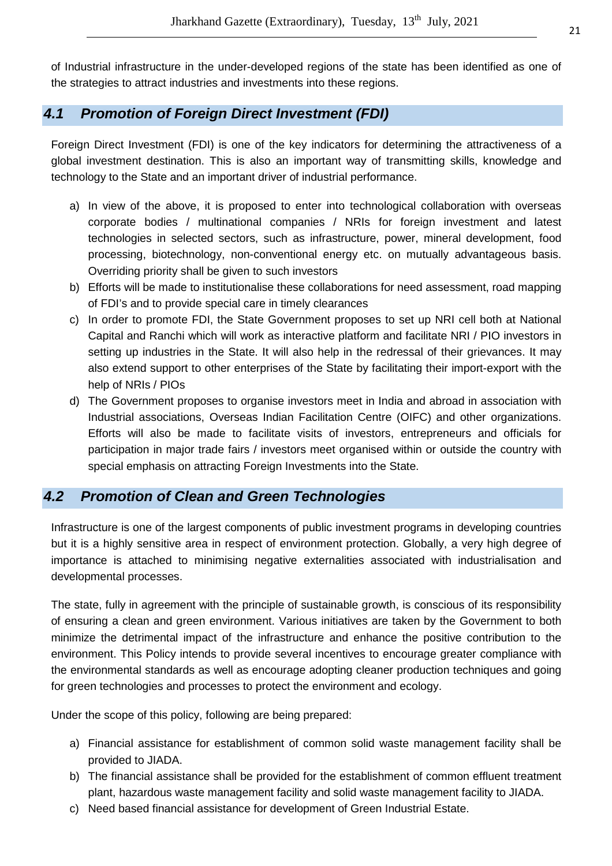of Industrial infrastructure in the under-developed regions of the state has been identified as one of the strategies to attract industries and investments into these regions.

# **4.1 Promotion of Foreign Direct Investment (FDI)**

Foreign Direct Investment (FDI) is one of the key indicators for determining the attractiveness of a global investment destination. This is also an important way of transmitting skills, knowledge and technology to the State and an important driver of industrial performance.

- a) In view of the above, it is proposed to enter into technological collaboration with overseas corporate bodies / multinational companies / NRIs for foreign investment and latest technologies in selected sectors, such as infrastructure, power, mineral development, food processing, biotechnology, non-conventional energy etc. on mutually advantageous basis. Overriding priority shall be given to such investors
- b) Efforts will be made to institutionalise these collaborations for need assessment, road mapping of FDI's and to provide special care in timely clearances
- c) In order to promote FDI, the State Government proposes to set up NRI cell both at National Capital and Ranchi which will work as interactive platform and facilitate NRI / PIO investors in setting up industries in the State. It will also help in the redressal of their grievances. It may also extend support to other enterprises of the State by facilitating their import-export with the help of NRIs / PIOs
- d) The Government proposes to organise investors meet in India and abroad in association with Industrial associations, Overseas Indian Facilitation Centre (OIFC) and other organizations. Efforts will also be made to facilitate visits of investors, entrepreneurs and officials for participation in major trade fairs / investors meet organised within or outside the country with special emphasis on attracting Foreign Investments into the State.

# **4.2 Promotion of Clean and Green Technologies**

Infrastructure is one of the largest components of public investment programs in developing countries but it is a highly sensitive area in respect of environment protection. Globally, a very high degree of importance is attached to minimising negative externalities associated with industrialisation and developmental processes.

The state, fully in agreement with the principle of sustainable growth, is conscious of its responsibility of ensuring a clean and green environment. Various initiatives are taken by the Government to both minimize the detrimental impact of the infrastructure and enhance the positive contribution to the environment. This Policy intends to provide several incentives to encourage greater compliance with the environmental standards as well as encourage adopting cleaner production techniques and going for green technologies and processes to protect the environment and ecology.

Under the scope of this policy, following are being prepared:

- a) Financial assistance for establishment of common solid waste management facility shall be provided to JIADA.
- b) The financial assistance shall be provided for the establishment of common effluent treatment plant, hazardous waste management facility and solid waste management facility to JIADA.
- c) Need based financial assistance for development of Green Industrial Estate.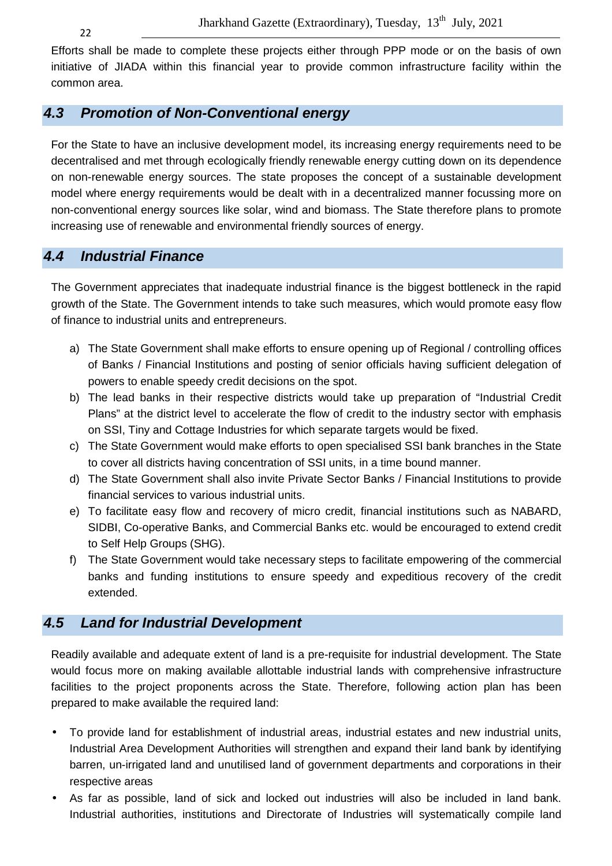Efforts shall be made to complete these projects either through PPP mode or on the basis of own initiative of JIADA within this financial year to provide common infrastructure facility within the common area.

# **4.3 Promotion of Non-Conventional energy**

For the State to have an inclusive development model, its increasing energy requirements need to be decentralised and met through ecologically friendly renewable energy cutting down on its dependence on non-renewable energy sources. The state proposes the concept of a sustainable development model where energy requirements would be dealt with in a decentralized manner focussing more on non-conventional energy sources like solar, wind and biomass. The State therefore plans to promote increasing use of renewable and environmental friendly sources of energy.

# **4.4 Industrial Finance**

The Government appreciates that inadequate industrial finance is the biggest bottleneck in the rapid growth of the State. The Government intends to take such measures, which would promote easy flow of finance to industrial units and entrepreneurs.

- a) The State Government shall make efforts to ensure opening up of Regional / controlling offices of Banks / Financial Institutions and posting of senior officials having sufficient delegation of powers to enable speedy credit decisions on the spot.
- b) The lead banks in their respective districts would take up preparation of "Industrial Credit Plans" at the district level to accelerate the flow of credit to the industry sector with emphasis on SSI, Tiny and Cottage Industries for which separate targets would be fixed.
- c) The State Government would make efforts to open specialised SSI bank branches in the State to cover all districts having concentration of SSI units, in a time bound manner.
- d) The State Government shall also invite Private Sector Banks / Financial Institutions to provide financial services to various industrial units.
- e) To facilitate easy flow and recovery of micro credit, financial institutions such as NABARD, SIDBI, Co-operative Banks, and Commercial Banks etc. would be encouraged to extend credit to Self Help Groups (SHG).
- f) The State Government would take necessary steps to facilitate empowering of the commercial banks and funding institutions to ensure speedy and expeditious recovery of the credit extended.

# **4.5 Land for Industrial Development**

Readily available and adequate extent of land is a pre-requisite for industrial development. The State would focus more on making available allottable industrial lands with comprehensive infrastructure facilities to the project proponents across the State. Therefore, following action plan has been prepared to make available the required land:

- To provide land for establishment of industrial areas, industrial estates and new industrial units, Industrial Area Development Authorities will strengthen and expand their land bank by identifying barren, un-irrigated land and unutilised land of government departments and corporations in their respective areas
- As far as possible, land of sick and locked out industries will also be included in land bank. Industrial authorities, institutions and Directorate of Industries will systematically compile land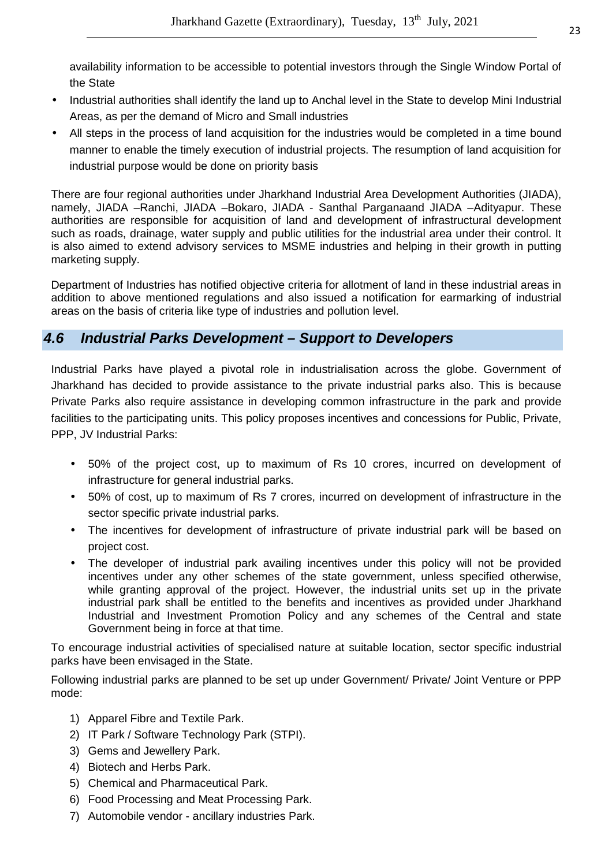availability information to be accessible to potential investors through the Single Window Portal of the State

- Industrial authorities shall identify the land up to Anchal level in the State to develop Mini Industrial Areas, as per the demand of Micro and Small industries
- All steps in the process of land acquisition for the industries would be completed in a time bound manner to enable the timely execution of industrial projects. The resumption of land acquisition for industrial purpose would be done on priority basis

There are four regional authorities under Jharkhand Industrial Area Development Authorities (JIADA), namely, JIADA –Ranchi, JIADA –Bokaro, JIADA - Santhal Parganaand JIADA –Adityapur. These authorities are responsible for acquisition of land and development of infrastructural development such as roads, drainage, water supply and public utilities for the industrial area under their control. It is also aimed to extend advisory services to MSME industries and helping in their growth in putting marketing supply.

Department of Industries has notified objective criteria for allotment of land in these industrial areas in addition to above mentioned regulations and also issued a notification for earmarking of industrial areas on the basis of criteria like type of industries and pollution level.

# **4.6 Industrial Parks Development – Support to Developers**

Industrial Parks have played a pivotal role in industrialisation across the globe. Government of Jharkhand has decided to provide assistance to the private industrial parks also. This is because Private Parks also require assistance in developing common infrastructure in the park and provide facilities to the participating units. This policy proposes incentives and concessions for Public, Private, PPP, JV Industrial Parks:

- 50% of the project cost, up to maximum of Rs 10 crores, incurred on development of infrastructure for general industrial parks.
- 50% of cost, up to maximum of Rs 7 crores, incurred on development of infrastructure in the sector specific private industrial parks.
- The incentives for development of infrastructure of private industrial park will be based on project cost.
- The developer of industrial park availing incentives under this policy will not be provided incentives under any other schemes of the state government, unless specified otherwise, while granting approval of the project. However, the industrial units set up in the private industrial park shall be entitled to the benefits and incentives as provided under Jharkhand Industrial and Investment Promotion Policy and any schemes of the Central and state Government being in force at that time.

To encourage industrial activities of specialised nature at suitable location, sector specific industrial parks have been envisaged in the State.

Following industrial parks are planned to be set up under Government/ Private/ Joint Venture or PPP mode:

- 1) Apparel Fibre and Textile Park.
- 2) IT Park / Software Technology Park (STPI).
- 3) Gems and Jewellery Park.
- 4) Biotech and Herbs Park.
- 5) Chemical and Pharmaceutical Park.
- 6) Food Processing and Meat Processing Park.
- 7) Automobile vendor ancillary industries Park.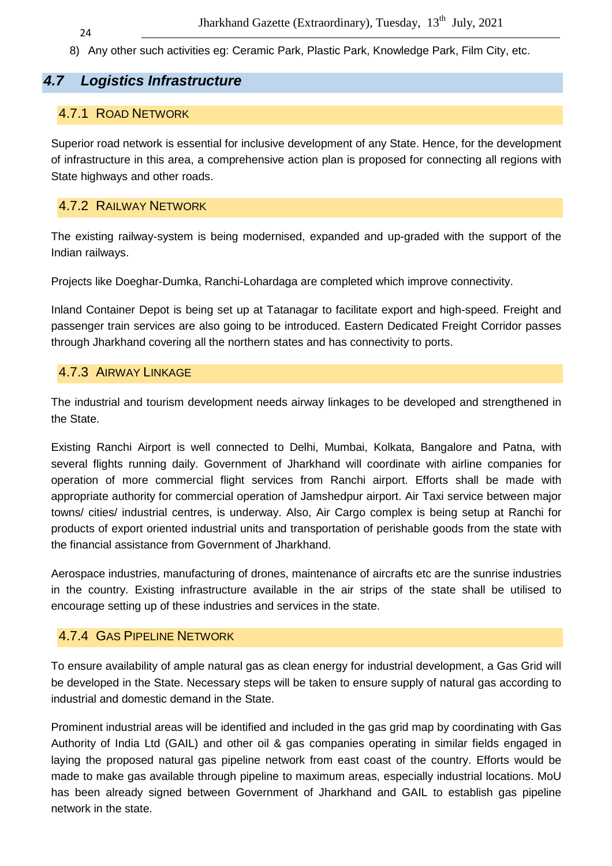8) Any other such activities eg: Ceramic Park, Plastic Park, Knowledge Park, Film City, etc.

# **4.7 Logistics Infrastructure**

# 4.7.1 ROAD NETWORK

Superior road network is essential for inclusive development of any State. Hence, for the development of infrastructure in this area, a comprehensive action plan is proposed for connecting all regions with State highways and other roads.

# 4.7.2 RAILWAY NETWORK

The existing railway-system is being modernised, expanded and up-graded with the support of the Indian railways.

Projects like Doeghar-Dumka, Ranchi-Lohardaga are completed which improve connectivity.

Inland Container Depot is being set up at Tatanagar to facilitate export and high-speed. Freight and passenger train services are also going to be introduced. Eastern Dedicated Freight Corridor passes through Jharkhand covering all the northern states and has connectivity to ports.

# 4.7.3 AIRWAY LINKAGE

The industrial and tourism development needs airway linkages to be developed and strengthened in the State.

Existing Ranchi Airport is well connected to Delhi, Mumbai, Kolkata, Bangalore and Patna, with several flights running daily. Government of Jharkhand will coordinate with airline companies for operation of more commercial flight services from Ranchi airport. Efforts shall be made with appropriate authority for commercial operation of Jamshedpur airport. Air Taxi service between major towns/ cities/ industrial centres, is underway. Also, Air Cargo complex is being setup at Ranchi for products of export oriented industrial units and transportation of perishable goods from the state with the financial assistance from Government of Jharkhand.

Aerospace industries, manufacturing of drones, maintenance of aircrafts etc are the sunrise industries in the country. Existing infrastructure available in the air strips of the state shall be utilised to encourage setting up of these industries and services in the state.

#### 4.7.4 GAS PIPELINE NETWORK

To ensure availability of ample natural gas as clean energy for industrial development, a Gas Grid will be developed in the State. Necessary steps will be taken to ensure supply of natural gas according to industrial and domestic demand in the State.

Prominent industrial areas will be identified and included in the gas grid map by coordinating with Gas Authority of India Ltd (GAIL) and other oil & gas companies operating in similar fields engaged in laying the proposed natural gas pipeline network from east coast of the country. Efforts would be made to make gas available through pipeline to maximum areas, especially industrial locations. MoU has been already signed between Government of Jharkhand and GAIL to establish gas pipeline network in the state.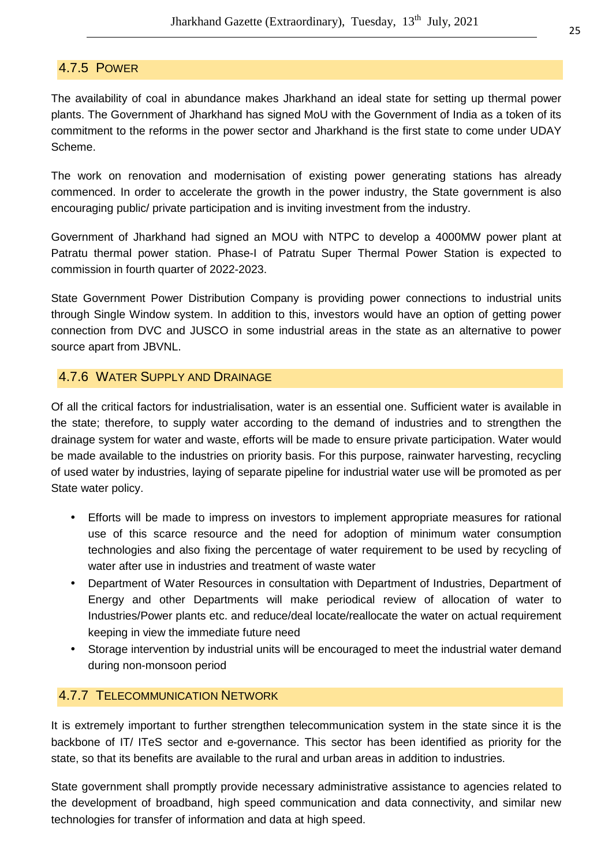#### 4.7.5 POWER

The availability of coal in abundance makes Jharkhand an ideal state for setting up thermal power plants. The Government of Jharkhand has signed MoU with the Government of India as a token of its commitment to the reforms in the power sector and Jharkhand is the first state to come under UDAY Scheme.

The work on renovation and modernisation of existing power generating stations has already commenced. In order to accelerate the growth in the power industry, the State government is also encouraging public/ private participation and is inviting investment from the industry.

Government of Jharkhand had signed an MOU with NTPC to develop a 4000MW power plant at Patratu thermal power station. Phase-I of Patratu Super Thermal Power Station is expected to commission in fourth quarter of 2022-2023.

State Government Power Distribution Company is providing power connections to industrial units through Single Window system. In addition to this, investors would have an option of getting power connection from DVC and JUSCO in some industrial areas in the state as an alternative to power source apart from JBVNL.

#### 4.7.6 WATER SUPPLY AND DRAINAGE

Of all the critical factors for industrialisation, water is an essential one. Sufficient water is available in the state; therefore, to supply water according to the demand of industries and to strengthen the drainage system for water and waste, efforts will be made to ensure private participation. Water would be made available to the industries on priority basis. For this purpose, rainwater harvesting, recycling of used water by industries, laying of separate pipeline for industrial water use will be promoted as per State water policy.

- Efforts will be made to impress on investors to implement appropriate measures for rational use of this scarce resource and the need for adoption of minimum water consumption technologies and also fixing the percentage of water requirement to be used by recycling of water after use in industries and treatment of waste water
- Department of Water Resources in consultation with Department of Industries, Department of Energy and other Departments will make periodical review of allocation of water to Industries/Power plants etc. and reduce/deal locate/reallocate the water on actual requirement keeping in view the immediate future need
- Storage intervention by industrial units will be encouraged to meet the industrial water demand during non-monsoon period

#### 4.7.7 TELECOMMUNICATION NETWORK

It is extremely important to further strengthen telecommunication system in the state since it is the backbone of IT/ ITeS sector and e-governance. This sector has been identified as priority for the state, so that its benefits are available to the rural and urban areas in addition to industries.

State government shall promptly provide necessary administrative assistance to agencies related to the development of broadband, high speed communication and data connectivity, and similar new technologies for transfer of information and data at high speed.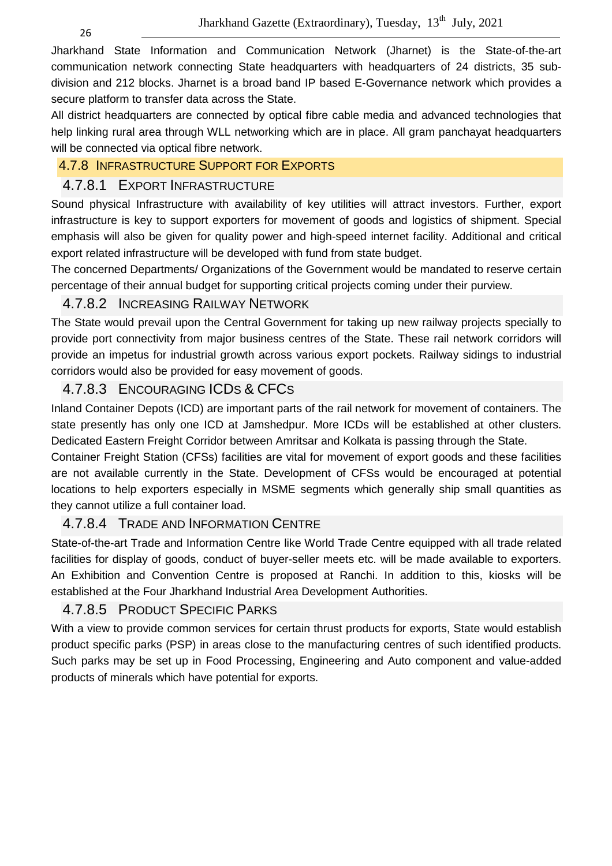Jharkhand State Information and Communication Network (Jharnet) is the State-of-the-art communication network connecting State headquarters with headquarters of 24 districts, 35 subdivision and 212 blocks. Jharnet is a broad band IP based E-Governance network which provides a secure platform to transfer data across the State.

All district headquarters are connected by optical fibre cable media and advanced technologies that help linking rural area through WLL networking which are in place. All gram panchayat headquarters will be connected via optical fibre network.

#### 4.7.8 INFRASTRUCTURE SUPPORT FOR EXPORTS

#### 4.7.8.1 EXPORT INFRASTRUCTURE

Sound physical Infrastructure with availability of key utilities will attract investors. Further, export infrastructure is key to support exporters for movement of goods and logistics of shipment. Special emphasis will also be given for quality power and high-speed internet facility. Additional and critical export related infrastructure will be developed with fund from state budget.

The concerned Departments/ Organizations of the Government would be mandated to reserve certain percentage of their annual budget for supporting critical projects coming under their purview.

# 4.7.8.2 INCREASING RAILWAY NETWORK

The State would prevail upon the Central Government for taking up new railway projects specially to provide port connectivity from major business centres of the State. These rail network corridors will provide an impetus for industrial growth across various export pockets. Railway sidings to industrial corridors would also be provided for easy movement of goods.

# 4.7.8.3 ENCOURAGING ICDS & CFCS

Inland Container Depots (ICD) are important parts of the rail network for movement of containers. The state presently has only one ICD at Jamshedpur. More ICDs will be established at other clusters. Dedicated Eastern Freight Corridor between Amritsar and Kolkata is passing through the State.

Container Freight Station (CFSs) facilities are vital for movement of export goods and these facilities are not available currently in the State. Development of CFSs would be encouraged at potential locations to help exporters especially in MSME segments which generally ship small quantities as they cannot utilize a full container load.

# 4.7.8.4 TRADE AND INFORMATION CENTRE

State-of-the-art Trade and Information Centre like World Trade Centre equipped with all trade related facilities for display of goods, conduct of buyer-seller meets etc. will be made available to exporters. An Exhibition and Convention Centre is proposed at Ranchi. In addition to this, kiosks will be established at the Four Jharkhand Industrial Area Development Authorities.

# 4.7.8.5 PRODUCT SPECIFIC PARKS

With a view to provide common services for certain thrust products for exports, State would establish product specific parks (PSP) in areas close to the manufacturing centres of such identified products. Such parks may be set up in Food Processing, Engineering and Auto component and value-added products of minerals which have potential for exports.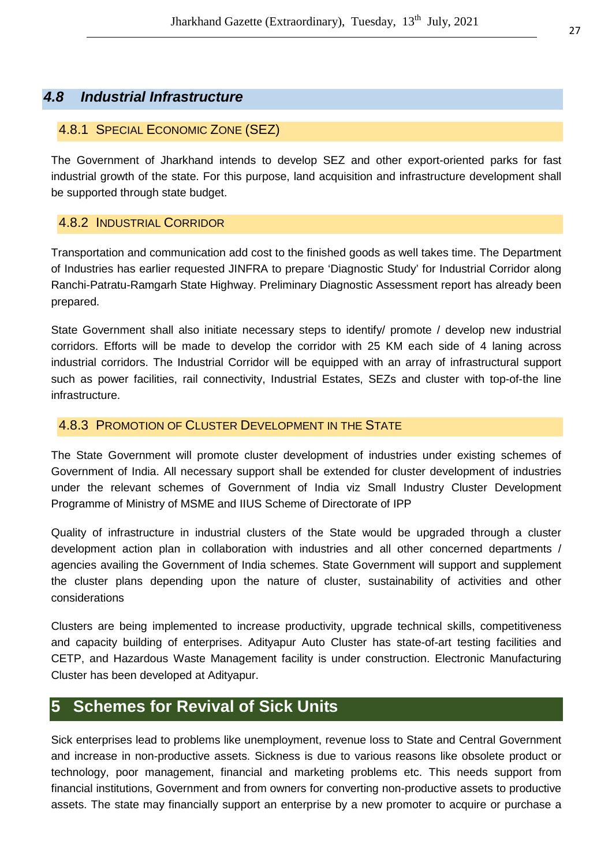# **4.8 Industrial Infrastructure**

#### 4.8.1 SPECIAL ECONOMIC ZONE (SEZ)

The Government of Jharkhand intends to develop SEZ and other export-oriented parks for fast industrial growth of the state. For this purpose, land acquisition and infrastructure development shall be supported through state budget.

#### 4.8.2 INDUSTRIAL CORRIDOR

Transportation and communication add cost to the finished goods as well takes time. The Department of Industries has earlier requested JINFRA to prepare 'Diagnostic Study' for Industrial Corridor along Ranchi-Patratu-Ramgarh State Highway. Preliminary Diagnostic Assessment report has already been prepared.

State Government shall also initiate necessary steps to identify/ promote / develop new industrial corridors. Efforts will be made to develop the corridor with 25 KM each side of 4 laning across industrial corridors. The Industrial Corridor will be equipped with an array of infrastructural support such as power facilities, rail connectivity, Industrial Estates, SEZs and cluster with top-of-the line infrastructure.

#### 4.8.3 PROMOTION OF CLUSTER DEVELOPMENT IN THE STATE

The State Government will promote cluster development of industries under existing schemes of Government of India. All necessary support shall be extended for cluster development of industries under the relevant schemes of Government of India viz Small Industry Cluster Development Programme of Ministry of MSME and IIUS Scheme of Directorate of IPP

Quality of infrastructure in industrial clusters of the State would be upgraded through a cluster development action plan in collaboration with industries and all other concerned departments / agencies availing the Government of India schemes. State Government will support and supplement the cluster plans depending upon the nature of cluster, sustainability of activities and other considerations

Clusters are being implemented to increase productivity, upgrade technical skills, competitiveness and capacity building of enterprises. Adityapur Auto Cluster has state-of-art testing facilities and CETP, and Hazardous Waste Management facility is under construction. Electronic Manufacturing Cluster has been developed at Adityapur.

# **5 Schemes for Revival of Sick Units**

Sick enterprises lead to problems like unemployment, revenue loss to State and Central Government and increase in non-productive assets. Sickness is due to various reasons like obsolete product or technology, poor management, financial and marketing problems etc. This needs support from financial institutions, Government and from owners for converting non-productive assets to productive assets. The state may financially support an enterprise by a new promoter to acquire or purchase a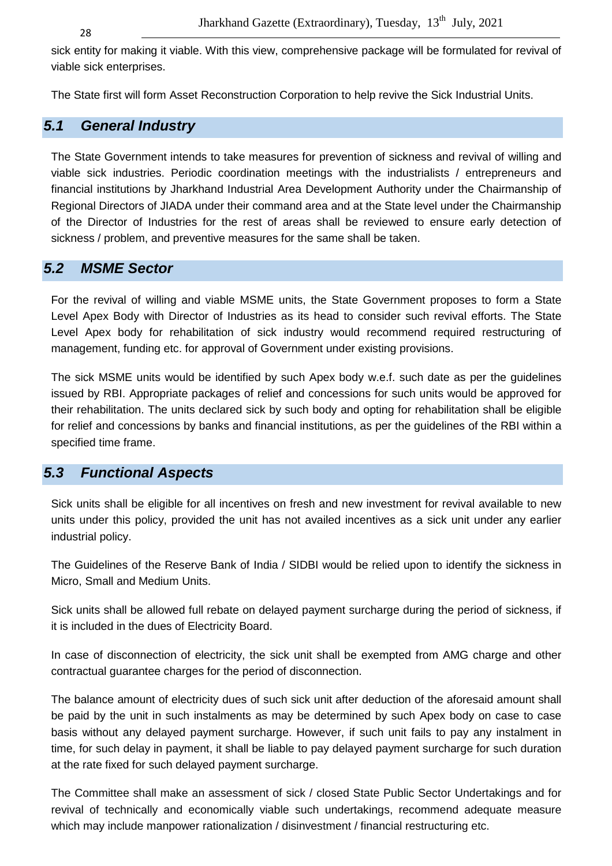28

sick entity for making it viable. With this view, comprehensive package will be formulated for revival of viable sick enterprises.

The State first will form Asset Reconstruction Corporation to help revive the Sick Industrial Units.

# **5.1 General Industry**

The State Government intends to take measures for prevention of sickness and revival of willing and viable sick industries. Periodic coordination meetings with the industrialists / entrepreneurs and financial institutions by Jharkhand Industrial Area Development Authority under the Chairmanship of Regional Directors of JIADA under their command area and at the State level under the Chairmanship of the Director of Industries for the rest of areas shall be reviewed to ensure early detection of sickness / problem, and preventive measures for the same shall be taken.

# **5.2 MSME Sector**

For the revival of willing and viable MSME units, the State Government proposes to form a State Level Apex Body with Director of Industries as its head to consider such revival efforts. The State Level Apex body for rehabilitation of sick industry would recommend required restructuring of management, funding etc. for approval of Government under existing provisions.

The sick MSME units would be identified by such Apex body w.e.f. such date as per the guidelines issued by RBI. Appropriate packages of relief and concessions for such units would be approved for their rehabilitation. The units declared sick by such body and opting for rehabilitation shall be eligible for relief and concessions by banks and financial institutions, as per the guidelines of the RBI within a specified time frame.

# **5.3 Functional Aspects**

Sick units shall be eligible for all incentives on fresh and new investment for revival available to new units under this policy, provided the unit has not availed incentives as a sick unit under any earlier industrial policy.

The Guidelines of the Reserve Bank of India / SIDBI would be relied upon to identify the sickness in Micro, Small and Medium Units.

Sick units shall be allowed full rebate on delayed payment surcharge during the period of sickness, if it is included in the dues of Electricity Board.

In case of disconnection of electricity, the sick unit shall be exempted from AMG charge and other contractual guarantee charges for the period of disconnection.

The balance amount of electricity dues of such sick unit after deduction of the aforesaid amount shall be paid by the unit in such instalments as may be determined by such Apex body on case to case basis without any delayed payment surcharge. However, if such unit fails to pay any instalment in time, for such delay in payment, it shall be liable to pay delayed payment surcharge for such duration at the rate fixed for such delayed payment surcharge.

The Committee shall make an assessment of sick / closed State Public Sector Undertakings and for revival of technically and economically viable such undertakings, recommend adequate measure which may include manpower rationalization / disinvestment / financial restructuring etc.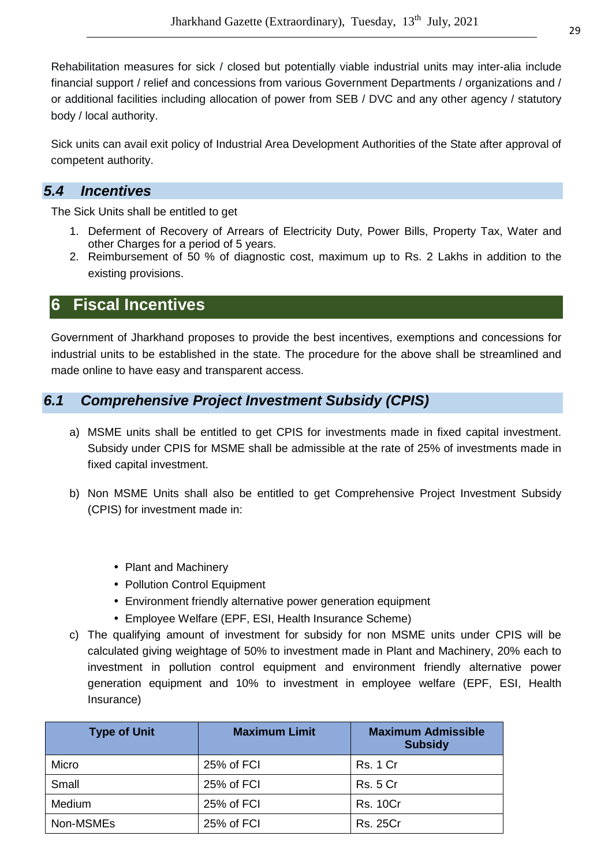Rehabilitation measures for sick / closed but potentially viable industrial units may inter-alia include financial support / relief and concessions from various Government Departments / organizations and / or additional facilities including allocation of power from SEB / DVC and any other agency / statutory body / local authority.

Sick units can avail exit policy of Industrial Area Development Authorities of the State after approval of competent authority.

# **5.4 Incentives**

The Sick Units shall be entitled to get

- 1. Deferment of Recovery of Arrears of Electricity Duty, Power Bills, Property Tax, Water and other Charges for a period of 5 years.
- 2. Reimbursement of 50 % of diagnostic cost, maximum up to Rs. 2 Lakhs in addition to the existing provisions.

# **6 Fiscal Incentives**

Government of Jharkhand proposes to provide the best incentives, exemptions and concessions for industrial units to be established in the state. The procedure for the above shall be streamlined and made online to have easy and transparent access.

# **6.1 Comprehensive Project Investment Subsidy (CPIS)**

- a) MSME units shall be entitled to get CPIS for investments made in fixed capital investment. Subsidy under CPIS for MSME shall be admissible at the rate of 25% of investments made in fixed capital investment.
- b) Non MSME Units shall also be entitled to get Comprehensive Project Investment Subsidy (CPIS) for investment made in:
	- Plant and Machinery
	- Pollution Control Equipment
	- Environment friendly alternative power generation equipment
	- Employee Welfare (EPF, ESI, Health Insurance Scheme)
- c) The qualifying amount of investment for subsidy for non MSME units under CPIS will be calculated giving weightage of 50% to investment made in Plant and Machinery, 20% each to investment in pollution control equipment and environment friendly alternative power generation equipment and 10% to investment in employee welfare (EPF, ESI, Health Insurance)

| <b>Type of Unit</b> | <b>Maximum Limit</b> | <b>Maximum Admissible</b><br><b>Subsidy</b> |
|---------------------|----------------------|---------------------------------------------|
| Micro               | 25% of FCI           | <b>Rs. 1 Cr.</b>                            |
| Small               | 25% of FCI           | <b>Rs. 5 Cr</b>                             |
| Medium              | 25% of FCI           | <b>Rs. 10Cr</b>                             |
| Non-MSMEs           | 25% of FCI           | <b>Rs. 25Cr</b>                             |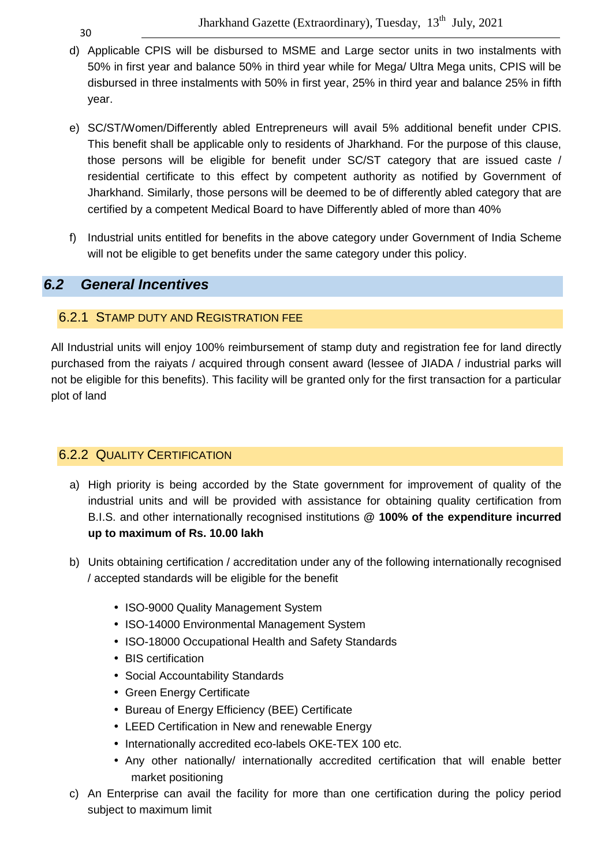30

- d) Applicable CPIS will be disbursed to MSME and Large sector units in two instalments with 50% in first year and balance 50% in third year while for Mega/ Ultra Mega units, CPIS will be disbursed in three instalments with 50% in first year, 25% in third year and balance 25% in fifth year.
- e) SC/ST/Women/Differently abled Entrepreneurs will avail 5% additional benefit under CPIS. This benefit shall be applicable only to residents of Jharkhand. For the purpose of this clause, those persons will be eligible for benefit under SC/ST category that are issued caste / residential certificate to this effect by competent authority as notified by Government of Jharkhand. Similarly, those persons will be deemed to be of differently abled category that are certified by a competent Medical Board to have Differently abled of more than 40%
- f) Industrial units entitled for benefits in the above category under Government of India Scheme will not be eligible to get benefits under the same category under this policy.

# **6.2 General Incentives**

#### 6.2.1 STAMP DUTY AND REGISTRATION FEE

All Industrial units will enjoy 100% reimbursement of stamp duty and registration fee for land directly purchased from the raiyats / acquired through consent award (lessee of JIADA / industrial parks will not be eligible for this benefits). This facility will be granted only for the first transaction for a particular plot of land

# 6.2.2 QUALITY CERTIFICATION

- a) High priority is being accorded by the State government for improvement of quality of the industrial units and will be provided with assistance for obtaining quality certification from B.I.S. and other internationally recognised institutions **@ 100% of the expenditure incurred up to maximum of Rs. 10.00 lakh**
- b) Units obtaining certification / accreditation under any of the following internationally recognised / accepted standards will be eligible for the benefit
	- ISO-9000 Quality Management System
	- ISO-14000 Environmental Management System
	- ISO-18000 Occupational Health and Safety Standards
	- BIS certification
	- Social Accountability Standards
	- Green Energy Certificate
	- Bureau of Energy Efficiency (BEE) Certificate
	- LEED Certification in New and renewable Energy
	- Internationally accredited eco-labels OKE-TEX 100 etc.
	- Any other nationally/ internationally accredited certification that will enable better market positioning
- c) An Enterprise can avail the facility for more than one certification during the policy period subject to maximum limit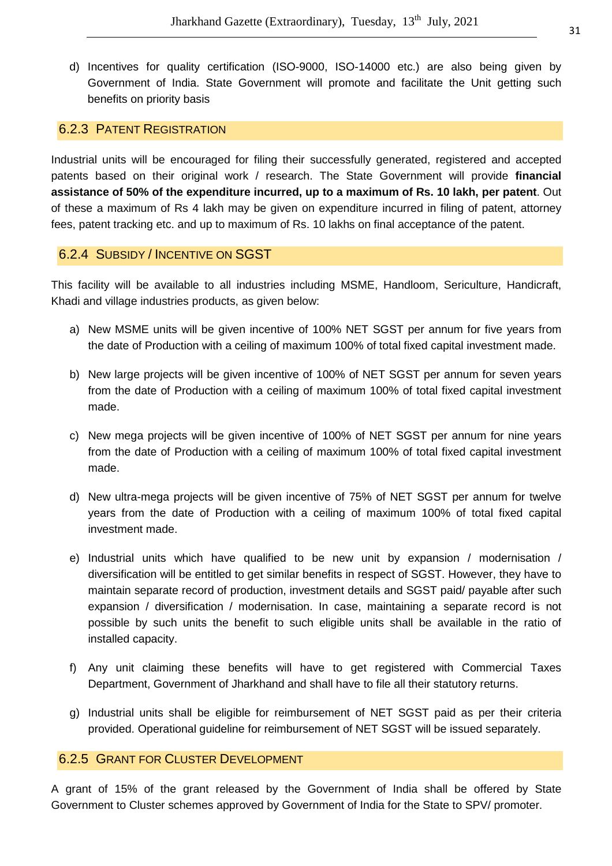d) Incentives for quality certification (ISO-9000, ISO-14000 etc.) are also being given by Government of India. State Government will promote and facilitate the Unit getting such benefits on priority basis

#### 6.2.3 PATENT REGISTRATION

Industrial units will be encouraged for filing their successfully generated, registered and accepted patents based on their original work / research. The State Government will provide **financial assistance of 50% of the expenditure incurred, up to a maximum of Rs. 10 lakh, per patent**. Out of these a maximum of Rs 4 lakh may be given on expenditure incurred in filing of patent, attorney fees, patent tracking etc. and up to maximum of Rs. 10 lakhs on final acceptance of the patent.

#### 6.2.4 SUBSIDY / INCENTIVE ON SGST

This facility will be available to all industries including MSME, Handloom, Sericulture, Handicraft, Khadi and village industries products, as given below:

- a) New MSME units will be given incentive of 100% NET SGST per annum for five years from the date of Production with a ceiling of maximum 100% of total fixed capital investment made.
- b) New large projects will be given incentive of 100% of NET SGST per annum for seven years from the date of Production with a ceiling of maximum 100% of total fixed capital investment made.
- c) New mega projects will be given incentive of 100% of NET SGST per annum for nine years from the date of Production with a ceiling of maximum 100% of total fixed capital investment made.
- d) New ultra-mega projects will be given incentive of 75% of NET SGST per annum for twelve years from the date of Production with a ceiling of maximum 100% of total fixed capital investment made.
- e) Industrial units which have qualified to be new unit by expansion / modernisation / diversification will be entitled to get similar benefits in respect of SGST. However, they have to maintain separate record of production, investment details and SGST paid/ payable after such expansion / diversification / modernisation. In case, maintaining a separate record is not possible by such units the benefit to such eligible units shall be available in the ratio of installed capacity.
- f) Any unit claiming these benefits will have to get registered with Commercial Taxes Department, Government of Jharkhand and shall have to file all their statutory returns.
- g) Industrial units shall be eligible for reimbursement of NET SGST paid as per their criteria provided. Operational guideline for reimbursement of NET SGST will be issued separately.

#### 6.2.5 GRANT FOR CLUSTER DEVELOPMENT

A grant of 15% of the grant released by the Government of India shall be offered by State Government to Cluster schemes approved by Government of India for the State to SPV/ promoter.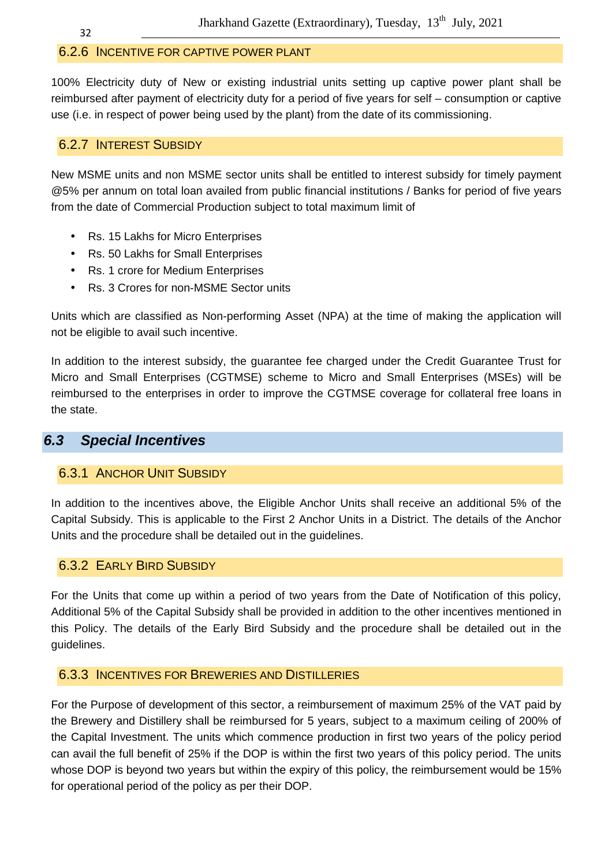#### 6.2.6 INCENTIVE FOR CAPTIVE POWER PLANT

100% Electricity duty of New or existing industrial units setting up captive power plant shall be reimbursed after payment of electricity duty for a period of five years for self – consumption or captive use (i.e. in respect of power being used by the plant) from the date of its commissioning.

#### 6.2.7 INTEREST SUBSIDY

New MSME units and non MSME sector units shall be entitled to interest subsidy for timely payment @5% per annum on total loan availed from public financial institutions / Banks for period of five years from the date of Commercial Production subject to total maximum limit of

- Rs. 15 Lakhs for Micro Enterprises
- Rs. 50 Lakhs for Small Enterprises
- Rs. 1 crore for Medium Enterprises
- Rs. 3 Crores for non-MSME Sector units

Units which are classified as Non-performing Asset (NPA) at the time of making the application will not be eligible to avail such incentive.

In addition to the interest subsidy, the guarantee fee charged under the Credit Guarantee Trust for Micro and Small Enterprises (CGTMSE) scheme to Micro and Small Enterprises (MSEs) will be reimbursed to the enterprises in order to improve the CGTMSE coverage for collateral free loans in the state.

# **6.3 Special Incentives**

#### 6.3.1 ANCHOR UNIT SUBSIDY

In addition to the incentives above, the Eligible Anchor Units shall receive an additional 5% of the Capital Subsidy. This is applicable to the First 2 Anchor Units in a District. The details of the Anchor Units and the procedure shall be detailed out in the guidelines.

#### 6.3.2 EARLY BIRD SUBSIDY

For the Units that come up within a period of two years from the Date of Notification of this policy, Additional 5% of the Capital Subsidy shall be provided in addition to the other incentives mentioned in this Policy. The details of the Early Bird Subsidy and the procedure shall be detailed out in the guidelines.

#### 6.3.3 INCENTIVES FOR BREWERIES AND DISTILLERIES

For the Purpose of development of this sector, a reimbursement of maximum 25% of the VAT paid by the Brewery and Distillery shall be reimbursed for 5 years, subject to a maximum ceiling of 200% of the Capital Investment. The units which commence production in first two years of the policy period can avail the full benefit of 25% if the DOP is within the first two years of this policy period. The units whose DOP is beyond two years but within the expiry of this policy, the reimbursement would be 15% for operational period of the policy as per their DOP.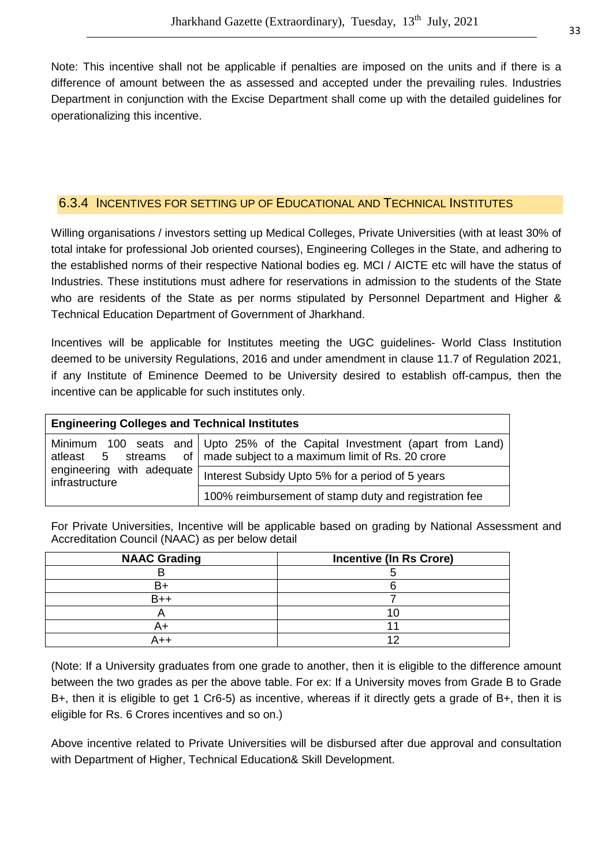Note: This incentive shall not be applicable if penalties are imposed on the units and if there is a difference of amount between the as assessed and accepted under the prevailing rules. Industries Department in conjunction with the Excise Department shall come up with the detailed guidelines for operationalizing this incentive.

#### 6.3.4 INCENTIVES FOR SETTING UP OF EDUCATIONAL AND TECHNICAL INSTITUTES

Willing organisations / investors setting up Medical Colleges, Private Universities (with at least 30% of total intake for professional Job oriented courses), Engineering Colleges in the State, and adhering to the established norms of their respective National bodies eg. MCI / AICTE etc will have the status of Industries. These institutions must adhere for reservations in admission to the students of the State who are residents of the State as per norms stipulated by Personnel Department and Higher & Technical Education Department of Government of Jharkhand.

Incentives will be applicable for Institutes meeting the UGC guidelines- World Class Institution deemed to be university Regulations, 2016 and under amendment in clause 11.7 of Regulation 2021, if any Institute of Eminence Deemed to be University desired to establish off-campus, then the incentive can be applicable for such institutes only.

| <b>Engineering Colleges and Technical Institutes</b> |                                                                                                                                                               |  |
|------------------------------------------------------|---------------------------------------------------------------------------------------------------------------------------------------------------------------|--|
|                                                      | Minimum 100 seats and Upto 25% of the Capital Investment (apart from Land)<br>at least $\,$ 5 streams of $\,$ made subject to a maximum limit of Rs. 20 crore |  |
| engineering with adequate<br>infrastructure          | Interest Subsidy Upto 5% for a period of 5 years                                                                                                              |  |
|                                                      | 100% reimbursement of stamp duty and registration fee                                                                                                         |  |

For Private Universities, Incentive will be applicable based on grading by National Assessment and Accreditation Council (NAAC) as per below detail

| <b>NAAC Grading</b> | <b>Incentive (In Rs Crore)</b> |
|---------------------|--------------------------------|
|                     |                                |
|                     |                                |
| B++                 |                                |
|                     |                                |
|                     |                                |
|                     |                                |

(Note: If a University graduates from one grade to another, then it is eligible to the difference amount between the two grades as per the above table. For ex: If a University moves from Grade B to Grade B+, then it is eligible to get 1 Cr6-5) as incentive, whereas if it directly gets a grade of B+, then it is eligible for Rs. 6 Crores incentives and so on.)

Above incentive related to Private Universities will be disbursed after due approval and consultation with Department of Higher, Technical Education& Skill Development.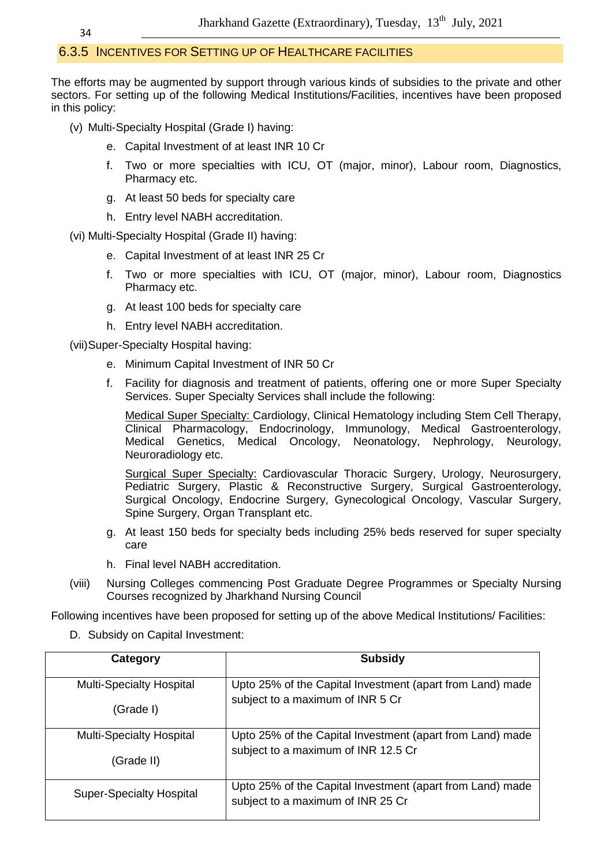# 6.3.5 INCENTIVES FOR SETTING UP OF HEALTHCARE FACILITIES

The efforts may be augmented by support through various kinds of subsidies to the private and other sectors. For setting up of the following Medical Institutions/Facilities, incentives have been proposed in this policy:

- (v) Multi-Specialty Hospital (Grade I) having:
	- e. Capital Investment of at least INR 10 Cr
	- f. Two or more specialties with ICU, OT (major, minor), Labour room, Diagnostics, Pharmacy etc.
	- g. At least 50 beds for specialty care
	- h. Entry level NABH accreditation.

(vi) Multi-Specialty Hospital (Grade II) having:

- e. Capital Investment of at least INR 25 Cr
- f. Two or more specialties with ICU, OT (major, minor), Labour room, Diagnostics Pharmacy etc.
- g. At least 100 beds for specialty care
- h. Entry level NABH accreditation.

(vii) Super-Specialty Hospital having:

- e. Minimum Capital Investment of INR 50 Cr
- f. Facility for diagnosis and treatment of patients, offering one or more Super Specialty Services. Super Specialty Services shall include the following:

Medical Super Specialty: Cardiology, Clinical Hematology including Stem Cell Therapy, Clinical Pharmacology, Endocrinology, Immunology, Medical Gastroenterology, Medical Genetics, Medical Oncology, Neonatology, Nephrology, Neurology, Neuroradiology etc.

Surgical Super Specialty: Cardiovascular Thoracic Surgery, Urology, Neurosurgery, Pediatric Surgery, Plastic & Reconstructive Surgery, Surgical Gastroenterology, Surgical Oncology, Endocrine Surgery, Gynecological Oncology, Vascular Surgery, Spine Surgery, Organ Transplant etc.

- g. At least 150 beds for specialty beds including 25% beds reserved for super specialty care
- h. Final level NABH accreditation.
- (viii) Nursing Colleges commencing Post Graduate Degree Programmes or Specialty Nursing Courses recognized by Jharkhand Nursing Council

Following incentives have been proposed for setting up of the above Medical Institutions/ Facilities:

D. Subsidy on Capital Investment:

| Category                        | <b>Subsidy</b>                                                                                 |
|---------------------------------|------------------------------------------------------------------------------------------------|
| <b>Multi-Specialty Hospital</b> | Upto 25% of the Capital Investment (apart from Land) made                                      |
| (Grade I)                       | subject to a maximum of INR 5 Cr                                                               |
| <b>Multi-Specialty Hospital</b> | Upto 25% of the Capital Investment (apart from Land) made                                      |
| (Grade II)                      | subject to a maximum of INR 12.5 Cr                                                            |
| <b>Super-Specialty Hospital</b> | Upto 25% of the Capital Investment (apart from Land) made<br>subject to a maximum of INR 25 Cr |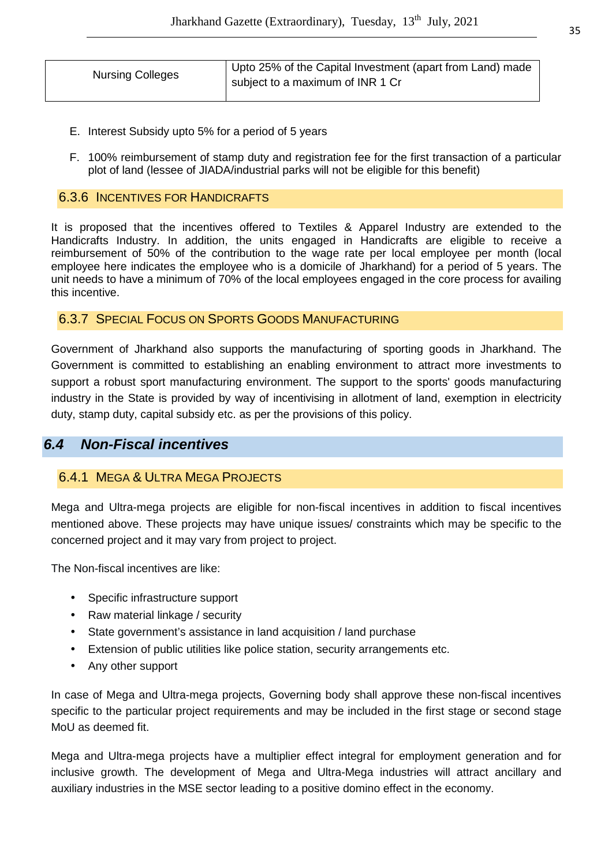| <b>Nursing Colleges</b> | Upto 25% of the Capital Investment (apart from Land) made<br>subject to a maximum of INR 1 Cr |
|-------------------------|-----------------------------------------------------------------------------------------------|
|                         |                                                                                               |

- E. Interest Subsidy upto 5% for a period of 5 years
- F. 100% reimbursement of stamp duty and registration fee for the first transaction of a particular plot of land (lessee of JIADA/industrial parks will not be eligible for this benefit)

#### 6.3.6 INCENTIVES FOR HANDICRAFTS

It is proposed that the incentives offered to Textiles & Apparel Industry are extended to the Handicrafts Industry. In addition, the units engaged in Handicrafts are eligible to receive a reimbursement of 50% of the contribution to the wage rate per local employee per month (local employee here indicates the employee who is a domicile of Jharkhand) for a period of 5 years. The unit needs to have a minimum of 70% of the local employees engaged in the core process for availing this incentive.

#### 6.3.7 SPECIAL FOCUS ON SPORTS GOODS MANUFACTURING

Government of Jharkhand also supports the manufacturing of sporting goods in Jharkhand. The Government is committed to establishing an enabling environment to attract more investments to support a robust sport manufacturing environment. The support to the sports' goods manufacturing industry in the State is provided by way of incentivising in allotment of land, exemption in electricity duty, stamp duty, capital subsidy etc. as per the provisions of this policy.

#### **6.4 Non-Fiscal incentives**

#### 6.4.1 MEGA & ULTRA MEGA PROJECTS

Mega and Ultra-mega projects are eligible for non-fiscal incentives in addition to fiscal incentives mentioned above. These projects may have unique issues/ constraints which may be specific to the concerned project and it may vary from project to project.

The Non-fiscal incentives are like:

- Specific infrastructure support
- Raw material linkage / security
- State government's assistance in land acquisition / land purchase
- Extension of public utilities like police station, security arrangements etc.
- Any other support

In case of Mega and Ultra-mega projects, Governing body shall approve these non-fiscal incentives specific to the particular project requirements and may be included in the first stage or second stage MoU as deemed fit.

Mega and Ultra-mega projects have a multiplier effect integral for employment generation and for inclusive growth. The development of Mega and Ultra-Mega industries will attract ancillary and auxiliary industries in the MSE sector leading to a positive domino effect in the economy.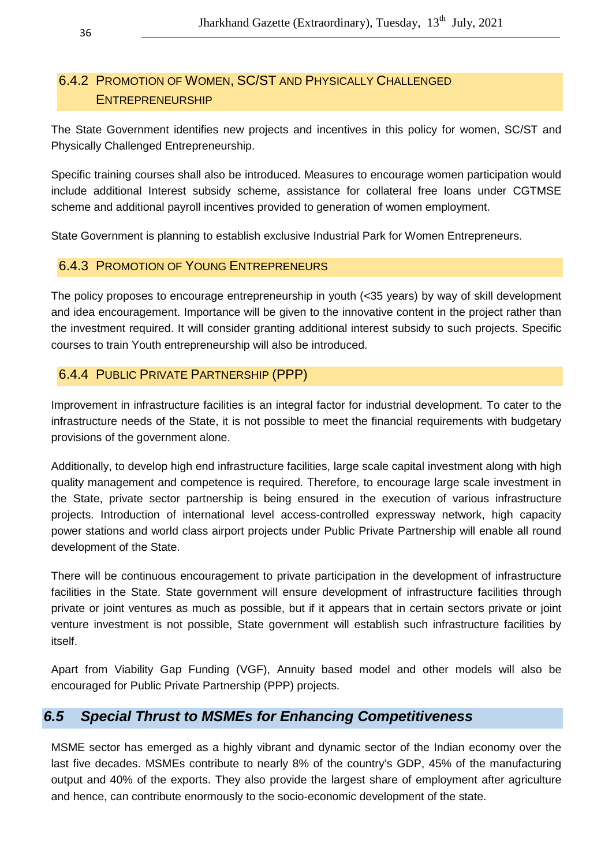# 6.4.2 PROMOTION OF WOMEN, SC/ST AND PHYSICALLY CHALLENGED ENTREPRENEURSHIP

The State Government identifies new projects and incentives in this policy for women, SC/ST and Physically Challenged Entrepreneurship.

Specific training courses shall also be introduced. Measures to encourage women participation would include additional Interest subsidy scheme, assistance for collateral free loans under CGTMSE scheme and additional payroll incentives provided to generation of women employment.

State Government is planning to establish exclusive Industrial Park for Women Entrepreneurs.

#### 6.4.3 PROMOTION OF YOUNG ENTREPRENEURS

The policy proposes to encourage entrepreneurship in youth (<35 years) by way of skill development and idea encouragement. Importance will be given to the innovative content in the project rather than the investment required. It will consider granting additional interest subsidy to such projects. Specific courses to train Youth entrepreneurship will also be introduced.

#### 6.4.4 PUBLIC PRIVATE PARTNERSHIP (PPP)

Improvement in infrastructure facilities is an integral factor for industrial development. To cater to the infrastructure needs of the State, it is not possible to meet the financial requirements with budgetary provisions of the government alone.

Additionally, to develop high end infrastructure facilities, large scale capital investment along with high quality management and competence is required. Therefore, to encourage large scale investment in the State, private sector partnership is being ensured in the execution of various infrastructure projects. Introduction of international level access-controlled expressway network, high capacity power stations and world class airport projects under Public Private Partnership will enable all round development of the State.

There will be continuous encouragement to private participation in the development of infrastructure facilities in the State. State government will ensure development of infrastructure facilities through private or joint ventures as much as possible, but if it appears that in certain sectors private or joint venture investment is not possible, State government will establish such infrastructure facilities by itself.

Apart from Viability Gap Funding (VGF), Annuity based model and other models will also be encouraged for Public Private Partnership (PPP) projects.

# **6.5 Special Thrust to MSMEs for Enhancing Competitiveness**

MSME sector has emerged as a highly vibrant and dynamic sector of the Indian economy over the last five decades. MSMEs contribute to nearly 8% of the country's GDP, 45% of the manufacturing output and 40% of the exports. They also provide the largest share of employment after agriculture and hence, can contribute enormously to the socio-economic development of the state.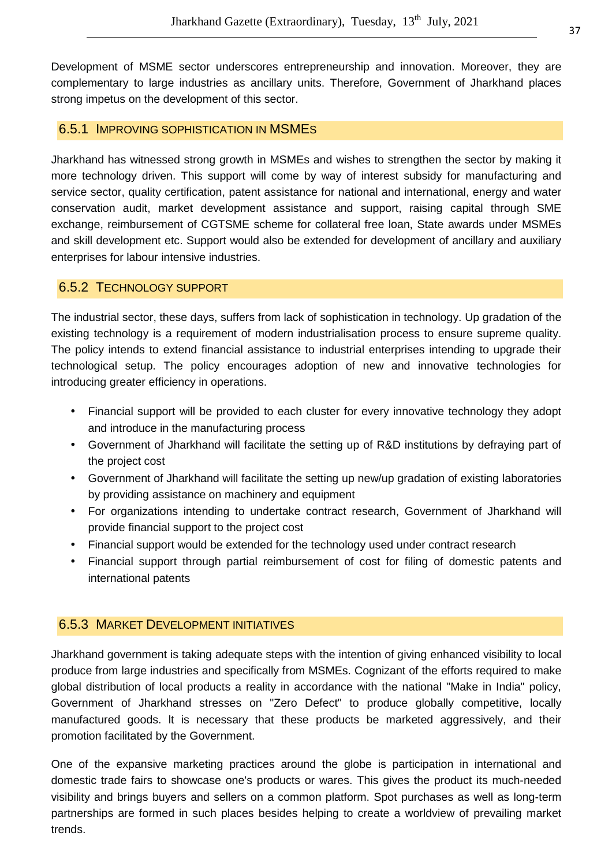Development of MSME sector underscores entrepreneurship and innovation. Moreover, they are complementary to large industries as ancillary units. Therefore, Government of Jharkhand places strong impetus on the development of this sector.

#### 6.5.1 IMPROVING SOPHISTICATION IN MSMES

Jharkhand has witnessed strong growth in MSMEs and wishes to strengthen the sector by making it more technology driven. This support will come by way of interest subsidy for manufacturing and service sector, quality certification, patent assistance for national and international, energy and water conservation audit, market development assistance and support, raising capital through SME exchange, reimbursement of CGTSME scheme for collateral free loan, State awards under MSMEs and skill development etc. Support would also be extended for development of ancillary and auxiliary enterprises for labour intensive industries.

#### 6.5.2 TECHNOLOGY SUPPORT

The industrial sector, these days, suffers from lack of sophistication in technology. Up gradation of the existing technology is a requirement of modern industrialisation process to ensure supreme quality. The policy intends to extend financial assistance to industrial enterprises intending to upgrade their technological setup. The policy encourages adoption of new and innovative technologies for introducing greater efficiency in operations.

- Financial support will be provided to each cluster for every innovative technology they adopt and introduce in the manufacturing process
- Government of Jharkhand will facilitate the setting up of R&D institutions by defraying part of the project cost
- Government of Jharkhand will facilitate the setting up new/up gradation of existing laboratories by providing assistance on machinery and equipment
- For organizations intending to undertake contract research, Government of Jharkhand will provide financial support to the project cost
- Financial support would be extended for the technology used under contract research
- Financial support through partial reimbursement of cost for filing of domestic patents and international patents

# 6.5.3 MARKET DEVELOPMENT INITIATIVES

Jharkhand government is taking adequate steps with the intention of giving enhanced visibility to local produce from large industries and specifically from MSMEs. Cognizant of the efforts required to make global distribution of local products a reality in accordance with the national "Make in India" policy, Government of Jharkhand stresses on "Zero Defect" to produce globally competitive, locally manufactured goods. lt is necessary that these products be marketed aggressively, and their promotion facilitated by the Government.

One of the expansive marketing practices around the globe is participation in international and domestic trade fairs to showcase one's products or wares. This gives the product its much-needed visibility and brings buyers and sellers on a common platform. Spot purchases as well as long-term partnerships are formed in such places besides helping to create a worldview of prevailing market trends.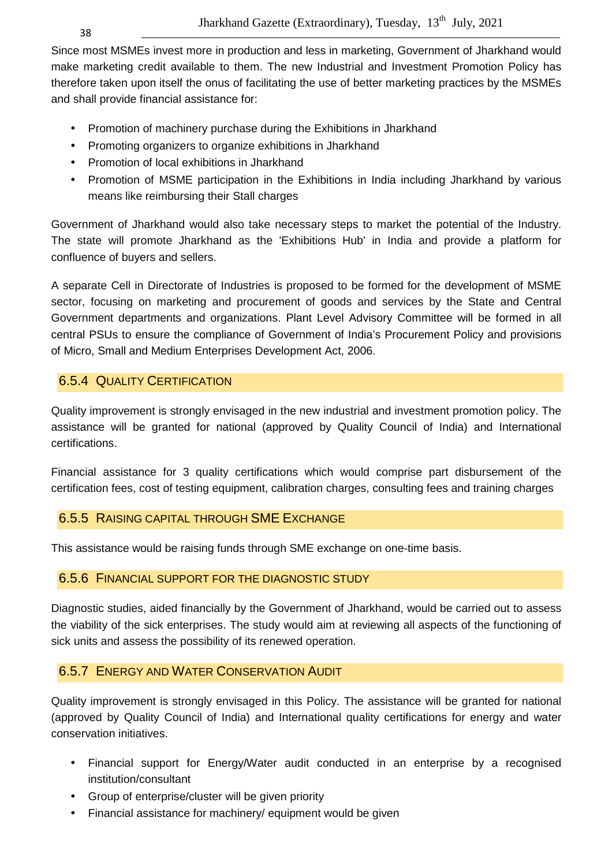Since most MSMEs invest more in production and less in marketing, Government of Jharkhand would make marketing credit available to them. The new Industrial and Investment Promotion Policy has therefore taken upon itself the onus of facilitating the use of better marketing practices by the MSMEs and shall provide financial assistance for:

- Promotion of machinery purchase during the Exhibitions in Jharkhand
- Promoting organizers to organize exhibitions in Jharkhand
- Promotion of local exhibitions in Jharkhand
- Promotion of MSME participation in the Exhibitions in India including Jharkhand by various means like reimbursing their Stall charges

Government of Jharkhand would also take necessary steps to market the potential of the Industry. The state will promote Jharkhand as the 'Exhibitions Hub' in India and provide a platform for confluence of buyers and sellers.

A separate Cell in Directorate of Industries is proposed to be formed for the development of MSME sector, focusing on marketing and procurement of goods and services by the State and Central Government departments and organizations. Plant Level Advisory Committee will be formed in all central PSUs to ensure the compliance of Government of India's Procurement Policy and provisions of Micro, Small and Medium Enterprises Development Act, 2006.

# 6.5.4 QUALITY CERTIFICATION

Quality improvement is strongly envisaged in the new industrial and investment promotion policy. The assistance will be granted for national (approved by Quality Council of India) and International certifications.

Financial assistance for 3 quality certifications which would comprise part disbursement of the certification fees, cost of testing equipment, calibration charges, consulting fees and training charges

# 6.5.5 RAISING CAPITAL THROUGH SME EXCHANGE

This assistance would be raising funds through SME exchange on one-time basis.

# 6.5.6 FINANCIAL SUPPORT FOR THE DIAGNOSTIC STUDY

Diagnostic studies, aided financially by the Government of Jharkhand, would be carried out to assess the viability of the sick enterprises. The study would aim at reviewing all aspects of the functioning of sick units and assess the possibility of its renewed operation.

# 6.5.7 ENERGY AND WATER CONSERVATION AUDIT

Quality improvement is strongly envisaged in this Policy. The assistance will be granted for national (approved by Quality Council of India) and International quality certifications for energy and water conservation initiatives.

- Financial support for Energy/Water audit conducted in an enterprise by a recognised institution/consultant
- Group of enterprise/cluster will be given priority
- Financial assistance for machinery/ equipment would be given

38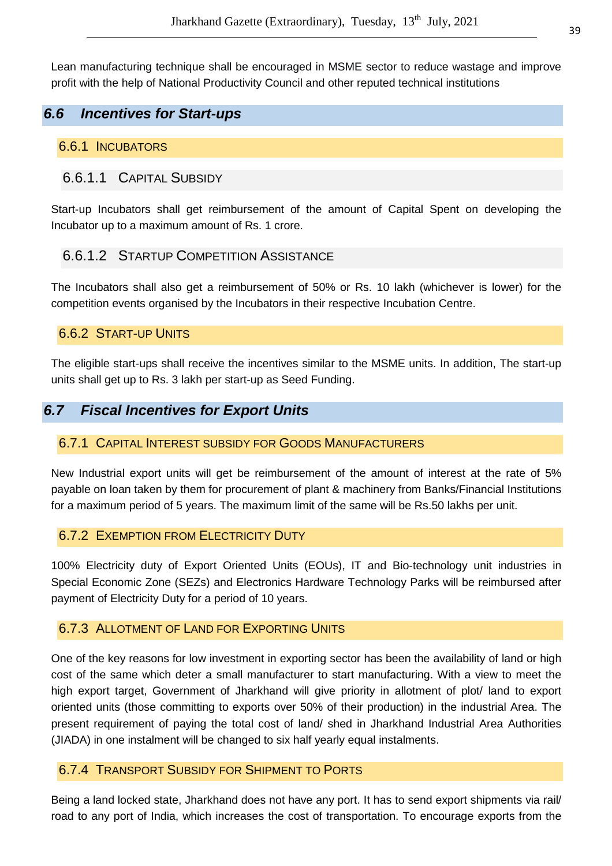Lean manufacturing technique shall be encouraged in MSME sector to reduce wastage and improve profit with the help of National Productivity Council and other reputed technical institutions

# **6.6 Incentives for Start-ups**

#### 6.6.1 INCUBATORS

#### 6.6.1.1 CAPITAL SUBSIDY

Start-up Incubators shall get reimbursement of the amount of Capital Spent on developing the Incubator up to a maximum amount of Rs. 1 crore.

#### 6.6.1.2 STARTUP COMPETITION ASSISTANCE

The Incubators shall also get a reimbursement of 50% or Rs. 10 lakh (whichever is lower) for the competition events organised by the Incubators in their respective Incubation Centre.

#### 6.6.2 START-UP UNITS

The eligible start-ups shall receive the incentives similar to the MSME units. In addition, The start-up units shall get up to Rs. 3 lakh per start-up as Seed Funding.

#### **6.7 Fiscal Incentives for Export Units**

#### 6.7.1 CAPITAL INTEREST SUBSIDY FOR GOODS MANUFACTURERS

New Industrial export units will get be reimbursement of the amount of interest at the rate of 5% payable on loan taken by them for procurement of plant & machinery from Banks/Financial Institutions for a maximum period of 5 years. The maximum limit of the same will be Rs.50 lakhs per unit.

#### 6.7.2 EXEMPTION FROM ELECTRICITY DUTY

100% Electricity duty of Export Oriented Units (EOUs), IT and Bio-technology unit industries in Special Economic Zone (SEZs) and Electronics Hardware Technology Parks will be reimbursed after payment of Electricity Duty for a period of 10 years.

#### 6.7.3 ALLOTMENT OF LAND FOR EXPORTING UNITS

One of the key reasons for low investment in exporting sector has been the availability of land or high cost of the same which deter a small manufacturer to start manufacturing. With a view to meet the high export target, Government of Jharkhand will give priority in allotment of plot/ land to export oriented units (those committing to exports over 50% of their production) in the industrial Area. The present requirement of paying the total cost of land/ shed in Jharkhand Industrial Area Authorities (JIADA) in one instalment will be changed to six half yearly equal instalments.

#### 6.7.4 TRANSPORT SUBSIDY FOR SHIPMENT TO PORTS

Being a land locked state, Jharkhand does not have any port. It has to send export shipments via rail/ road to any port of India, which increases the cost of transportation. To encourage exports from the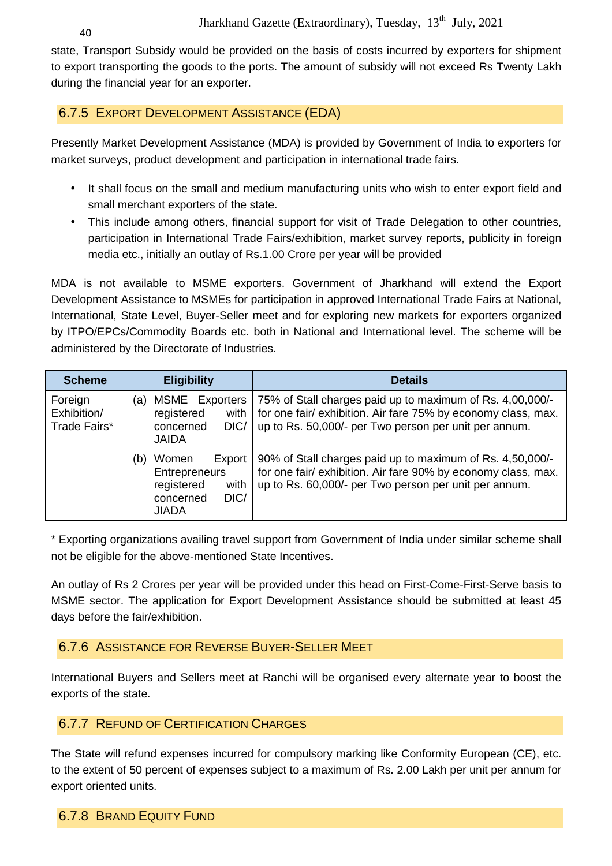state, Transport Subsidy would be provided on the basis of costs incurred by exporters for shipment to export transporting the goods to the ports. The amount of subsidy will not exceed Rs Twenty Lakh during the financial year for an exporter.

# 6.7.5 EXPORT DEVELOPMENT ASSISTANCE (EDA)

Presently Market Development Assistance (MDA) is provided by Government of India to exporters for market surveys, product development and participation in international trade fairs.

- It shall focus on the small and medium manufacturing units who wish to enter export field and small merchant exporters of the state.
- This include among others, financial support for visit of Trade Delegation to other countries, participation in International Trade Fairs/exhibition, market survey reports, publicity in foreign media etc., initially an outlay of Rs.1.00 Crore per year will be provided

MDA is not available to MSME exporters. Government of Jharkhand will extend the Export Development Assistance to MSMEs for participation in approved International Trade Fairs at National, International, State Level, Buyer-Seller meet and for exploring new markets for exporters organized by ITPO/EPCs/Commodity Boards etc. both in National and International level. The scheme will be administered by the Directorate of Industries.

| <b>Scheme</b>                          | <b>Eligibility</b>                                                                                        | <b>Details</b>                                                                                                                                                                      |
|----------------------------------------|-----------------------------------------------------------------------------------------------------------|-------------------------------------------------------------------------------------------------------------------------------------------------------------------------------------|
| Foreign<br>Exhibition/<br>Trade Fairs* | MSME Exporters<br>(a)<br>registered<br>with<br>DIC/<br>concerned<br><b>JAIDA</b>                          | 75% of Stall charges paid up to maximum of Rs. 4,00,000/-<br>for one fair/ exhibition. Air fare 75% by economy class, max.<br>up to Rs. 50,000/- per Two person per unit per annum. |
|                                        | (b)<br>Export<br>Women<br><b>Entrepreneurs</b><br>registered<br>with<br>DIC/<br>concerned<br><b>JIADA</b> | 90% of Stall charges paid up to maximum of Rs. 4,50,000/-<br>for one fair/ exhibition. Air fare 90% by economy class, max.<br>up to Rs. 60,000/- per Two person per unit per annum. |

\* Exporting organizations availing travel support from Government of India under similar scheme shall not be eligible for the above-mentioned State Incentives.

An outlay of Rs 2 Crores per year will be provided under this head on First-Come-First-Serve basis to MSME sector. The application for Export Development Assistance should be submitted at least 45 days before the fair/exhibition.

# 6.7.6 ASSISTANCE FOR REVERSE BUYER-SELLER MEET

International Buyers and Sellers meet at Ranchi will be organised every alternate year to boost the exports of the state.

# 6.7.7 REFUND OF CERTIFICATION CHARGES

The State will refund expenses incurred for compulsory marking like Conformity European (CE), etc. to the extent of 50 percent of expenses subject to a maximum of Rs. 2.00 Lakh per unit per annum for export oriented units.

# 6.7.8 BRAND EQUITY FUND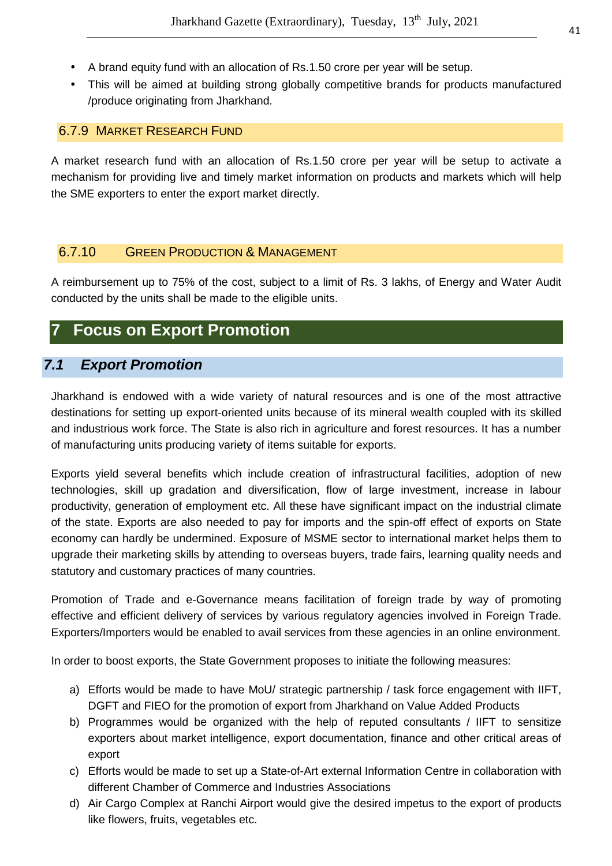- A brand equity fund with an allocation of Rs.1.50 crore per year will be setup.
- This will be aimed at building strong globally competitive brands for products manufactured /produce originating from Jharkhand.

#### 6.7.9 MARKET RESEARCH FUND

A market research fund with an allocation of Rs.1.50 crore per year will be setup to activate a mechanism for providing live and timely market information on products and markets which will help the SME exporters to enter the export market directly.

# 6.7.10 GREEN PRODUCTION & MANAGEMENT

A reimbursement up to 75% of the cost, subject to a limit of Rs. 3 lakhs, of Energy and Water Audit conducted by the units shall be made to the eligible units.

# **7 Focus on Export Promotion**

# **7.1 Export Promotion**

Jharkhand is endowed with a wide variety of natural resources and is one of the most attractive destinations for setting up export-oriented units because of its mineral wealth coupled with its skilled and industrious work force. The State is also rich in agriculture and forest resources. It has a number of manufacturing units producing variety of items suitable for exports.

Exports yield several benefits which include creation of infrastructural facilities, adoption of new technologies, skill up gradation and diversification, flow of large investment, increase in labour productivity, generation of employment etc. All these have significant impact on the industrial climate of the state. Exports are also needed to pay for imports and the spin-off effect of exports on State economy can hardly be undermined. Exposure of MSME sector to international market helps them to upgrade their marketing skills by attending to overseas buyers, trade fairs, learning quality needs and statutory and customary practices of many countries.

Promotion of Trade and e-Governance means facilitation of foreign trade by way of promoting effective and efficient delivery of services by various regulatory agencies involved in Foreign Trade. Exporters/Importers would be enabled to avail services from these agencies in an online environment.

In order to boost exports, the State Government proposes to initiate the following measures:

- a) Efforts would be made to have MoU/ strategic partnership / task force engagement with IIFT, DGFT and FIEO for the promotion of export from Jharkhand on Value Added Products
- b) Programmes would be organized with the help of reputed consultants / IIFT to sensitize exporters about market intelligence, export documentation, finance and other critical areas of export
- c) Efforts would be made to set up a State-of-Art external Information Centre in collaboration with different Chamber of Commerce and Industries Associations
- d) Air Cargo Complex at Ranchi Airport would give the desired impetus to the export of products like flowers, fruits, vegetables etc.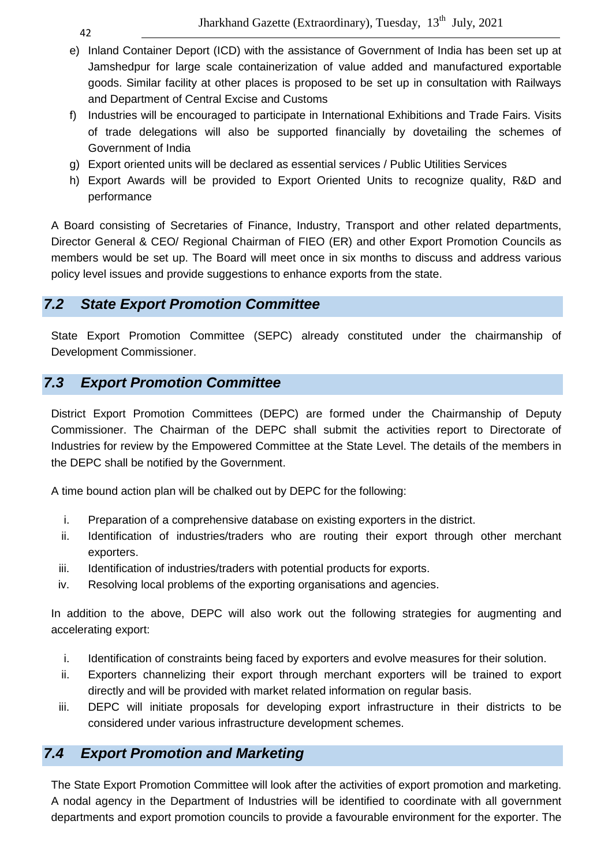- e) Inland Container Deport (ICD) with the assistance of Government of India has been set up at Jamshedpur for large scale containerization of value added and manufactured exportable goods. Similar facility at other places is proposed to be set up in consultation with Railways and Department of Central Excise and Customs
- f) Industries will be encouraged to participate in International Exhibitions and Trade Fairs. Visits of trade delegations will also be supported financially by dovetailing the schemes of Government of India
- g) Export oriented units will be declared as essential services / Public Utilities Services
- h) Export Awards will be provided to Export Oriented Units to recognize quality, R&D and performance

A Board consisting of Secretaries of Finance, Industry, Transport and other related departments, Director General & CEO/ Regional Chairman of FIEO (ER) and other Export Promotion Councils as members would be set up. The Board will meet once in six months to discuss and address various policy level issues and provide suggestions to enhance exports from the state.

# **7.2 State Export Promotion Committee**

State Export Promotion Committee (SEPC) already constituted under the chairmanship of Development Commissioner.

# **7.3 Export Promotion Committee**

District Export Promotion Committees (DEPC) are formed under the Chairmanship of Deputy Commissioner. The Chairman of the DEPC shall submit the activities report to Directorate of Industries for review by the Empowered Committee at the State Level. The details of the members in the DEPC shall be notified by the Government.

A time bound action plan will be chalked out by DEPC for the following:

- i. Preparation of a comprehensive database on existing exporters in the district.
- ii. Identification of industries/traders who are routing their export through other merchant exporters.
- iii. Identification of industries/traders with potential products for exports.
- iv. Resolving local problems of the exporting organisations and agencies.

In addition to the above, DEPC will also work out the following strategies for augmenting and accelerating export:

- i. Identification of constraints being faced by exporters and evolve measures for their solution.
- ii. Exporters channelizing their export through merchant exporters will be trained to export directly and will be provided with market related information on regular basis.
- iii. DEPC will initiate proposals for developing export infrastructure in their districts to be considered under various infrastructure development schemes.

# **7.4 Export Promotion and Marketing**

The State Export Promotion Committee will look after the activities of export promotion and marketing. A nodal agency in the Department of Industries will be identified to coordinate with all government departments and export promotion councils to provide a favourable environment for the exporter. The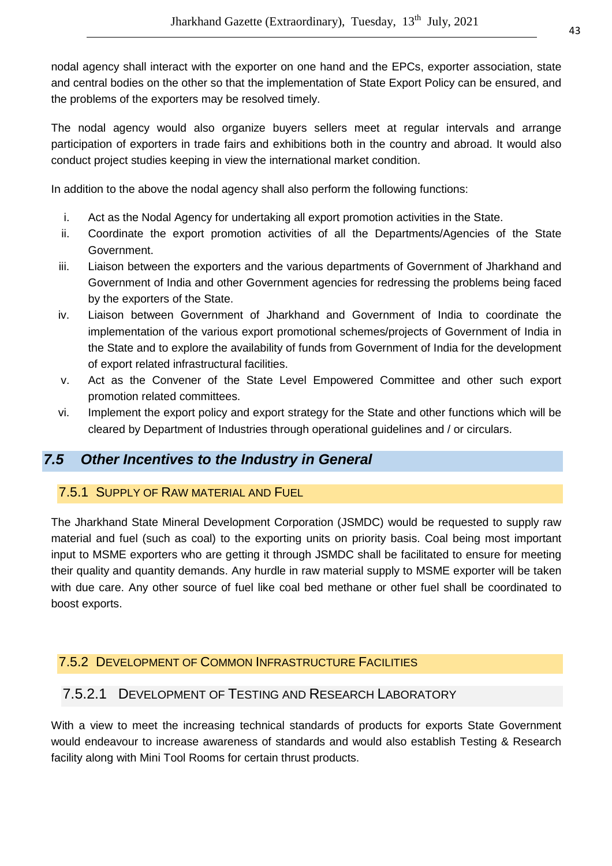nodal agency shall interact with the exporter on one hand and the EPCs, exporter association, state and central bodies on the other so that the implementation of State Export Policy can be ensured, and the problems of the exporters may be resolved timely.

The nodal agency would also organize buyers sellers meet at regular intervals and arrange participation of exporters in trade fairs and exhibitions both in the country and abroad. It would also conduct project studies keeping in view the international market condition.

In addition to the above the nodal agency shall also perform the following functions:

- i. Act as the Nodal Agency for undertaking all export promotion activities in the State.
- ii. Coordinate the export promotion activities of all the Departments/Agencies of the State Government.
- iii. Liaison between the exporters and the various departments of Government of Jharkhand and Government of India and other Government agencies for redressing the problems being faced by the exporters of the State.
- iv. Liaison between Government of Jharkhand and Government of India to coordinate the implementation of the various export promotional schemes/projects of Government of India in the State and to explore the availability of funds from Government of India for the development of export related infrastructural facilities.
- v. Act as the Convener of the State Level Empowered Committee and other such export promotion related committees.
- vi. Implement the export policy and export strategy for the State and other functions which will be cleared by Department of Industries through operational guidelines and / or circulars.

# **7.5 Other Incentives to the Industry in General**

# 7.5.1 SUPPLY OF RAW MATERIAL AND FUEL

The Jharkhand State Mineral Development Corporation (JSMDC) would be requested to supply raw material and fuel (such as coal) to the exporting units on priority basis. Coal being most important input to MSME exporters who are getting it through JSMDC shall be facilitated to ensure for meeting their quality and quantity demands. Any hurdle in raw material supply to MSME exporter will be taken with due care. Any other source of fuel like coal bed methane or other fuel shall be coordinated to boost exports.

# 7.5.2 DEVELOPMENT OF COMMON INFRASTRUCTURE FACILITIES

# 7.5.2.1 DEVELOPMENT OF TESTING AND RESEARCH LABORATORY

With a view to meet the increasing technical standards of products for exports State Government would endeavour to increase awareness of standards and would also establish Testing & Research facility along with Mini Tool Rooms for certain thrust products.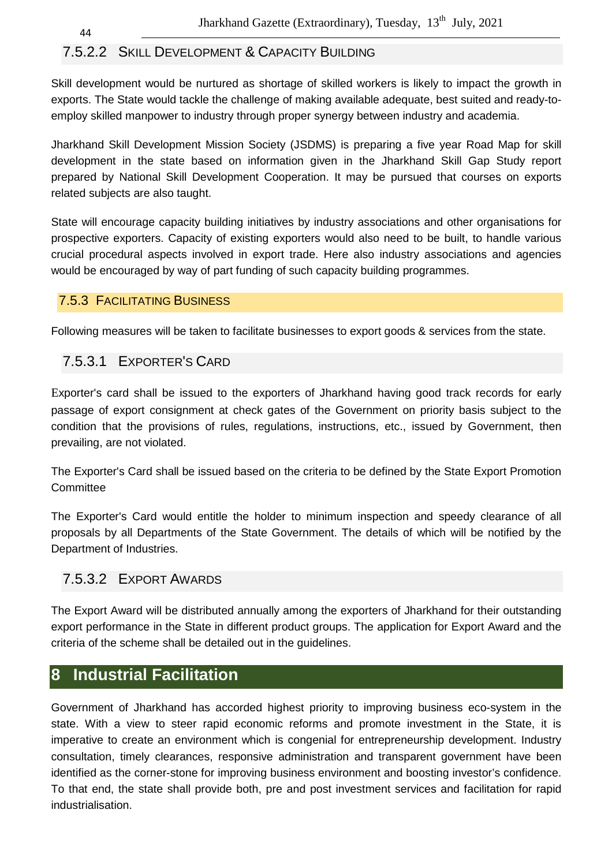# 7.5.2.2 SKILL DEVELOPMENT & CAPACITY BUILDING

Skill development would be nurtured as shortage of skilled workers is likely to impact the growth in exports. The State would tackle the challenge of making available adequate, best suited and ready-toemploy skilled manpower to industry through proper synergy between industry and academia.

Jharkhand Skill Development Mission Society (JSDMS) is preparing a five year Road Map for skill development in the state based on information given in the Jharkhand Skill Gap Study report prepared by National Skill Development Cooperation. It may be pursued that courses on exports related subjects are also taught.

State will encourage capacity building initiatives by industry associations and other organisations for prospective exporters. Capacity of existing exporters would also need to be built, to handle various crucial procedural aspects involved in export trade. Here also industry associations and agencies would be encouraged by way of part funding of such capacity building programmes.

# 7.5.3 FACILITATING BUSINESS

44

Following measures will be taken to facilitate businesses to export goods & services from the state.

# 7.5.3.1 EXPORTER'S CARD

Exporter's card shall be issued to the exporters of Jharkhand having good track records for early passage of export consignment at check gates of the Government on priority basis subject to the condition that the provisions of rules, regulations, instructions, etc., issued by Government, then prevailing, are not violated.

The Exporter's Card shall be issued based on the criteria to be defined by the State Export Promotion **Committee** 

The Exporter's Card would entitle the holder to minimum inspection and speedy clearance of all proposals by all Departments of the State Government. The details of which will be notified by the Department of Industries.

# 7.5.3.2 EXPORT AWARDS

The Export Award will be distributed annually among the exporters of Jharkhand for their outstanding export performance in the State in different product groups. The application for Export Award and the criteria of the scheme shall be detailed out in the guidelines.

# **8 Industrial Facilitation**

Government of Jharkhand has accorded highest priority to improving business eco-system in the state. With a view to steer rapid economic reforms and promote investment in the State, it is imperative to create an environment which is congenial for entrepreneurship development. Industry consultation, timely clearances, responsive administration and transparent government have been identified as the corner-stone for improving business environment and boosting investor's confidence. To that end, the state shall provide both, pre and post investment services and facilitation for rapid industrialisation.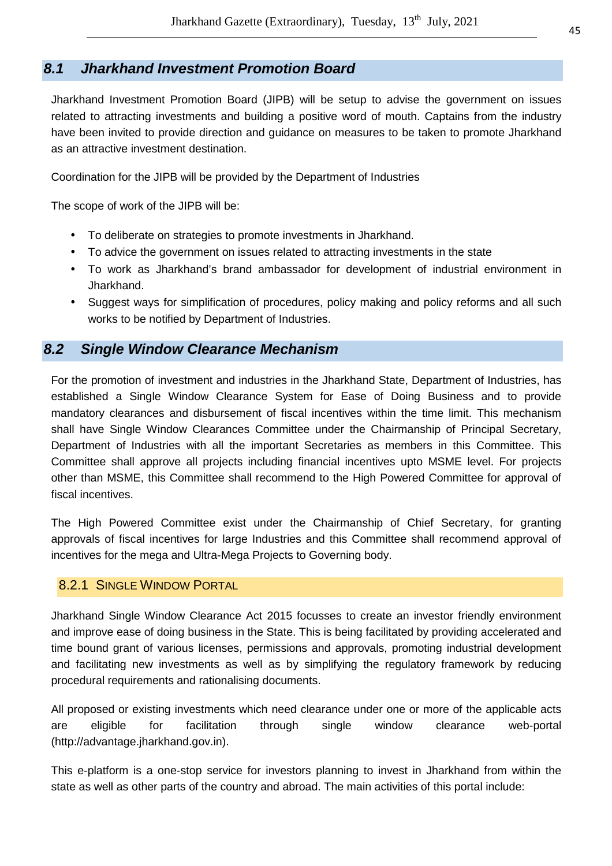# **8.1 Jharkhand Investment Promotion Board**

Jharkhand Investment Promotion Board (JIPB) will be setup to advise the government on issues related to attracting investments and building a positive word of mouth. Captains from the industry have been invited to provide direction and guidance on measures to be taken to promote Jharkhand as an attractive investment destination.

Coordination for the JIPB will be provided by the Department of Industries

The scope of work of the JIPB will be:

- To deliberate on strategies to promote investments in Jharkhand.
- To advice the government on issues related to attracting investments in the state
- To work as Jharkhand's brand ambassador for development of industrial environment in Jharkhand.
- Suggest ways for simplification of procedures, policy making and policy reforms and all such works to be notified by Department of Industries.

# **8.2 Single Window Clearance Mechanism**

For the promotion of investment and industries in the Jharkhand State, Department of Industries, has established a Single Window Clearance System for Ease of Doing Business and to provide mandatory clearances and disbursement of fiscal incentives within the time limit. This mechanism shall have Single Window Clearances Committee under the Chairmanship of Principal Secretary, Department of Industries with all the important Secretaries as members in this Committee. This Committee shall approve all projects including financial incentives upto MSME level. For projects other than MSME, this Committee shall recommend to the High Powered Committee for approval of fiscal incentives.

The High Powered Committee exist under the Chairmanship of Chief Secretary, for granting approvals of fiscal incentives for large Industries and this Committee shall recommend approval of incentives for the mega and Ultra-Mega Projects to Governing body.

#### 8.2.1 SINGLE WINDOW PORTAL

Jharkhand Single Window Clearance Act 2015 focusses to create an investor friendly environment and improve ease of doing business in the State. This is being facilitated by providing accelerated and time bound grant of various licenses, permissions and approvals, promoting industrial development and facilitating new investments as well as by simplifying the regulatory framework by reducing procedural requirements and rationalising documents.

All proposed or existing investments which need clearance under one or more of the applicable acts are eligible for facilitation through single window clearance web-portal (http://advantage.jharkhand.gov.in).

This e-platform is a one-stop service for investors planning to invest in Jharkhand from within the state as well as other parts of the country and abroad. The main activities of this portal include: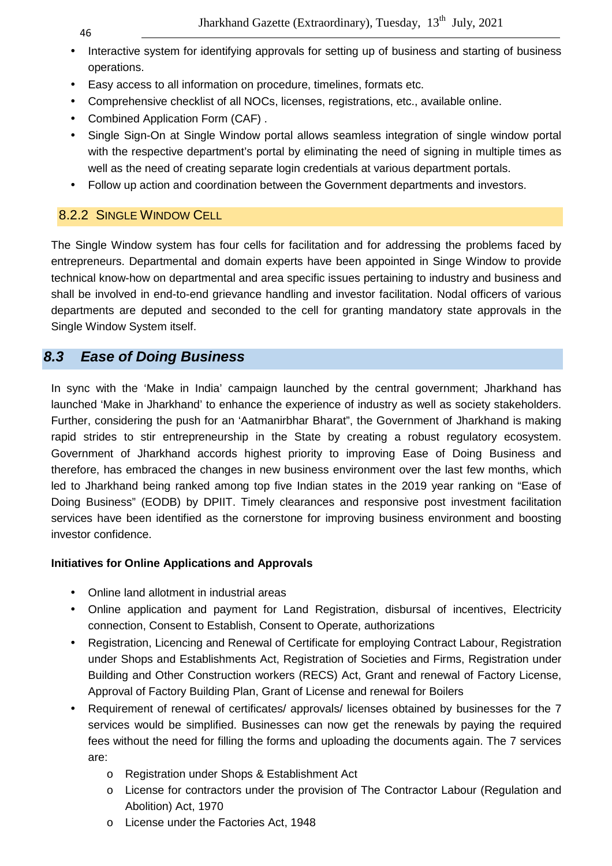- Interactive system for identifying approvals for setting up of business and starting of business operations.
- Easy access to all information on procedure, timelines, formats etc.
- Comprehensive checklist of all NOCs, licenses, registrations, etc., available online.
- Combined Application Form (CAF) .
- Single Sign-On at Single Window portal allows seamless integration of single window portal with the respective department's portal by eliminating the need of signing in multiple times as well as the need of creating separate login credentials at various department portals.
- Follow up action and coordination between the Government departments and investors.

# 8.2.2 SINGLE WINDOW CELL

The Single Window system has four cells for facilitation and for addressing the problems faced by entrepreneurs. Departmental and domain experts have been appointed in Singe Window to provide technical know-how on departmental and area specific issues pertaining to industry and business and shall be involved in end-to-end grievance handling and investor facilitation. Nodal officers of various departments are deputed and seconded to the cell for granting mandatory state approvals in the Single Window System itself.

# **8.3 Ease of Doing Business**

In sync with the 'Make in India' campaign launched by the central government; Jharkhand has launched 'Make in Jharkhand' to enhance the experience of industry as well as society stakeholders. Further, considering the push for an 'Aatmanirbhar Bharat", the Government of Jharkhand is making rapid strides to stir entrepreneurship in the State by creating a robust regulatory ecosystem. Government of Jharkhand accords highest priority to improving Ease of Doing Business and therefore, has embraced the changes in new business environment over the last few months, which led to Jharkhand being ranked among top five Indian states in the 2019 year ranking on "Ease of Doing Business" (EODB) by DPIIT. Timely clearances and responsive post investment facilitation services have been identified as the cornerstone for improving business environment and boosting investor confidence.

# **Initiatives for Online Applications and Approvals**

- Online land allotment in industrial areas
- Online application and payment for Land Registration, disbursal of incentives, Electricity connection, Consent to Establish, Consent to Operate, authorizations
- Registration, Licencing and Renewal of Certificate for employing Contract Labour, Registration under Shops and Establishments Act, Registration of Societies and Firms, Registration under Building and Other Construction workers (RECS) Act, Grant and renewal of Factory License, Approval of Factory Building Plan, Grant of License and renewal for Boilers
- Requirement of renewal of certificates/ approvals/ licenses obtained by businesses for the 7 services would be simplified. Businesses can now get the renewals by paying the required fees without the need for filling the forms and uploading the documents again. The 7 services are:
	- o Registration under Shops & Establishment Act
	- o License for contractors under the provision of The Contractor Labour (Regulation and Abolition) Act, 1970
	- o License under the Factories Act, 1948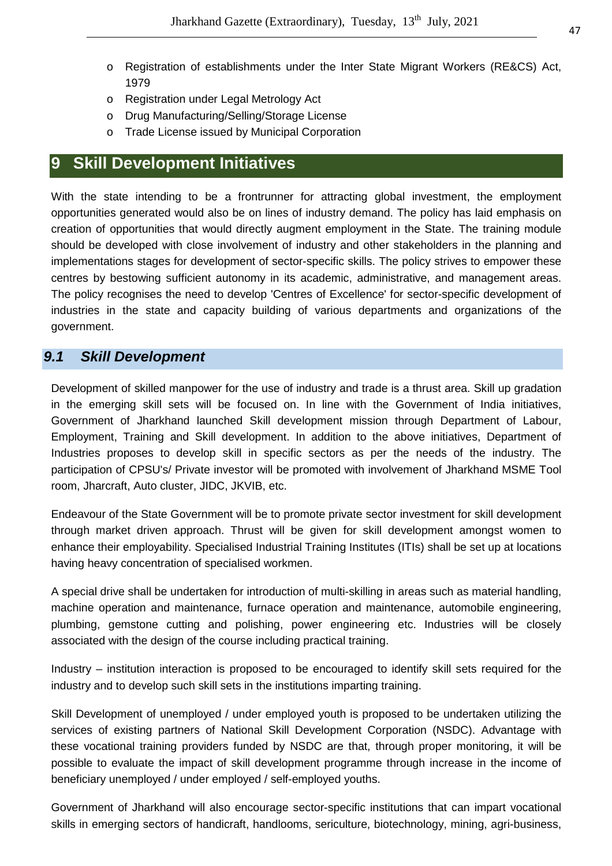- o Registration of establishments under the Inter State Migrant Workers (RE&CS) Act, 1979
- o Registration under Legal Metrology Act
- o Drug Manufacturing/Selling/Storage License
- o Trade License issued by Municipal Corporation

# **9 Skill Development Initiatives**

With the state intending to be a frontrunner for attracting global investment, the employment opportunities generated would also be on lines of industry demand. The policy has laid emphasis on creation of opportunities that would directly augment employment in the State. The training module should be developed with close involvement of industry and other stakeholders in the planning and implementations stages for development of sector-specific skills. The policy strives to empower these centres by bestowing sufficient autonomy in its academic, administrative, and management areas. The policy recognises the need to develop 'Centres of Excellence' for sector-specific development of industries in the state and capacity building of various departments and organizations of the government.

# **9.1 Skill Development**

Development of skilled manpower for the use of industry and trade is a thrust area. Skill up gradation in the emerging skill sets will be focused on. In line with the Government of India initiatives, Government of Jharkhand launched Skill development mission through Department of Labour, Employment, Training and Skill development. In addition to the above initiatives, Department of Industries proposes to develop skill in specific sectors as per the needs of the industry. The participation of CPSU's/ Private investor will be promoted with involvement of Jharkhand MSME Tool room, Jharcraft, Auto cluster, JIDC, JKVIB, etc.

Endeavour of the State Government will be to promote private sector investment for skill development through market driven approach. Thrust will be given for skill development amongst women to enhance their employability. Specialised Industrial Training Institutes (ITIs) shall be set up at locations having heavy concentration of specialised workmen.

A special drive shall be undertaken for introduction of multi-skilling in areas such as material handling, machine operation and maintenance, furnace operation and maintenance, automobile engineering, plumbing, gemstone cutting and polishing, power engineering etc. Industries will be closely associated with the design of the course including practical training.

Industry – institution interaction is proposed to be encouraged to identify skill sets required for the industry and to develop such skill sets in the institutions imparting training.

Skill Development of unemployed / under employed youth is proposed to be undertaken utilizing the services of existing partners of National Skill Development Corporation (NSDC). Advantage with these vocational training providers funded by NSDC are that, through proper monitoring, it will be possible to evaluate the impact of skill development programme through increase in the income of beneficiary unemployed / under employed / self-employed youths.

Government of Jharkhand will also encourage sector-specific institutions that can impart vocational skills in emerging sectors of handicraft, handlooms, sericulture, biotechnology, mining, agri-business,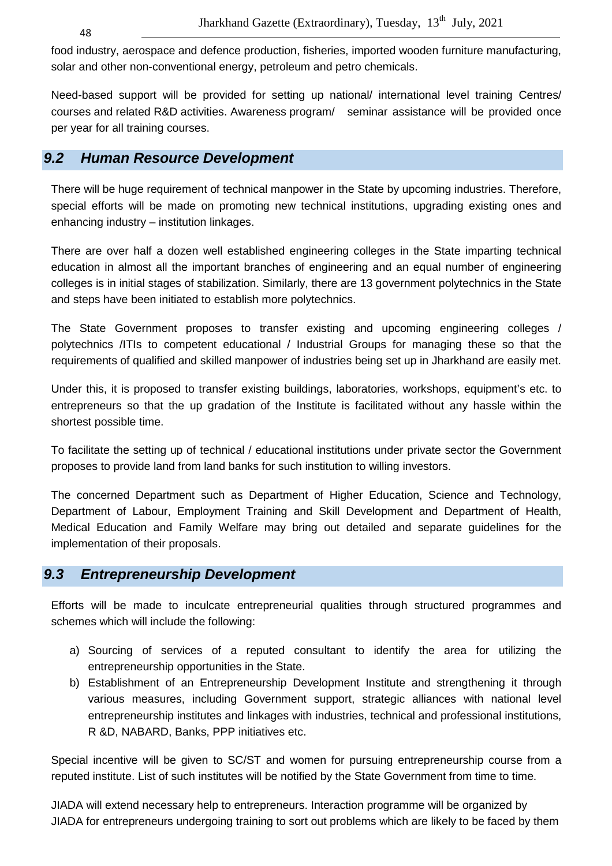food industry, aerospace and defence production, fisheries, imported wooden furniture manufacturing, solar and other non-conventional energy, petroleum and petro chemicals.

Need-based support will be provided for setting up national/ international level training Centres/ courses and related R&D activities. Awareness program/ seminar assistance will be provided once per year for all training courses.

# **9.2 Human Resource Development**

There will be huge requirement of technical manpower in the State by upcoming industries. Therefore, special efforts will be made on promoting new technical institutions, upgrading existing ones and enhancing industry – institution linkages.

There are over half a dozen well established engineering colleges in the State imparting technical education in almost all the important branches of engineering and an equal number of engineering colleges is in initial stages of stabilization. Similarly, there are 13 government polytechnics in the State and steps have been initiated to establish more polytechnics.

The State Government proposes to transfer existing and upcoming engineering colleges / polytechnics /ITIs to competent educational / Industrial Groups for managing these so that the requirements of qualified and skilled manpower of industries being set up in Jharkhand are easily met.

Under this, it is proposed to transfer existing buildings, laboratories, workshops, equipment's etc. to entrepreneurs so that the up gradation of the Institute is facilitated without any hassle within the shortest possible time.

To facilitate the setting up of technical / educational institutions under private sector the Government proposes to provide land from land banks for such institution to willing investors.

The concerned Department such as Department of Higher Education, Science and Technology, Department of Labour, Employment Training and Skill Development and Department of Health, Medical Education and Family Welfare may bring out detailed and separate guidelines for the implementation of their proposals.

# **9.3 Entrepreneurship Development**

Efforts will be made to inculcate entrepreneurial qualities through structured programmes and schemes which will include the following:

- a) Sourcing of services of a reputed consultant to identify the area for utilizing the entrepreneurship opportunities in the State.
- b) Establishment of an Entrepreneurship Development Institute and strengthening it through various measures, including Government support, strategic alliances with national level entrepreneurship institutes and linkages with industries, technical and professional institutions, R &D, NABARD, Banks, PPP initiatives etc.

Special incentive will be given to SC/ST and women for pursuing entrepreneurship course from a reputed institute. List of such institutes will be notified by the State Government from time to time.

JIADA will extend necessary help to entrepreneurs. Interaction programme will be organized by JIADA for entrepreneurs undergoing training to sort out problems which are likely to be faced by them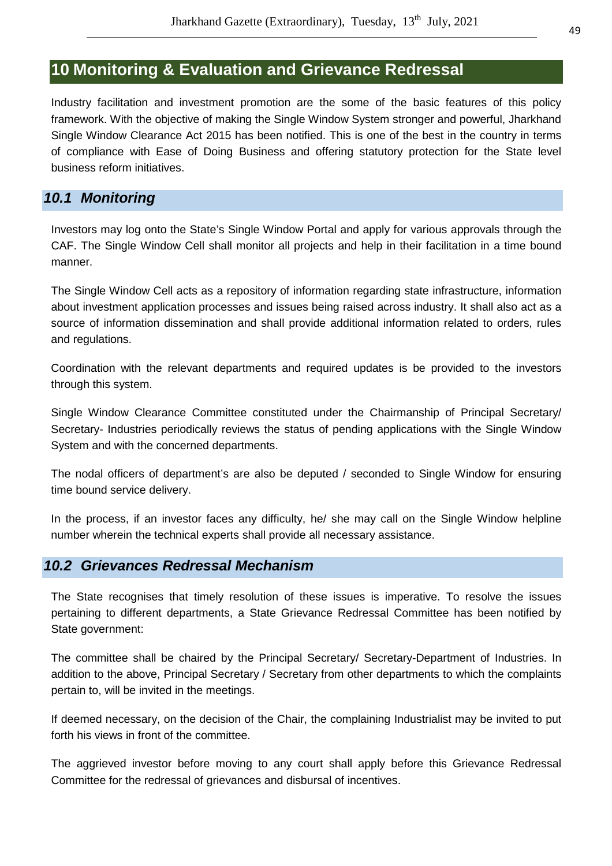# **10 Monitoring & Evaluation and Grievance Redressal**

Industry facilitation and investment promotion are the some of the basic features of this policy framework. With the objective of making the Single Window System stronger and powerful, Jharkhand Single Window Clearance Act 2015 has been notified. This is one of the best in the country in terms of compliance with Ease of Doing Business and offering statutory protection for the State level business reform initiatives.

# **10.1 Monitoring**

Investors may log onto the State's Single Window Portal and apply for various approvals through the CAF. The Single Window Cell shall monitor all projects and help in their facilitation in a time bound manner.

The Single Window Cell acts as a repository of information regarding state infrastructure, information about investment application processes and issues being raised across industry. It shall also act as a source of information dissemination and shall provide additional information related to orders, rules and regulations.

Coordination with the relevant departments and required updates is be provided to the investors through this system.

Single Window Clearance Committee constituted under the Chairmanship of Principal Secretary/ Secretary- Industries periodically reviews the status of pending applications with the Single Window System and with the concerned departments.

The nodal officers of department's are also be deputed / seconded to Single Window for ensuring time bound service delivery.

In the process, if an investor faces any difficulty, he/ she may call on the Single Window helpline number wherein the technical experts shall provide all necessary assistance.

# **10.2 Grievances Redressal Mechanism**

The State recognises that timely resolution of these issues is imperative. To resolve the issues pertaining to different departments, a State Grievance Redressal Committee has been notified by State government:

The committee shall be chaired by the Principal Secretary/ Secretary-Department of Industries. In addition to the above, Principal Secretary / Secretary from other departments to which the complaints pertain to, will be invited in the meetings.

If deemed necessary, on the decision of the Chair, the complaining Industrialist may be invited to put forth his views in front of the committee.

The aggrieved investor before moving to any court shall apply before this Grievance Redressal Committee for the redressal of grievances and disbursal of incentives.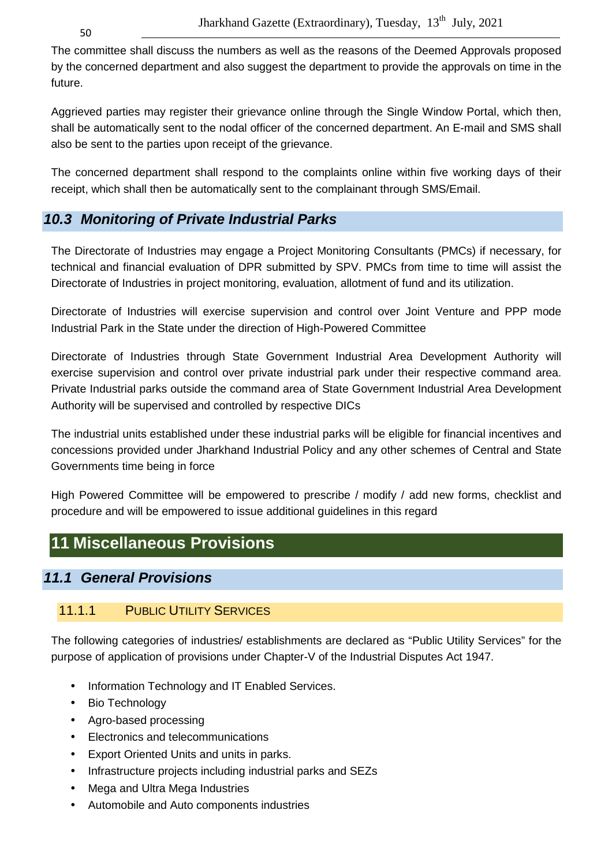50

The committee shall discuss the numbers as well as the reasons of the Deemed Approvals proposed by the concerned department and also suggest the department to provide the approvals on time in the future.

Aggrieved parties may register their grievance online through the Single Window Portal, which then, shall be automatically sent to the nodal officer of the concerned department. An E-mail and SMS shall also be sent to the parties upon receipt of the grievance.

The concerned department shall respond to the complaints online within five working days of their receipt, which shall then be automatically sent to the complainant through SMS/Email.

# **10.3 Monitoring of Private Industrial Parks**

The Directorate of Industries may engage a Project Monitoring Consultants (PMCs) if necessary, for technical and financial evaluation of DPR submitted by SPV. PMCs from time to time will assist the Directorate of Industries in project monitoring, evaluation, allotment of fund and its utilization.

Directorate of Industries will exercise supervision and control over Joint Venture and PPP mode Industrial Park in the State under the direction of High-Powered Committee

Directorate of Industries through State Government Industrial Area Development Authority will exercise supervision and control over private industrial park under their respective command area. Private Industrial parks outside the command area of State Government Industrial Area Development Authority will be supervised and controlled by respective DICs

The industrial units established under these industrial parks will be eligible for financial incentives and concessions provided under Jharkhand Industrial Policy and any other schemes of Central and State Governments time being in force

High Powered Committee will be empowered to prescribe / modify / add new forms, checklist and procedure and will be empowered to issue additional guidelines in this regard

# **11 Miscellaneous Provisions**

# **11.1 General Provisions**

# 11.1.1 PUBLIC UTILITY SERVICES

The following categories of industries/ establishments are declared as "Public Utility Services" for the purpose of application of provisions under Chapter-V of the Industrial Disputes Act 1947.

- Information Technology and IT Enabled Services.
- Bio Technology
- Agro-based processing
- Electronics and telecommunications
- Export Oriented Units and units in parks.
- Infrastructure projects including industrial parks and SEZs
- Mega and Ultra Mega Industries
- Automobile and Auto components industries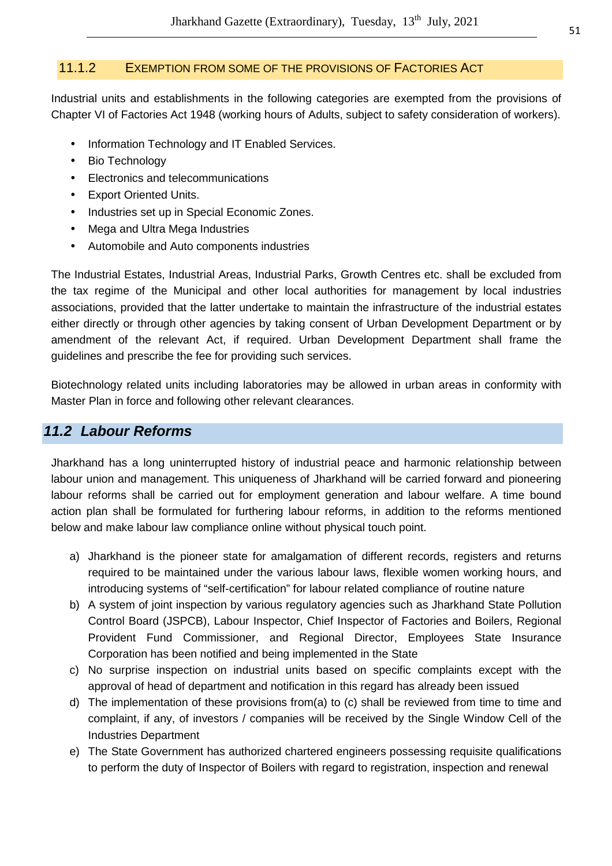#### 11.1.2 EXEMPTION FROM SOME OF THE PROVISIONS OF FACTORIES ACT

Industrial units and establishments in the following categories are exempted from the provisions of Chapter VI of Factories Act 1948 (working hours of Adults, subject to safety consideration of workers).

- Information Technology and IT Enabled Services.
- Bio Technology
- Electronics and telecommunications
- **Export Oriented Units.**
- Industries set up in Special Economic Zones.
- Mega and Ultra Mega Industries
- Automobile and Auto components industries

The Industrial Estates, Industrial Areas, Industrial Parks, Growth Centres etc. shall be excluded from the tax regime of the Municipal and other local authorities for management by local industries associations, provided that the latter undertake to maintain the infrastructure of the industrial estates either directly or through other agencies by taking consent of Urban Development Department or by amendment of the relevant Act, if required. Urban Development Department shall frame the guidelines and prescribe the fee for providing such services.

Biotechnology related units including laboratories may be allowed in urban areas in conformity with Master Plan in force and following other relevant clearances.

# **11.2 Labour Reforms**

Jharkhand has a long uninterrupted history of industrial peace and harmonic relationship between labour union and management. This uniqueness of Jharkhand will be carried forward and pioneering labour reforms shall be carried out for employment generation and labour welfare. A time bound action plan shall be formulated for furthering labour reforms, in addition to the reforms mentioned below and make labour law compliance online without physical touch point.

- a) Jharkhand is the pioneer state for amalgamation of different records, registers and returns required to be maintained under the various labour laws, flexible women working hours, and introducing systems of "self-certification" for labour related compliance of routine nature
- b) A system of joint inspection by various regulatory agencies such as Jharkhand State Pollution Control Board (JSPCB), Labour Inspector, Chief Inspector of Factories and Boilers, Regional Provident Fund Commissioner, and Regional Director, Employees State Insurance Corporation has been notified and being implemented in the State
- c) No surprise inspection on industrial units based on specific complaints except with the approval of head of department and notification in this regard has already been issued
- d) The implementation of these provisions from(a) to (c) shall be reviewed from time to time and complaint, if any, of investors / companies will be received by the Single Window Cell of the Industries Department
- e) The State Government has authorized chartered engineers possessing requisite qualifications to perform the duty of Inspector of Boilers with regard to registration, inspection and renewal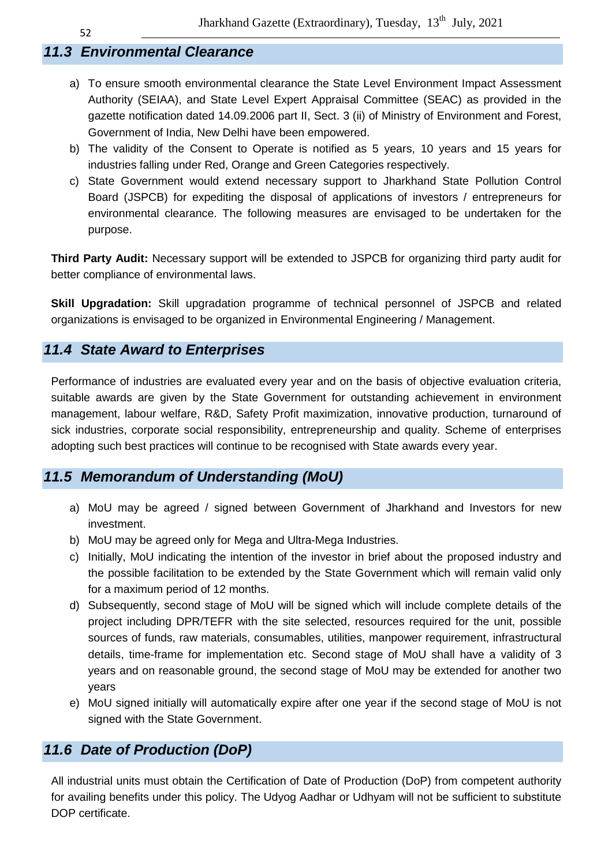# **11.3 Environmental Clearance**

- a) To ensure smooth environmental clearance the State Level Environment Impact Assessment Authority (SEIAA), and State Level Expert Appraisal Committee (SEAC) as provided in the gazette notification dated 14.09.2006 part II, Sect. 3 (ii) of Ministry of Environment and Forest, Government of India, New Delhi have been empowered.
- b) The validity of the Consent to Operate is notified as 5 years, 10 years and 15 years for industries falling under Red, Orange and Green Categories respectively.
- c) State Government would extend necessary support to Jharkhand State Pollution Control Board (JSPCB) for expediting the disposal of applications of investors / entrepreneurs for environmental clearance. The following measures are envisaged to be undertaken for the purpose.

**Third Party Audit:** Necessary support will be extended to JSPCB for organizing third party audit for better compliance of environmental laws.

**Skill Upgradation:** Skill upgradation programme of technical personnel of JSPCB and related organizations is envisaged to be organized in Environmental Engineering / Management.

# **11.4 State Award to Enterprises**

Performance of industries are evaluated every year and on the basis of objective evaluation criteria, suitable awards are given by the State Government for outstanding achievement in environment management, labour welfare, R&D, Safety Profit maximization, innovative production, turnaround of sick industries, corporate social responsibility, entrepreneurship and quality. Scheme of enterprises adopting such best practices will continue to be recognised with State awards every year.

# **11.5 Memorandum of Understanding (MoU)**

- a) MoU may be agreed / signed between Government of Jharkhand and Investors for new investment.
- b) MoU may be agreed only for Mega and Ultra-Mega Industries.
- c) Initially, MoU indicating the intention of the investor in brief about the proposed industry and the possible facilitation to be extended by the State Government which will remain valid only for a maximum period of 12 months.
- d) Subsequently, second stage of MoU will be signed which will include complete details of the project including DPR/TEFR with the site selected, resources required for the unit, possible sources of funds, raw materials, consumables, utilities, manpower requirement, infrastructural details, time-frame for implementation etc. Second stage of MoU shall have a validity of 3 years and on reasonable ground, the second stage of MoU may be extended for another two years
- e) MoU signed initially will automatically expire after one year if the second stage of MoU is not signed with the State Government.

# **11.6 Date of Production (DoP)**

All industrial units must obtain the Certification of Date of Production (DoP) from competent authority for availing benefits under this policy. The Udyog Aadhar or Udhyam will not be sufficient to substitute DOP certificate.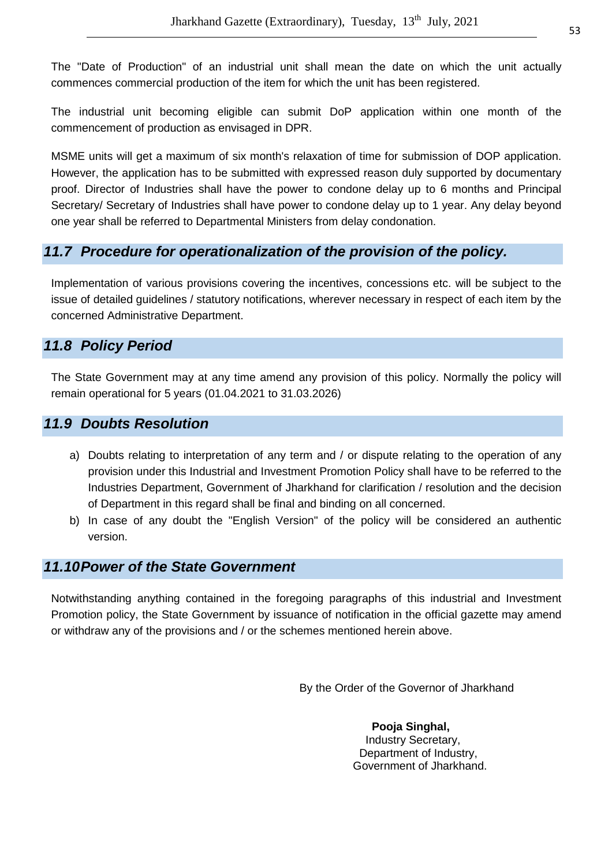The "Date of Production" of an industrial unit shall mean the date on which the unit actually commences commercial production of the item for which the unit has been registered.

The industrial unit becoming eligible can submit DoP application within one month of the commencement of production as envisaged in DPR.

MSME units will get a maximum of six month's relaxation of time for submission of DOP application. However, the application has to be submitted with expressed reason duly supported by documentary proof. Director of Industries shall have the power to condone delay up to 6 months and Principal Secretary/ Secretary of Industries shall have power to condone delay up to 1 year. Any delay beyond one year shall be referred to Departmental Ministers from delay condonation.

# **11.7 Procedure for operationalization of the provision of the policy.**

Implementation of various provisions covering the incentives, concessions etc. will be subject to the issue of detailed guidelines / statutory notifications, wherever necessary in respect of each item by the concerned Administrative Department.

# **11.8 Policy Period**

The State Government may at any time amend any provision of this policy. Normally the policy will remain operational for 5 years (01.04.2021 to 31.03.2026)

# **11.9 Doubts Resolution**

- a) Doubts relating to interpretation of any term and / or dispute relating to the operation of any provision under this Industrial and Investment Promotion Policy shall have to be referred to the Industries Department, Government of Jharkhand for clarification / resolution and the decision of Department in this regard shall be final and binding on all concerned.
- b) In case of any doubt the "English Version" of the policy will be considered an authentic version.

# **11.10 Power of the State Government**

Notwithstanding anything contained in the foregoing paragraphs of this industrial and Investment Promotion policy, the State Government by issuance of notification in the official gazette may amend or withdraw any of the provisions and / or the schemes mentioned herein above.

By the Order of the Governor of Jharkhand

 **Pooja Singhal,**  Industry Secretary, Department of Industry, Government of Jharkhand.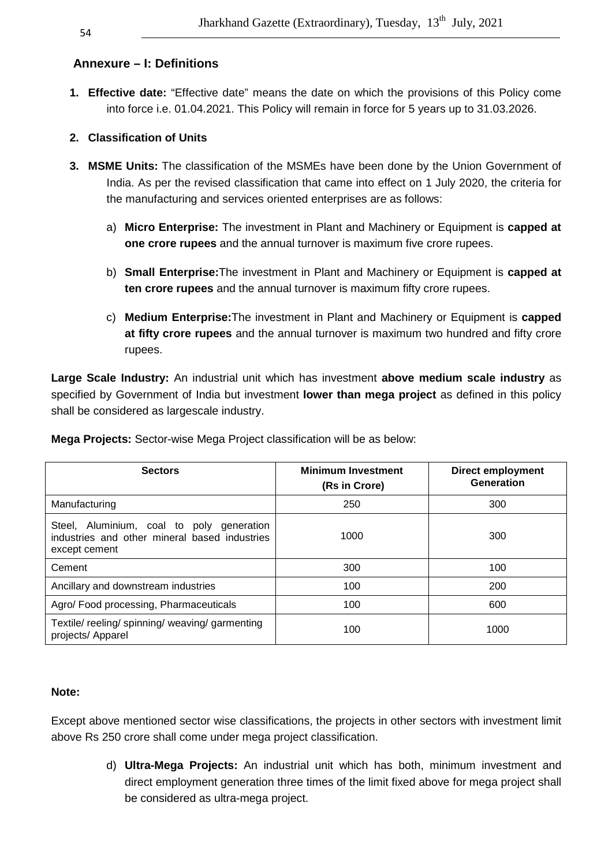# **Annexure – I: Definitions**

**1. Effective date:** "Effective date" means the date on which the provisions of this Policy come into force i.e. 01.04.2021. This Policy will remain in force for 5 years up to 31.03.2026.

#### **2. Classification of Units**

- **3. MSME Units:** The classification of the MSMEs have been done by the Union Government of India. As per the revised classification that came into effect on 1 July 2020, the criteria for the manufacturing and services oriented enterprises are as follows:
	- a) **Micro Enterprise:** The investment in Plant and Machinery or Equipment is **capped at one crore rupees** and the annual turnover is maximum five crore rupees.
	- b) **Small Enterprise:**The investment in Plant and Machinery or Equipment is **capped at ten crore rupees** and the annual turnover is maximum fifty crore rupees.
	- c) **Medium Enterprise:**The investment in Plant and Machinery or Equipment is **capped at fifty crore rupees** and the annual turnover is maximum two hundred and fifty crore rupees.

**Large Scale Industry:** An industrial unit which has investment **above medium scale industry** as specified by Government of India but investment **lower than mega project** as defined in this policy shall be considered as largescale industry.

| <b>Sectors</b>                                                                                              | <b>Minimum Investment</b><br>(Rs in Crore) | <b>Direct employment</b><br>Generation |
|-------------------------------------------------------------------------------------------------------------|--------------------------------------------|----------------------------------------|
| Manufacturing                                                                                               | 250                                        | 300                                    |
| Steel, Aluminium, coal to poly generation<br>industries and other mineral based industries<br>except cement | 1000                                       | 300                                    |
| Cement                                                                                                      | 300                                        | 100                                    |
| Ancillary and downstream industries                                                                         | 100                                        | 200                                    |
| Agro/ Food processing, Pharmaceuticals                                                                      | 100                                        | 600                                    |
| Textile/reeling/spinning/weaving/garmenting<br>projects/ Apparel                                            | 100                                        | 1000                                   |

**Mega Projects:** Sector-wise Mega Project classification will be as below:

#### **Note:**

Except above mentioned sector wise classifications, the projects in other sectors with investment limit above Rs 250 crore shall come under mega project classification.

> d) **Ultra-Mega Projects:** An industrial unit which has both, minimum investment and direct employment generation three times of the limit fixed above for mega project shall be considered as ultra-mega project.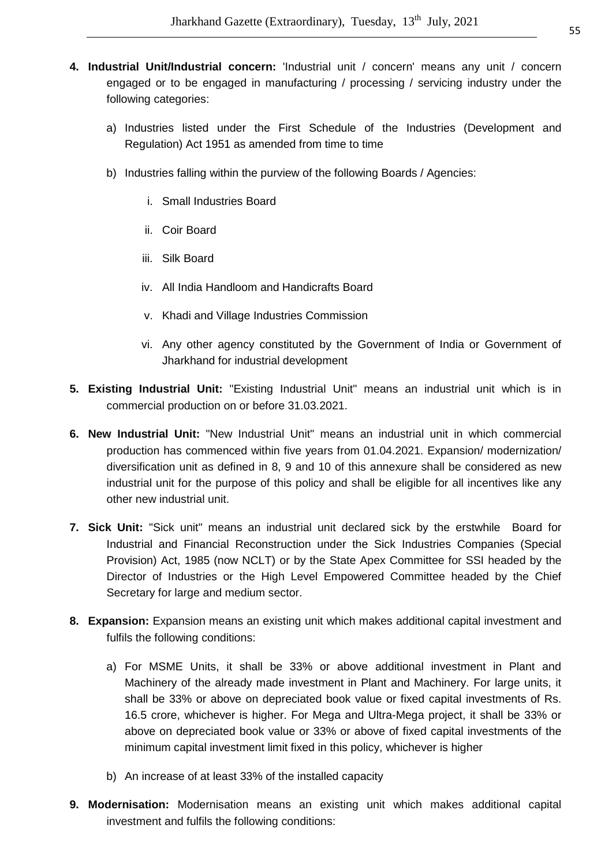- **4. Industrial Unit/Industrial concern:** 'Industrial unit / concern' means any unit / concern engaged or to be engaged in manufacturing / processing / servicing industry under the following categories:
	- a) Industries listed under the First Schedule of the Industries (Development and Regulation) Act 1951 as amended from time to time
	- b) Industries falling within the purview of the following Boards / Agencies:
		- i. Small Industries Board
		- ii. Coir Board
		- iii. Silk Board
		- iv. All India Handloom and Handicrafts Board
		- v. Khadi and Village Industries Commission
		- vi. Any other agency constituted by the Government of India or Government of Jharkhand for industrial development
- **5. Existing Industrial Unit:** "Existing Industrial Unit" means an industrial unit which is in commercial production on or before 31.03.2021.
- **6. New Industrial Unit:** "New Industrial Unit" means an industrial unit in which commercial production has commenced within five years from 01.04.2021. Expansion/ modernization/ diversification unit as defined in 8, 9 and 10 of this annexure shall be considered as new industrial unit for the purpose of this policy and shall be eligible for all incentives like any other new industrial unit.
- **7. Sick Unit:** "Sick unit" means an industrial unit declared sick by the erstwhile Board for Industrial and Financial Reconstruction under the Sick Industries Companies (Special Provision) Act, 1985 (now NCLT) or by the State Apex Committee for SSI headed by the Director of Industries or the High Level Empowered Committee headed by the Chief Secretary for large and medium sector.
- **8. Expansion:** Expansion means an existing unit which makes additional capital investment and fulfils the following conditions:
	- a) For MSME Units, it shall be 33% or above additional investment in Plant and Machinery of the already made investment in Plant and Machinery. For large units, it shall be 33% or above on depreciated book value or fixed capital investments of Rs. 16.5 crore, whichever is higher. For Mega and Ultra-Mega project, it shall be 33% or above on depreciated book value or 33% or above of fixed capital investments of the minimum capital investment limit fixed in this policy, whichever is higher
	- b) An increase of at least 33% of the installed capacity
- **9. Modernisation:** Modernisation means an existing unit which makes additional capital investment and fulfils the following conditions: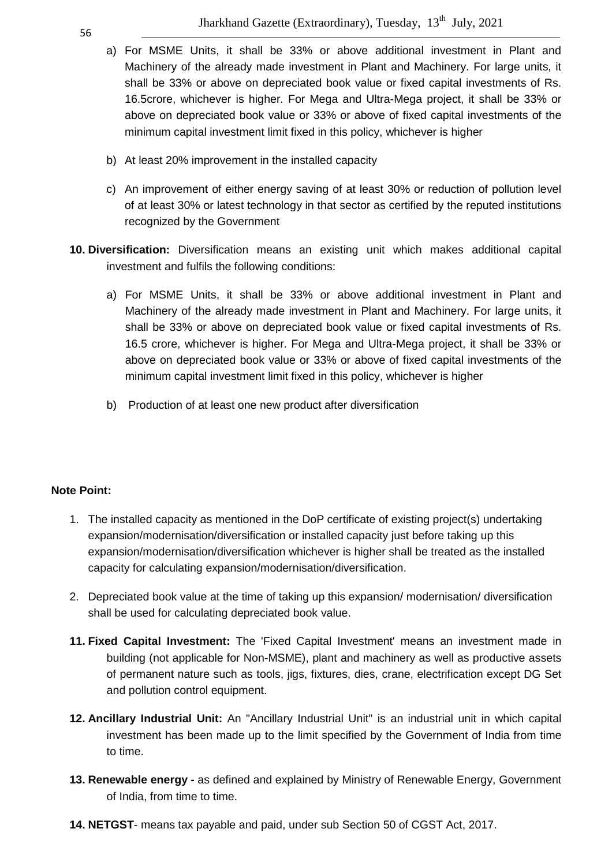- a) For MSME Units, it shall be 33% or above additional investment in Plant and Machinery of the already made investment in Plant and Machinery. For large units, it shall be 33% or above on depreciated book value or fixed capital investments of Rs. 16.5crore, whichever is higher. For Mega and Ultra-Mega project, it shall be 33% or above on depreciated book value or 33% or above of fixed capital investments of the minimum capital investment limit fixed in this policy, whichever is higher
- b) At least 20% improvement in the installed capacity
- c) An improvement of either energy saving of at least 30% or reduction of pollution level of at least 30% or latest technology in that sector as certified by the reputed institutions recognized by the Government
- **10. Diversification:** Diversification means an existing unit which makes additional capital investment and fulfils the following conditions:
	- a) For MSME Units, it shall be 33% or above additional investment in Plant and Machinery of the already made investment in Plant and Machinery. For large units, it shall be 33% or above on depreciated book value or fixed capital investments of Rs. 16.5 crore, whichever is higher. For Mega and Ultra-Mega project, it shall be 33% or above on depreciated book value or 33% or above of fixed capital investments of the minimum capital investment limit fixed in this policy, whichever is higher
	- b) Production of at least one new product after diversification

#### **Note Point:**

- 1. The installed capacity as mentioned in the DoP certificate of existing project(s) undertaking expansion/modernisation/diversification or installed capacity just before taking up this expansion/modernisation/diversification whichever is higher shall be treated as the installed capacity for calculating expansion/modernisation/diversification.
- 2. Depreciated book value at the time of taking up this expansion/ modernisation/ diversification shall be used for calculating depreciated book value.
- **11. Fixed Capital Investment:** The 'Fixed Capital Investment' means an investment made in building (not applicable for Non-MSME), plant and machinery as well as productive assets of permanent nature such as tools, jigs, fixtures, dies, crane, electrification except DG Set and pollution control equipment.
- **12. Ancillary Industrial Unit:** An "Ancillary Industrial Unit" is an industrial unit in which capital investment has been made up to the limit specified by the Government of India from time to time.
- **13. Renewable energy** as defined and explained by Ministry of Renewable Energy, Government of India, from time to time.
- **14. NETGST** means tax payable and paid, under sub Section 50 of CGST Act, 2017.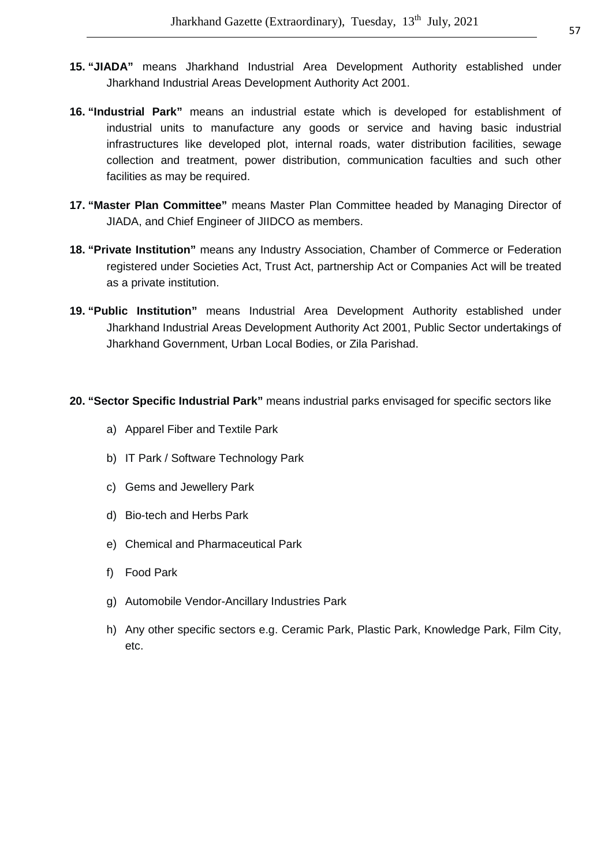- **15. "JIADA"** means Jharkhand Industrial Area Development Authority established under Jharkhand Industrial Areas Development Authority Act 2001.
- **16. "Industrial Park"** means an industrial estate which is developed for establishment of industrial units to manufacture any goods or service and having basic industrial infrastructures like developed plot, internal roads, water distribution facilities, sewage collection and treatment, power distribution, communication faculties and such other facilities as may be required.
- **17. "Master Plan Committee"** means Master Plan Committee headed by Managing Director of JIADA, and Chief Engineer of JIIDCO as members.
- **18. "Private Institution"** means any Industry Association, Chamber of Commerce or Federation registered under Societies Act, Trust Act, partnership Act or Companies Act will be treated as a private institution.
- **19. "Public Institution"** means Industrial Area Development Authority established under Jharkhand Industrial Areas Development Authority Act 2001, Public Sector undertakings of Jharkhand Government, Urban Local Bodies, or Zila Parishad.

#### **20. "Sector Specific Industrial Park"** means industrial parks envisaged for specific sectors like

- a) Apparel Fiber and Textile Park
- b) IT Park / Software Technology Park
- c) Gems and Jewellery Park
- d) Bio-tech and Herbs Park
- e) Chemical and Pharmaceutical Park
- f) Food Park
- g) Automobile Vendor-Ancillary Industries Park
- h) Any other specific sectors e.g. Ceramic Park, Plastic Park, Knowledge Park, Film City, etc.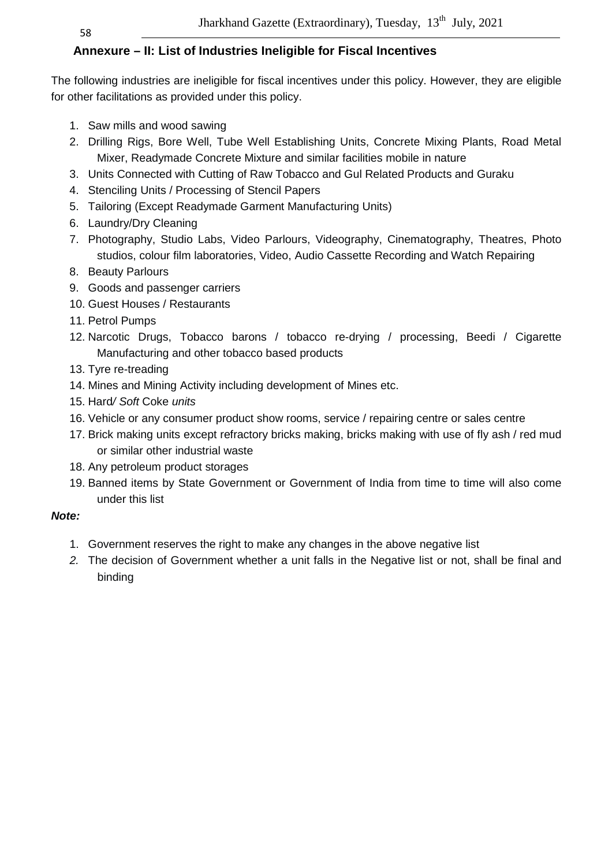58

# **Annexure – II: List of Industries Ineligible for Fiscal Incentives**

The following industries are ineligible for fiscal incentives under this policy. However, they are eligible for other facilitations as provided under this policy.

- 1. Saw mills and wood sawing
- 2. Drilling Rigs, Bore Well, Tube Well Establishing Units, Concrete Mixing Plants, Road Metal Mixer, Readymade Concrete Mixture and similar facilities mobile in nature
- 3. Units Connected with Cutting of Raw Tobacco and Gul Related Products and Guraku
- 4. Stenciling Units / Processing of Stencil Papers
- 5. Tailoring (Except Readymade Garment Manufacturing Units)
- 6. Laundry/Dry Cleaning
- 7. Photography, Studio Labs, Video Parlours, Videography, Cinematography, Theatres, Photo studios, colour film laboratories, Video, Audio Cassette Recording and Watch Repairing
- 8. Beauty Parlours
- 9. Goods and passenger carriers
- 10. Guest Houses / Restaurants
- 11. Petrol Pumps
- 12. Narcotic Drugs, Tobacco barons / tobacco re-drying / processing, Beedi / Cigarette Manufacturing and other tobacco based products
- 13. Tyre re-treading
- 14. Mines and Mining Activity including development of Mines etc.
- 15. Hard/ Soft Coke units
- 16. Vehicle or any consumer product show rooms, service / repairing centre or sales centre
- 17. Brick making units except refractory bricks making, bricks making with use of fly ash / red mud or similar other industrial waste
- 18. Any petroleum product storages
- 19. Banned items by State Government or Government of India from time to time will also come under this list

#### **Note:**

- 1. Government reserves the right to make any changes in the above negative list
- 2. The decision of Government whether a unit falls in the Negative list or not, shall be final and binding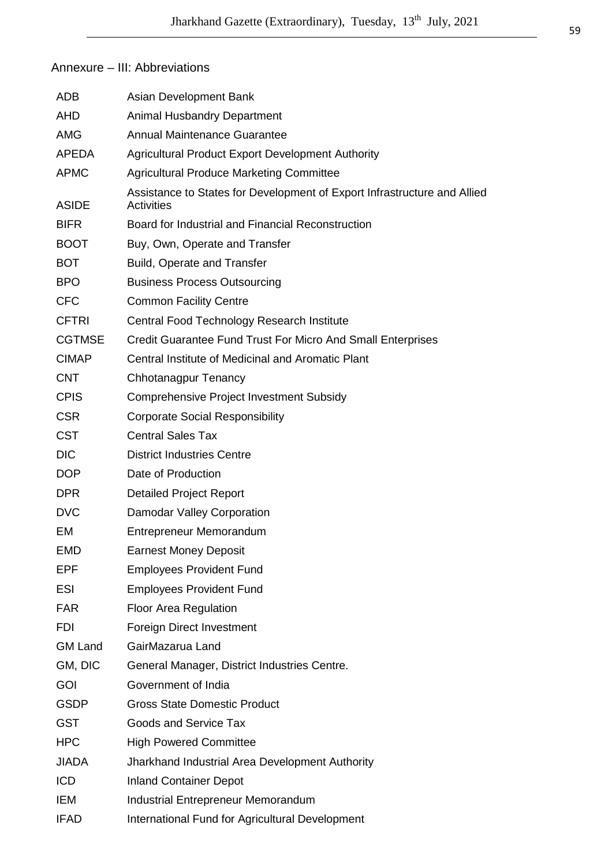# Annexure – III: Abbreviations

| <b>ADB</b>     | Asian Development Bank                                                                        |
|----------------|-----------------------------------------------------------------------------------------------|
| <b>AHD</b>     | <b>Animal Husbandry Department</b>                                                            |
| <b>AMG</b>     | <b>Annual Maintenance Guarantee</b>                                                           |
| <b>APEDA</b>   | <b>Agricultural Product Export Development Authority</b>                                      |
| <b>APMC</b>    | <b>Agricultural Produce Marketing Committee</b>                                               |
| ASIDE          | Assistance to States for Development of Export Infrastructure and Allied<br><b>Activities</b> |
| <b>BIFR</b>    | Board for Industrial and Financial Reconstruction                                             |
| <b>BOOT</b>    | Buy, Own, Operate and Transfer                                                                |
| <b>BOT</b>     | <b>Build, Operate and Transfer</b>                                                            |
| <b>BPO</b>     | <b>Business Process Outsourcing</b>                                                           |
| <b>CFC</b>     | <b>Common Facility Centre</b>                                                                 |
| <b>CFTRI</b>   | Central Food Technology Research Institute                                                    |
| <b>CGTMSE</b>  | Credit Guarantee Fund Trust For Micro And Small Enterprises                                   |
| <b>CIMAP</b>   | Central Institute of Medicinal and Aromatic Plant                                             |
| <b>CNT</b>     | <b>Chhotanagpur Tenancy</b>                                                                   |
| <b>CPIS</b>    | <b>Comprehensive Project Investment Subsidy</b>                                               |
| <b>CSR</b>     | <b>Corporate Social Responsibility</b>                                                        |
| <b>CST</b>     | <b>Central Sales Tax</b>                                                                      |
| <b>DIC</b>     | <b>District Industries Centre</b>                                                             |
| <b>DOP</b>     | Date of Production                                                                            |
| <b>DPR</b>     | <b>Detailed Project Report</b>                                                                |
| <b>DVC</b>     | Damodar Valley Corporation                                                                    |
| EM             | <b>Entrepreneur Memorandum</b>                                                                |
| EMD            | <b>Earnest Money Deposit</b>                                                                  |
| <b>EPF</b>     | <b>Employees Provident Fund</b>                                                               |
| ESI            | <b>Employees Provident Fund</b>                                                               |
| <b>FAR</b>     | Floor Area Regulation                                                                         |
| <b>FDI</b>     | <b>Foreign Direct Investment</b>                                                              |
| <b>GM Land</b> | GairMazarua Land                                                                              |
| GM, DIC        | General Manager, District Industries Centre.                                                  |
| <b>GOI</b>     | Government of India                                                                           |
| <b>GSDP</b>    | <b>Gross State Domestic Product</b>                                                           |
| <b>GST</b>     | Goods and Service Tax                                                                         |
| <b>HPC</b>     | <b>High Powered Committee</b>                                                                 |
| <b>JIADA</b>   | Jharkhand Industrial Area Development Authority                                               |
| <b>ICD</b>     | <b>Inland Container Depot</b>                                                                 |
| <b>IEM</b>     | Industrial Entrepreneur Memorandum                                                            |
| <b>IFAD</b>    | International Fund for Agricultural Development                                               |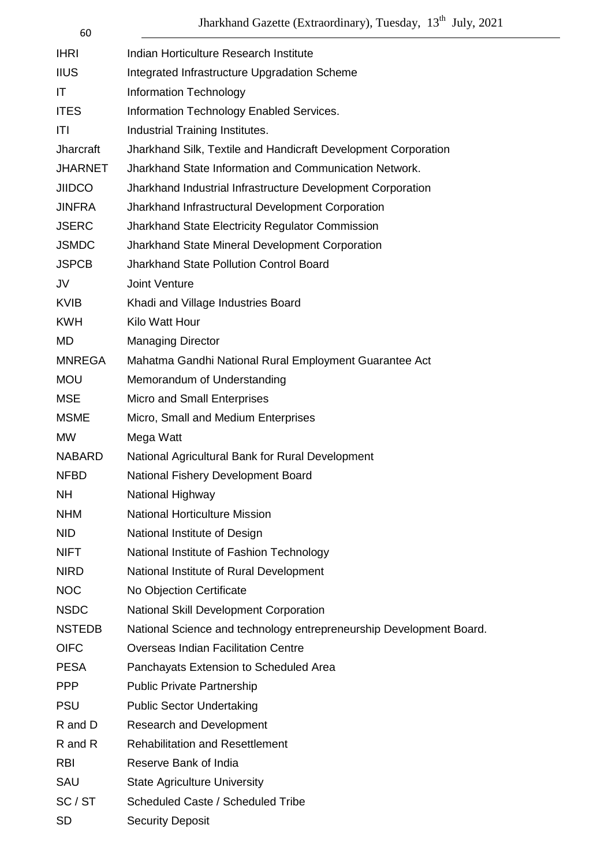Jharkhand Gazette (Extraordinary), Tuesday, 13<sup>th</sup> July, 2021

60

| <b>IHRI</b>      | Indian Horticulture Research Institute                              |
|------------------|---------------------------------------------------------------------|
| <b>IIUS</b>      | Integrated Infrastructure Upgradation Scheme                        |
| IT               | Information Technology                                              |
| <b>ITES</b>      | Information Technology Enabled Services.                            |
| ITI              | Industrial Training Institutes.                                     |
| <b>Jharcraft</b> | Jharkhand Silk, Textile and Handicraft Development Corporation      |
| <b>JHARNET</b>   | Jharkhand State Information and Communication Network.              |
| <b>JIIDCO</b>    | Jharkhand Industrial Infrastructure Development Corporation         |
| <b>JINFRA</b>    | Jharkhand Infrastructural Development Corporation                   |
| <b>JSERC</b>     | Jharkhand State Electricity Regulator Commission                    |
| <b>JSMDC</b>     | Jharkhand State Mineral Development Corporation                     |
| <b>JSPCB</b>     | <b>Jharkhand State Pollution Control Board</b>                      |
| JV               | Joint Venture                                                       |
| <b>KVIB</b>      | Khadi and Village Industries Board                                  |
| <b>KWH</b>       | Kilo Watt Hour                                                      |
| <b>MD</b>        | <b>Managing Director</b>                                            |
| <b>MNREGA</b>    | Mahatma Gandhi National Rural Employment Guarantee Act              |
| <b>MOU</b>       | Memorandum of Understanding                                         |
| <b>MSE</b>       | Micro and Small Enterprises                                         |
| <b>MSME</b>      | Micro, Small and Medium Enterprises                                 |
| <b>MW</b>        | Mega Watt                                                           |
| <b>NABARD</b>    | National Agricultural Bank for Rural Development                    |
| <b>NFBD</b>      | National Fishery Development Board                                  |
| <b>NH</b>        | National Highway                                                    |
| <b>NHM</b>       | <b>National Horticulture Mission</b>                                |
| <b>NID</b>       | National Institute of Design                                        |
| <b>NIFT</b>      | National Institute of Fashion Technology                            |
| <b>NIRD</b>      | National Institute of Rural Development                             |
| <b>NOC</b>       | No Objection Certificate                                            |
| <b>NSDC</b>      | National Skill Development Corporation                              |
| <b>NSTEDB</b>    | National Science and technology entrepreneurship Development Board. |
| <b>OIFC</b>      | <b>Overseas Indian Facilitation Centre</b>                          |
| <b>PESA</b>      | Panchayats Extension to Scheduled Area                              |
| <b>PPP</b>       | <b>Public Private Partnership</b>                                   |
| <b>PSU</b>       | <b>Public Sector Undertaking</b>                                    |
| R and D          | <b>Research and Development</b>                                     |
| R and R          | <b>Rehabilitation and Resettlement</b>                              |
| <b>RBI</b>       | Reserve Bank of India                                               |
| SAU              | <b>State Agriculture University</b>                                 |
| SC/ST            | Scheduled Caste / Scheduled Tribe                                   |
| <b>SD</b>        | <b>Security Deposit</b>                                             |